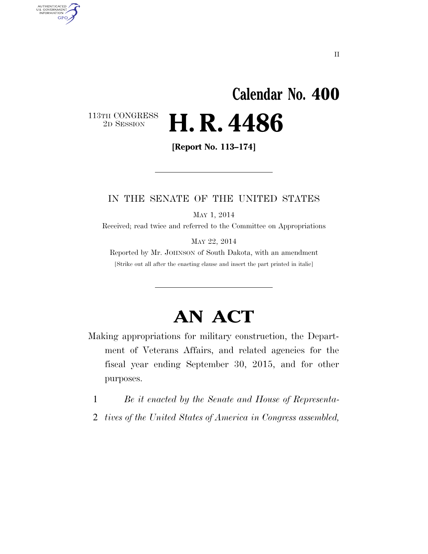# **Calendar No. 400**  113TH CONGRESS<br>2D SESSION 2D SESSION **H. R. 4486**

**[Report No. 113–174]** 

AUTHENTICATED<br>U.S. GOVERNMENT<br>INFORMATION

**GPO** 

# IN THE SENATE OF THE UNITED STATES

MAY 1, 2014

Received; read twice and referred to the Committee on Appropriations

MAY 22, 2014

Reported by Mr. JOHNSON of South Dakota, with an amendment [Strike out all after the enacting clause and insert the part printed in italic]

# **AN ACT**

Making appropriations for military construction, the Department of Veterans Affairs, and related agencies for the fiscal year ending September 30, 2015, and for other purposes.

1 *Be it enacted by the Senate and House of Representa-*

2 *tives of the United States of America in Congress assembled,*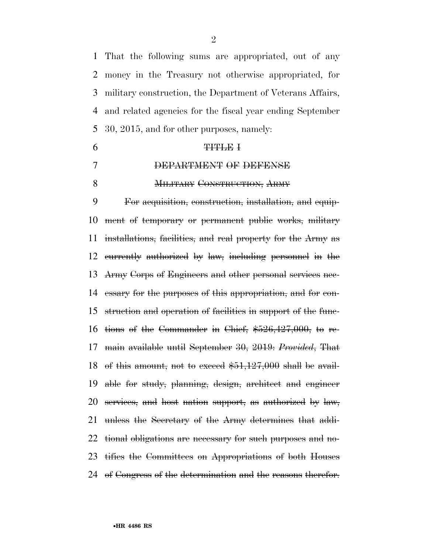That the following sums are appropriated, out of any money in the Treasury not otherwise appropriated, for military construction, the Department of Veterans Affairs, and related agencies for the fiscal year ending September 30, 2015, and for other purposes, namely:

| DEPARTMENT OF DEFENSE              |
|------------------------------------|
| <b>MILITARY CONSTRUCTION, ARMY</b> |

 For acquisition, construction, installation, and equip- ment of temporary or permanent public works, military installations, facilities, and real property for the Army as currently authorized by law, including personnel in the Army Corps of Engineers and other personal services nec- essary for the purposes of this appropriation, and for con- struction and operation of facilities in support of the func- tions of the Commander in Chief, \$526,427,000, to re- main available until September 30, 2019: *Provided*, That 18 of this amount, not to exceed  $$51,127,000$  shall be avail- able for study, planning, design, architect and engineer services, and host nation support, as authorized by law, unless the Secretary of the Army determines that addi- tional obligations are necessary for such purposes and no- tifies the Committees on Appropriations of both Houses 24 of Congress of the determination and the reasons therefor.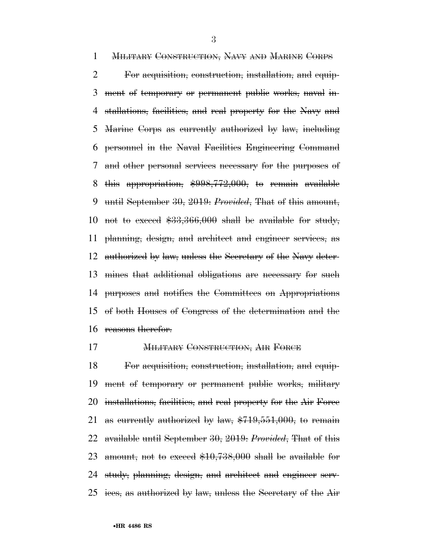MILITARY CONSTRUCTION, NAVY AND MARINE CORPS For acquisition, construction, installation, and equip- ment of temporary or permanent public works, naval in- stallations, facilities, and real property for the Navy and Marine Corps as currently authorized by law, including personnel in the Naval Facilities Engineering Command and other personal services necessary for the purposes of this appropriation, \$998,772,000, to remain available until September 30, 2019: *Provided*, That of this amount, 10 not to exceed  $$33,366,000$  shall be available for study, planning, design, and architect and engineer services, as authorized by law, unless the Secretary of the Navy deter- mines that additional obligations are necessary for such purposes and notifies the Committees on Appropriations of both Houses of Congress of the determination and the reasons therefor.

# **MILITARY CONSTRUCTION, AIR FORCE**

 For acquisition, construction, installation, and equip- ment of temporary or permanent public works, military installations, facilities, and real property for the Air Force 21 as eurrently authorized by law,  $$719,551,000$ , to remain available until September 30, 2019: *Provided*, That of this 23 amount, not to exceed  $$10,738,000$  shall be available for study, planning, design, and architect and engineer serv-ices, as authorized by law, unless the Secretary of the Air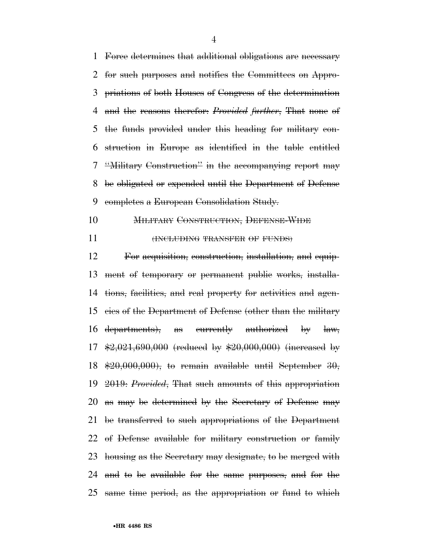Force determines that additional obligations are necessary for such purposes and notifies the Committees on Appro- priations of both Houses of Congress of the determination and the reasons therefor: *Provided further*, That none of the funds provided under this heading for military con- struction in Europe as identified in the table entitled ''Military Construction'' in the accompanying report may be obligated or expended until the Department of Defense completes a European Consolidation Study.

MILITARY CONSTRUCTION, DEFENSE-WIDE

**(INCLUDING TRANSFER OF FUNDS)** 

 For acquisition, construction, installation, and equip- ment of temporary or permanent public works, installa- tions, facilities, and real property for activities and agen- cies of the Department of Defense (other than the military departments), as currently authorized by law,  $\frac{17}{20.021,690,000}$  (reduced by  $\frac{120,000,000}{20,000}$  (increased by  $\text{$}20,000,000\text{)}$ , to remain available until September 30, 2019: *Provided*, That such amounts of this appropriation as may be determined by the Secretary of Defense may be transferred to such appropriations of the Department of Defense available for military construction or family housing as the Secretary may designate, to be merged with and to be available for the same purposes, and for the same time period, as the appropriation or fund to which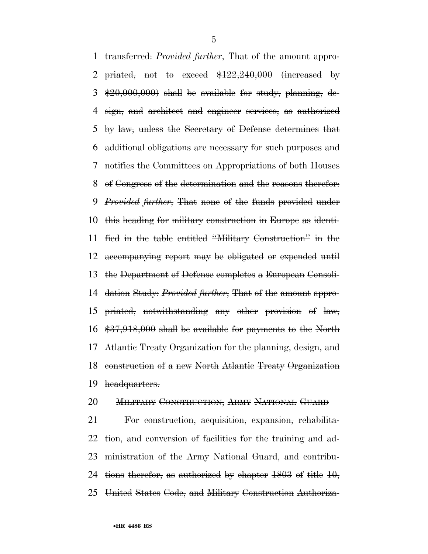transferred: *Provided further*, That of the amount appro-2 priated, not to exceed  $$122,240,000$  (increased by  $\&20,000,000$  shall be available for study, planning, de- sign, and architect and engineer services, as authorized by law, unless the Secretary of Defense determines that additional obligations are necessary for such purposes and notifies the Committees on Appropriations of both Houses of Congress of the determination and the reasons therefor: *Provided further*, That none of the funds provided under this heading for military construction in Europe as identi- fied in the table entitled ''Military Construction'' in the accompanying report may be obligated or expended until the Department of Defense completes a European Consoli- dation Study: *Provided further*, That of the amount appro- priated, notwithstanding any other provision of law, \$37,918,000 shall be available for payments to the North Atlantic Treaty Organization for the planning, design, and construction of a new North Atlantic Treaty Organization headquarters.

# MILITARY CONSTRUCTION, ARMY NATIONAL GUARD

 For construction, acquisition, expansion, rehabilita- tion, and conversion of facilities for the training and ad- ministration of the Army National Guard, and contribu- tions therefor, as authorized by chapter 1803 of title 10, United States Code, and Military Construction Authoriza-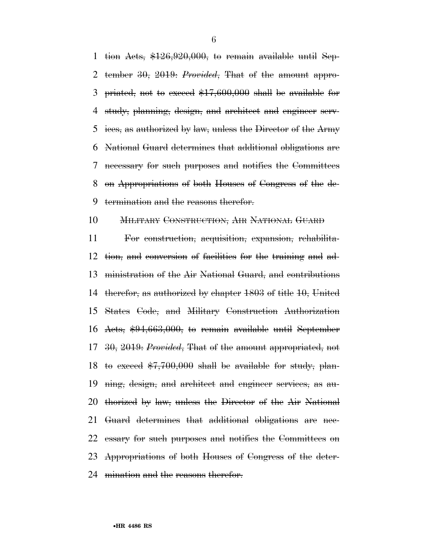1 tion Acts,  $$126,920,000$ , to remain available until Sep- tember 30, 2019: *Provided*, That of the amount appro- priated, not to exceed \$17,600,000 shall be available for study, planning, design, and architect and engineer serv- ices, as authorized by law, unless the Director of the Army National Guard determines that additional obligations are necessary for such purposes and notifies the Committees on Appropriations of both Houses of Congress of the de-termination and the reasons therefor.

# MILITARY CONSTRUCTION, AIR NATIONAL GUARD

 For construction, acquisition, expansion, rehabilita- tion, and conversion of facilities for the training and ad- ministration of the Air National Guard, and contributions therefor, as authorized by chapter 1803 of title 10, United States Code, and Military Construction Authorization Acts, \$94,663,000, to remain available until September 30, 2019: *Provided*, That of the amount appropriated, not 18 to exceed  $$7,700,000$  shall be available for study, plan- ning, design, and architect and engineer services, as au- thorized by law, unless the Director of the Air National Guard determines that additional obligations are nec- essary for such purposes and notifies the Committees on Appropriations of both Houses of Congress of the deter-mination and the reasons therefor.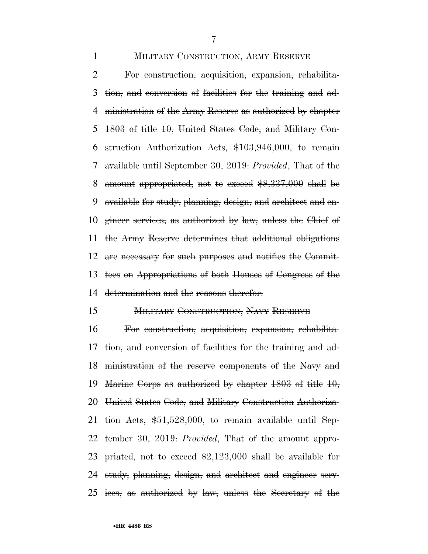**MILITARY CONSTRUCTION, ARMY RESERVE** 

 For construction, acquisition, expansion, rehabilita- tion, and conversion of facilities for the training and ad- ministration of the Army Reserve as authorized by chapter 1803 of title 10, United States Code, and Military Con- struction Authorization Acts, \$103,946,000, to remain available until September 30, 2019: *Provided*, That of the amount appropriated, not to exceed \$8,337,000 shall be available for study, planning, design, and architect and en- gineer services, as authorized by law, unless the Chief of the Army Reserve determines that additional obligations are necessary for such purposes and notifies the Commit- tees on Appropriations of both Houses of Congress of the determination and the reasons therefor.

# MILITARY CONSTRUCTION, NAVY RESERVE

 For construction, acquisition, expansion, rehabilita- tion, and conversion of facilities for the training and ad- ministration of the reserve components of the Navy and Marine Corps as authorized by chapter 1803 of title 10, United States Code, and Military Construction Authoriza- tion Acts, \$51,528,000, to remain available until Sep- tember 30, 2019: *Provided*, That of the amount appro-23 priated, not to exceed  $\frac{2,123,000}{2}$  shall be available for study, planning, design, and architect and engineer serv-ices, as authorized by law, unless the Secretary of the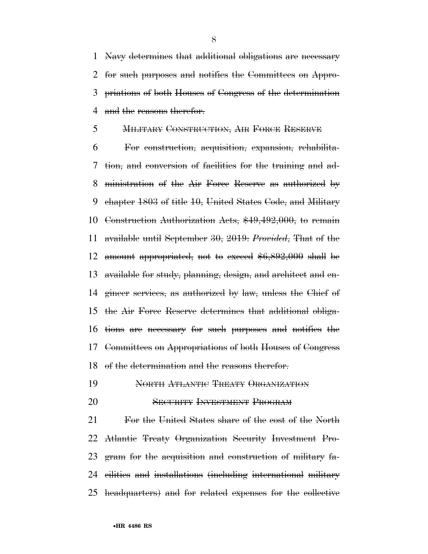Navy determines that additional obligations are necessary for such purposes and notifies the Committees on Appro- priations of both Houses of Congress of the determination 4 and the reasons therefor.

# MILITARY CONSTRUCTION, AIR FORCE RESERVE

 For construction, acquisition, expansion, rehabilita- tion, and conversion of facilities for the training and ad- ministration of the Air Force Reserve as authorized by chapter 1803 of title 10, United States Code, and Military Construction Authorization Acts, \$49,492,000, to remain available until September 30, 2019: *Provided*, That of the amount appropriated, not to exceed \$6,892,000 shall be available for study, planning, design, and architect and en- gineer services, as authorized by law, unless the Chief of the Air Force Reserve determines that additional obliga- tions are necessary for such purposes and notifies the Committees on Appropriations of both Houses of Congress of the determination and the reasons therefor.

- NORTH ATLANTIC TREATY ORGANIZATION
- SECURITY INVESTMENT PROGRAM

 For the United States share of the cost of the North Atlantic Treaty Organization Security Investment Pro- gram for the acquisition and construction of military fa- cilities and installations (including international military headquarters) and for related expenses for the collective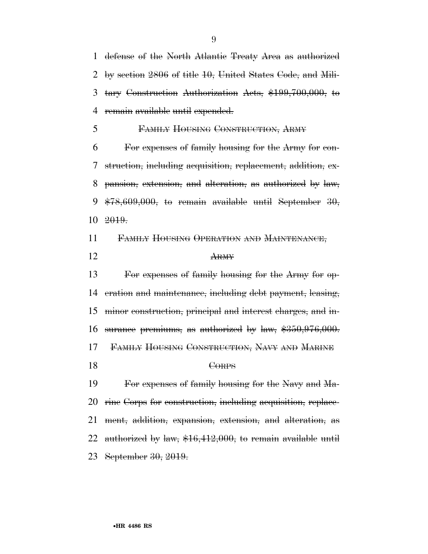defense of the North Atlantic Treaty Area as authorized by section 2806 of title 10, United States Code, and Mili- tary Construction Authorization Acts, \$199,700,000, to remain available until expended.

FAMILY HOUSING CONSTRUCTION, ARMY

 For expenses of family housing for the Army for con- struction, including acquisition, replacement, addition, ex- pansion, extension, and alteration, as authorized by law,  $*78,609,000$ , to remain available until September 30, 2019.

FAMILY HOUSING OPERATION AND MAINTENANCE,

ARMY

 For expenses of family housing for the Army for op- eration and maintenance, including debt payment, leasing, minor construction, principal and interest charges, and in- surance premiums, as authorized by law, \$350,976,000. FAMILY HOUSING CONSTRUCTION, NAVY AND MARINE CORPS

 For expenses of family housing for the Navy and Ma- rine Corps for construction, including acquisition, replace- ment, addition, expansion, extension, and alteration, as 22 authorized by law, \$16,412,000, to remain available until September 30, 2019.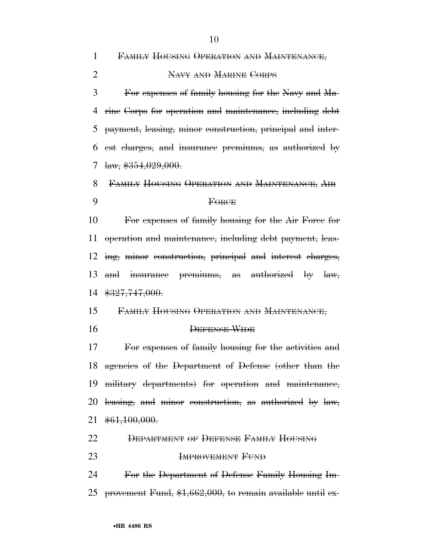FAMILY HOUSING OPERATION AND MAINTENANCE,

NAVY AND MARINE CORPS

 For expenses of family housing for the Navy and Ma- rine Corps for operation and maintenance, including debt payment, leasing, minor construction, principal and inter- est charges, and insurance premiums, as authorized by  $7 \text{ law}, \$354,029,000.$ 

 FAMILY HOUSING OPERATION AND MAINTENANCE, AIR FORCE

 For expenses of family housing for the Air Force for operation and maintenance, including debt payment, leas- ing, minor construction, principal and interest charges, and insurance premiums, as authorized by law, \$327,747,000.

- FAMILY HOUSING OPERATION AND MAINTENANCE,
- 

### DEFENSE-WIDE

 For expenses of family housing for the activities and agencies of the Department of Defense (other than the military departments) for operation and maintenance, leasing, and minor construction, as authorized by law, \$61,100,000.

# DEPARTMENT OF DEFENSE FAMILY HOUSING

**IMPROVEMENT FUND** 

 For the Department of Defense Family Housing Im-provement Fund, \$1,662,000, to remain available until ex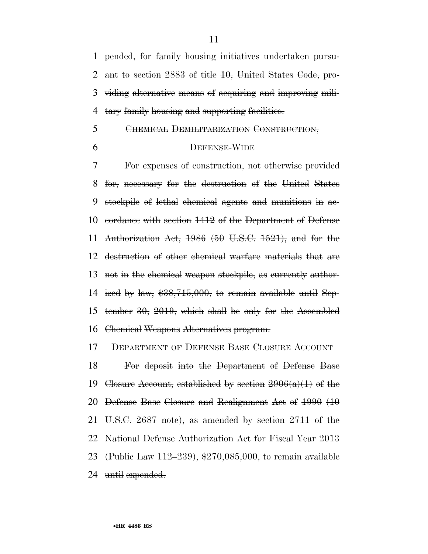pended, for family housing initiatives undertaken pursu- ant to section 2883 of title 10, United States Code, pro- viding alternative means of acquiring and improving mili-tary family housing and supporting facilities.

# CHEMICAL DEMILITARIZATION CONSTRUCTION,

# DEFENSE-WIDE

 For expenses of construction, not otherwise provided for, necessary for the destruction of the United States stockpile of lethal chemical agents and munitions in ac- cordance with section 1412 of the Department of Defense 11 Authorization Act, (50 U.S.C.  $1521$ ), and for the destruction of other chemical warfare materials that are not in the chemical weapon stockpile, as currently author- ized by law, \$38,715,000, to remain available until Sep- tember 30, 2019, which shall be only for the Assembled Chemical Weapons Alternatives program.

DEPARTMENT OF DEFENSE BASE CLOSURE ACCOUNT

 For deposit into the Department of Defense Base 19 Closure Account, established by section  $2906(a)(1)$  of the Defense Base Closure and Realignment Act of 1990 (10 U.S.C. 2687 note), as amended by section 2711 of the National Defense Authorization Act for Fiscal Year 2013 (Public Law 112–239), \$270,085,000, to remain available 24 until expended.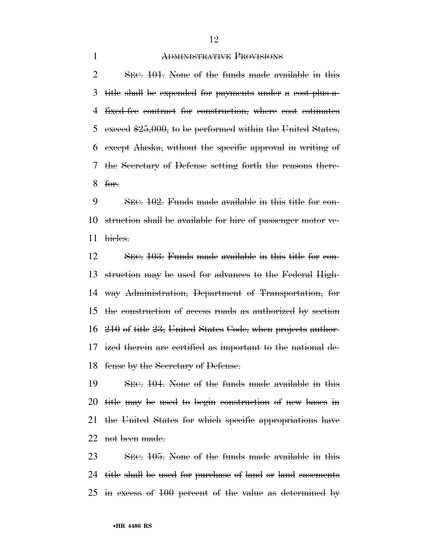#### ADMINISTRATIVE PROVISIONS

 SEC. 101. None of the funds made available in this title shall be expended for payments under a cost-plus-a- fixed-fee contract for construction, where cost estimates 5 exceed  $$25,000$ , to be performed within the United States, except Alaska, without the specific approval in writing of the Secretary of Defense setting forth the reasons there-for.

 SEC. 102. Funds made available in this title for con- struction shall be available for hire of passenger motor ve-hicles.

 SEC. 103. Funds made available in this title for con- struction may be used for advances to the Federal High- way Administration, Department of Transportation, for the construction of access roads as authorized by section 210 of title 23, United States Code, when projects author- ized therein are certified as important to the national de-fense by the Secretary of Defense.

 SEC. 104. None of the funds made available in this title may be used to begin construction of new bases in the United States for which specific appropriations have 22 not been made.

 SEC. 105. None of the funds made available in this title shall be used for purchase of land or land easements in excess of 100 percent of the value as determined by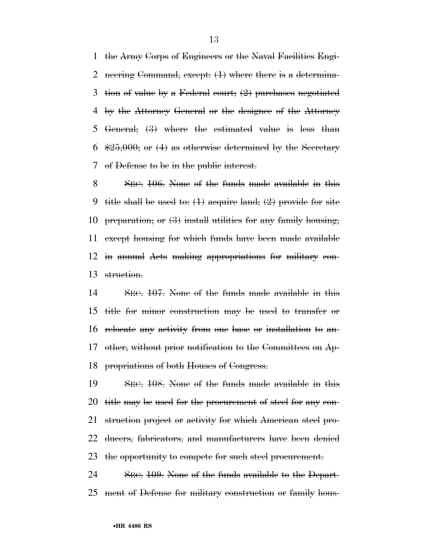the Army Corps of Engineers or the Naval Facilities Engi- neering Command, except: (1) where there is a determina- tion of value by a Federal court; (2) purchases negotiated by the Attorney General or the designee of the Attorney General; (3) where the estimated value is less than  $\frac{125,000}{1}$  or (4) as otherwise determined by the Secretary of Defense to be in the public interest.

 SEC. 106. None of the funds made available in this 9 title shall be used to:  $(1)$  acquire land;  $(2)$  provide for site 10 preparation; or  $(3)$  install utilities for any family housing, except housing for which funds have been made available in annual Acts making appropriations for military con-struction.

 SEC. 107. None of the funds made available in this title for minor construction may be used to transfer or relocate any activity from one base or installation to an- other, without prior notification to the Committees on Ap-propriations of both Houses of Congress.

 SEC. 108. None of the funds made available in this title may be used for the procurement of steel for any con- struction project or activity for which American steel pro- ducers, fabricators, and manufacturers have been denied the opportunity to compete for such steel procurement.

 SEC. 109. None of the funds available to the Depart-ment of Defense for military construction or family hous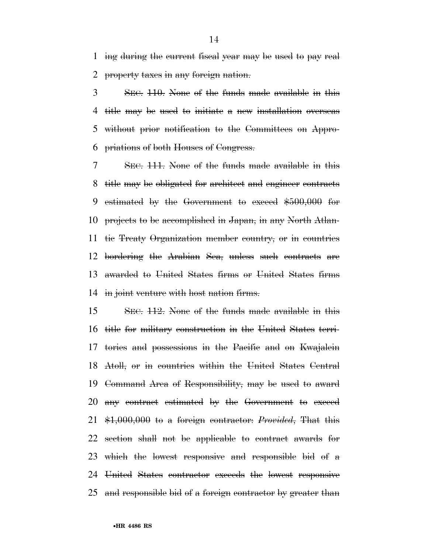ing during the current fiscal year may be used to pay real property taxes in any foreign nation.

 SEC. 110. None of the funds made available in this title may be used to initiate a new installation overseas without prior notification to the Committees on Appro-priations of both Houses of Congress.

 SEC. 111. None of the funds made available in this title may be obligated for architect and engineer contracts estimated by the Government to exceed \$500,000 for projects to be accomplished in Japan, in any North Atlan- tic Treaty Organization member country, or in countries bordering the Arabian Sea, unless such contracts are awarded to United States firms or United States firms in joint venture with host nation firms.

 SEC. 112. None of the funds made available in this title for military construction in the United States terri- tories and possessions in the Pacific and on Kwajalein Atoll, or in countries within the United States Central Command Area of Responsibility, may be used to award any contract estimated by the Government to exceed \$1,000,000 to a foreign contractor: *Provided*, That this section shall not be applicable to contract awards for which the lowest responsive and responsible bid of a United States contractor exceeds the lowest responsive and responsible bid of a foreign contractor by greater than

•**HR 4486 RS**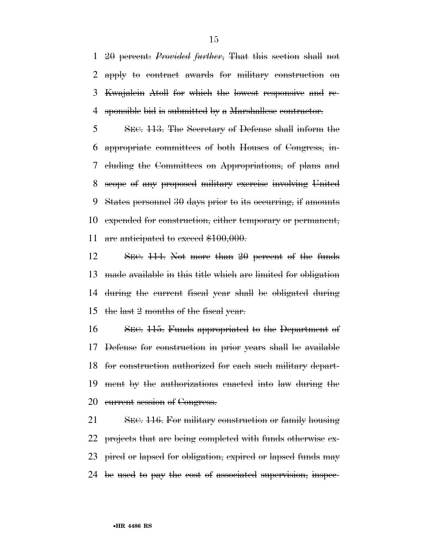20 percent: *Provided further*, That this section shall not apply to contract awards for military construction on Kwajalein Atoll for which the lowest responsive and re-sponsible bid is submitted by a Marshallese contractor.

 SEC. 113. The Secretary of Defense shall inform the appropriate committees of both Houses of Congress, in- cluding the Committees on Appropriations, of plans and scope of any proposed military exercise involving United States personnel 30 days prior to its occurring, if amounts expended for construction, either temporary or permanent, 11 are anticipated to exceed \$100,000.

 SEC. 114. Not more than 20 percent of the funds made available in this title which are limited for obligation during the current fiscal year shall be obligated during the last 2 months of the fiscal year.

 SEC. 115. Funds appropriated to the Department of Defense for construction in prior years shall be available for construction authorized for each such military depart- ment by the authorizations enacted into law during the 20 current session of Congress.

 SEC. 116. For military construction or family housing projects that are being completed with funds otherwise ex-23 pired or lapsed for obligation, expired or lapsed funds may 24 be used to pay the cost of associated supervision, inspec-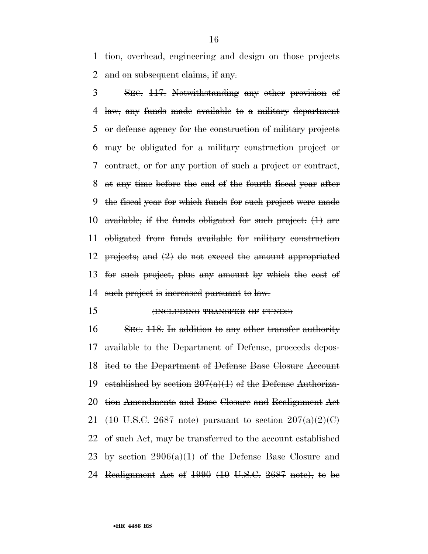tion, overhead, engineering and design on those projects 2 and on subsequent claims, if any.

 SEC. 117. Notwithstanding any other provision of law, any funds made available to a military department or defense agency for the construction of military projects may be obligated for a military construction project or contract, or for any portion of such a project or contract, at any time before the end of the fourth fiscal year after the fiscal year for which funds for such project were made 10 available, if the funds obligated for such project:  $(1)$  are obligated from funds available for military construction projects; and (2) do not exceed the amount appropriated for such project, plus any amount by which the cost of 14 such project is increased pursuant to law.

15 (INCLUDING TRANSFER OF FUNDS)

16 SEC. 118. In addition to any other transfer authority available to the Department of Defense, proceeds depos- ited to the Department of Defense Base Closure Account 19 established by section  $207(a)(1)$  of the Defense Authoriza- tion Amendments and Base Closure and Realignment Act 21 (10 U.S.C. 2687 note) pursuant to section  $207(a)(2)(C)$ 22 of such Act, may be transferred to the account established 23 by section  $2906(a)(1)$  of the Defense Base Closure and Realignment Act of 1990 (10 U.S.C. 2687 note), to be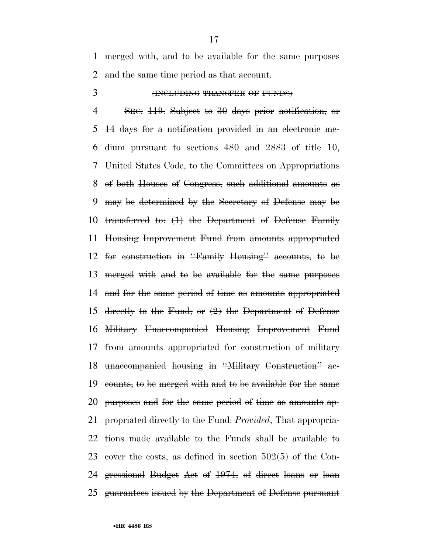merged with, and to be available for the same purposes 2 and the same time period as that account.

# (INCLUDING TRANSFER OF FUNDS)

 SEC. 119. Subject to 30 days prior notification, or 14 days for a notification provided in an electronic me-6 dium pursuant to sections and  $2883$  of title  $10$ , United States Code, to the Committees on Appropriations of both Houses of Congress, such additional amounts as may be determined by the Secretary of Defense may be transferred to: (1) the Department of Defense Family Housing Improvement Fund from amounts appropriated for construction in ''Family Housing'' accounts, to be merged with and to be available for the same purposes and for the same period of time as amounts appropriated directly to the Fund; or (2) the Department of Defense Military Unaccompanied Housing Improvement Fund from amounts appropriated for construction of military unaccompanied housing in ''Military Construction'' ac- counts, to be merged with and to be available for the same purposes and for the same period of time as amounts ap- propriated directly to the Fund: *Provided*, That appropria- tions made available to the Funds shall be available to 23 cover the costs, as defined in section  $502(5)$  of the Con- gressional Budget Act of 1974, of direct loans or loan guarantees issued by the Department of Defense pursuant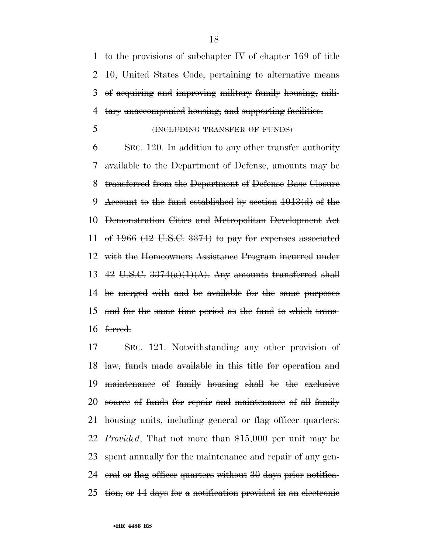1 to the provisions of subchapter  $\mu$  of chapter 169 of title 10, United States Code, pertaining to alternative means of acquiring and improving military family housing, mili-tary unaccompanied housing, and supporting facilities.

(INCLUDING TRANSFER OF FUNDS)

 SEC. 120. In addition to any other transfer authority available to the Department of Defense, amounts may be transferred from the Department of Defense Base Closure Account to the fund established by section 1013(d) of the Demonstration Cities and Metropolitan Development Act 11 of (42 U.S.C. 3374) to pay for expenses associated with the Homeowners Assistance Program incurred under 13 42 U.S.C.  $3374(a)(1)(A)$ . Any amounts transferred shall be merged with and be available for the same purposes and for the same time period as the fund to which trans-ferred.

 SEC. 121. Notwithstanding any other provision of law, funds made available in this title for operation and maintenance of family housing shall be the exclusive 20 source of funds for repair and maintenance of all family 21 housing units, including general or flag officer quarters: *Provided*, That not more than \$15,000 per unit may be spent annually for the maintenance and repair of any gen- eral or flag officer quarters without 30 days prior notifica-tion, or 14 days for a notification provided in an electronic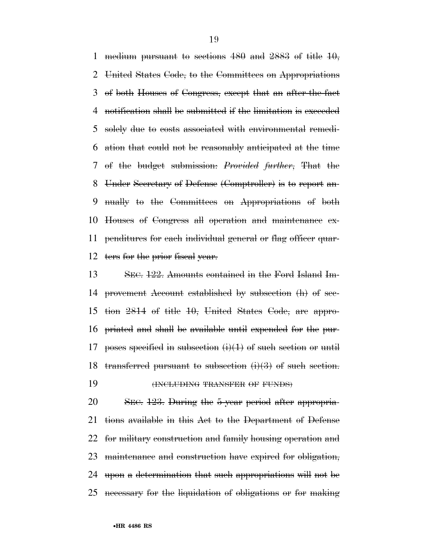1 medium pursuant to sections and  $2883$  of title  $10$ , United States Code, to the Committees on Appropriations of both Houses of Congress, except that an after-the-fact notification shall be submitted if the limitation is exceeded solely due to costs associated with environmental remedi- ation that could not be reasonably anticipated at the time of the budget submission: *Provided further*, That the Under Secretary of Defense (Comptroller) is to report an- nually to the Committees on Appropriations of both Houses of Congress all operation and maintenance ex- penditures for each individual general or flag officer quar-12 ters for the prior fiscal year.

 SEC. 122. Amounts contained in the Ford Island Im- provement Account established by subsection (h) of sec- tion 2814 of title 10, United States Code, are appro- priated and shall be available until expended for the pur-17 poses specified in subsection  $(i)(1)$  of such section or until 18 transferred pursuant to subsection  $(i)(3)$  of such section. **(INCLUDING TRANSFER OF FUNDS)** 

 SEC. 123. During the 5-year period after appropria- tions available in this Act to the Department of Defense for military construction and family housing operation and maintenance and construction have expired for obligation, upon a determination that such appropriations will not be necessary for the liquidation of obligations or for making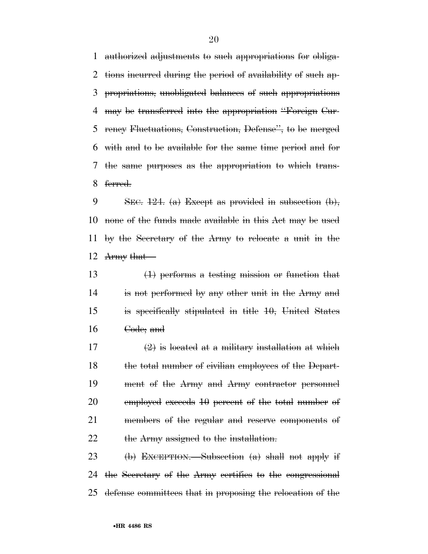authorized adjustments to such appropriations for obliga- tions incurred during the period of availability of such ap- propriations, unobligated balances of such appropriations may be transferred into the appropriation ''Foreign Cur- rency Fluctuations, Construction, Defense'', to be merged with and to be available for the same time period and for the same purposes as the appropriation to which trans-ferred.

9 SEC.  $124.$  (a) Except as provided in subsection (b), none of the funds made available in this Act may be used by the Secretary of the Army to relocate a unit in the Army that—

 (1) performs a testing mission or function that is not performed by any other unit in the Army and is specifically stipulated in title 10, United States Code; and

17  $\left(2\right)$  is located at a military installation at which 18 the total number of civilian employees of the Depart- ment of the Army and Army contractor personnel 20 employed exceeds 10 percent of the total number of members of the regular and reserve components of 22 the Army assigned to the installation.

23 (b) EXCEPTION.—Subsection  $(a)$  shall not apply if the Secretary of the Army certifies to the congressional defense committees that in proposing the relocation of the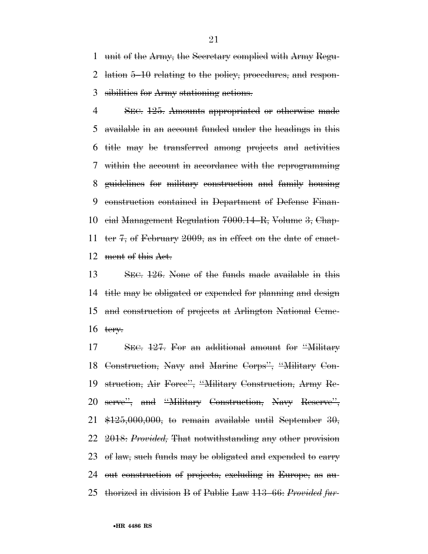unit of the Army, the Secretary complied with Army Regu- lation 5–10 relating to the policy, procedures, and respon-sibilities for Army stationing actions.

4 SEC. 125. Amounts appropriated or otherwise made available in an account funded under the headings in this title may be transferred among projects and activities within the account in accordance with the reprogramming guidelines for military construction and family housing construction contained in Department of Defense Finan- cial Management Regulation 7000.14–R, Volume 3, Chap- ter 7, of February 2009, as in effect on the date of enact-ment of this Act.

 SEC. 126. None of the funds made available in this title may be obligated or expended for planning and design and construction of projects at Arlington National Ceme-16  $t$ ery.

 SEC. 127. For an additional amount for ''Military Construction, Navy and Marine Corps'', ''Military Con- struction, Air Force'', ''Military Construction, Army Re- serve'', and ''Military Construction, Navy Reserve'',  $\frac{125,000,000}{1000}$ , to remain available until September 30, 2018: *Provided,* That notwithstanding any other provision 23 of law, such funds may be obligated and expended to carry out construction of projects, excluding in Europe, as au-thorized in division B of Public Law 113–66: *Provided fur-*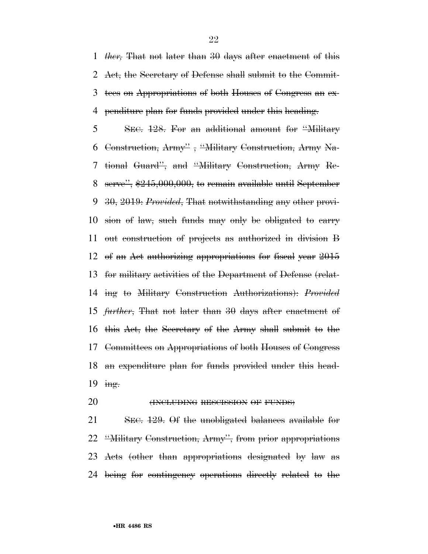*ther,* That not later than 30 days after enactment of this Act, the Secretary of Defense shall submit to the Commit- tees on Appropriations of both Houses of Congress an ex-penditure plan for funds provided under this heading.

 SEC. 128. For an additional amount for ''Military Construction, Army'' , ''Military Construction, Army Na- tional Guard'', and ''Military Construction, Army Re- serve'', \$245,000,000, to remain available until September 30, 2019: *Provided*, That notwithstanding any other provi- sion of law, such funds may only be obligated to carry out construction of projects as authorized in division B of an Act authorizing appropriations for fiscal year 2015 for military activities of the Department of Defense (relat- ing to Military Construction Authorizations): *Provided further*, That not later than 30 days after enactment of this Act, the Secretary of the Army shall submit to the Committees on Appropriations of both Houses of Congress an expenditure plan for funds provided under this head-19 ing.

**(INCLUDING RESCISSION OF FUNDS)** 

21 SEC. 129. Of the unobligated balances available for ''Military Construction, Army'', from prior appropriations Acts (other than appropriations designated by law as being for contingency operations directly related to the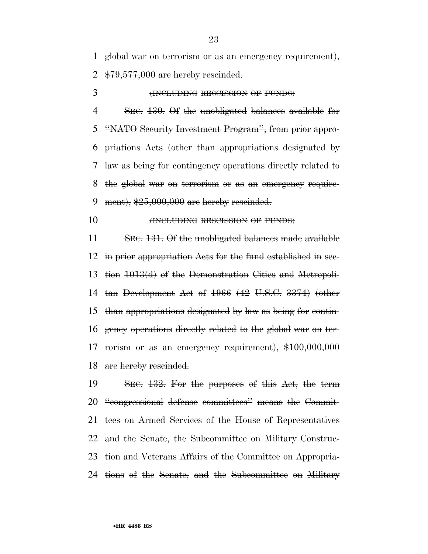global war on terrorism or as an emergency requirement),

2  $$79,577,000$  are hereby rescinded.

3 (INCLUDING RESCISSION OF FUNDS)

 SEC. 130. Of the unobligated balances available for ''NATO Security Investment Program'', from prior appro- priations Acts (other than appropriations designated by law as being for contingency operations directly related to the global war on terrorism or as an emergency require-9 ment),  $$25,000,000$  are hereby rescinded.

**(INCLUDING RESCISSION OF FUNDS)** 

 SEC. 131. Of the unobligated balances made available in prior appropriation Acts for the fund established in sec- tion 1013(d) of the Demonstration Cities and Metropoli- tan Development Act of 1966 (42 U.S.C. 3374) (other than appropriations designated by law as being for contin- gency operations directly related to the global war on ter- rorism or as an emergency requirement), \$100,000,000 18 are hereby rescinded.

 SEC. 132. For the purposes of this Act, the term ''congressional defense committees'' means the Commit- tees on Armed Services of the House of Representatives and the Senate, the Subcommittee on Military Construc- tion and Veterans Affairs of the Committee on Appropria-tions of the Senate, and the Subcommittee on Military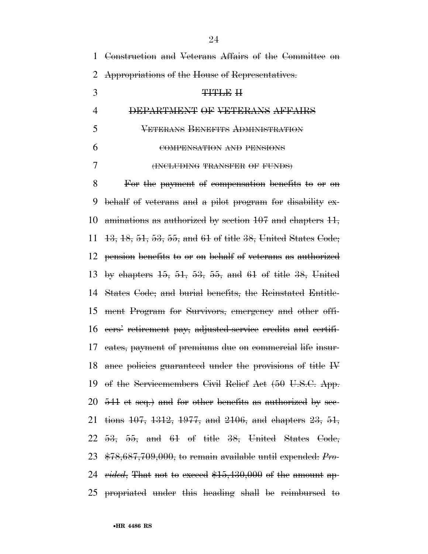| 1              | Construction and Veterans Affairs of the Committee on                   |
|----------------|-------------------------------------------------------------------------|
| $\overline{2}$ | Appropriations of the House of Representatives.                         |
| 3              | TITLE H                                                                 |
| 4              | DEPARTMENT OF VETERANS AFFAIRS                                          |
| 5              | <b>VETERANS BENEFITS ADMINISTRATION</b>                                 |
| 6              | COMPENSATION AND PENSIONS                                               |
| 7              | (INCLUDING TRANSFER OF FUNDS)                                           |
| 8              | For the payment of compensation benefits to or on                       |
| 9              | behalf of veterans and a pilot program for disability ex-               |
| 10             | aminations as authorized by section 107 and chapters 11,                |
| 11             | 13, 18, 51, 53, 55, and 61 of title 38, United States Code;             |
| 12             | pension benefits to or on behalf of veterans as authorized              |
| 13             | by chapters $15$ , $51$ , $53$ , $55$ , and $61$ of title $38$ , United |
| 14             | States Gode; and burial benefits, the Reinstated Entitle-               |
| 15             | ment Program for Survivors, emergency and other offi-                   |
| 16             | eers' retirement pay, adjusted-service eredits and certifi-             |
|                | 17 eates, payment of premiums due on commercial life insur-             |
|                | 18 ance policies guaranteed under the provisions of title IV            |
|                | 19 of the Servicemembers Civil Relief Act (50 U.S.C. App.               |
|                | 20 $-541$ et seq.) and for other benefits as authorized by sec-         |
|                | 21 tions 407, 4342, 4977, and 2106, and chapters 23, 54,                |
|                | $22$ $53$ , $55$ , and $61$ of title $38$ , United States Code,         |
|                | 23 $*78,687,709,000$ , to remain available until expended: Pro-         |
|                | 24 $~vided, ~{\rm That~not~to~exceed~$15,430,000~of~the~amount~app-}$   |
|                | 25 propriated under this heading shall be reimbursed to                 |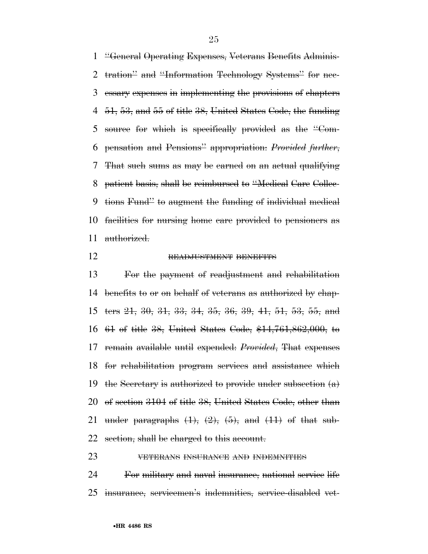''General Operating Expenses, Veterans Benefits Adminis- tration'' and ''Information Technology Systems'' for nec- essary expenses in implementing the provisions of chapters 51, 53, and 55 of title 38, United States Code, the funding 5 source for which is specifically provided as the "Com- pensation and Pensions'' appropriation: *Provided further*, That such sums as may be earned on an actual qualifying patient basis, shall be reimbursed to ''Medical Care Collec- tions Fund'' to augment the funding of individual medical facilities for nursing home care provided to pensioners as authorized.

#### READJUSTMENT BENEFITS

 For the payment of readjustment and rehabilitation benefits to or on behalf of veterans as authorized by chap- ters 21, 30, 31, 33, 34, 35, 36, 39, 41, 51, 53, 55, and 61 of title 38, United States Code, \$14,761,862,000, to remain available until expended: *Provided*, That expenses for rehabilitation program services and assistance which 19 the Secretary is authorized to provide under subsection  $(a)$  of section 3104 of title 38, United States Code, other than 21 under paragraphs  $(1)$ ,  $(2)$ ,  $(5)$ , and  $(11)$  of that sub-22 section, shall be charged to this account.

# VETERANS INSURANCE AND INDEMNITIES

 For military and naval insurance, national service life insurance, servicemen's indemnities, service-disabled vet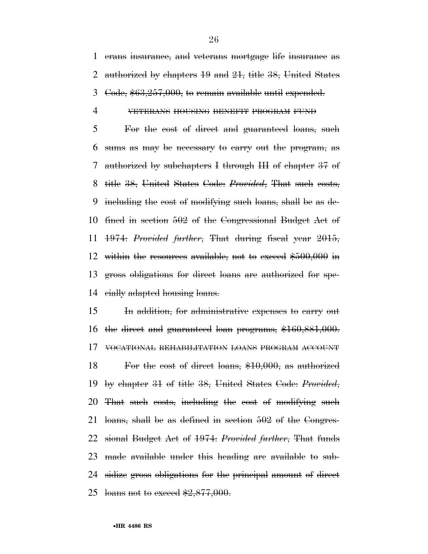erans insurance, and veterans mortgage life insurance as authorized by chapters 19 and 21, title 38, United States Code, \$63,257,000, to remain available until expended.

#### VETERANS HOUSING BENEFIT PROGRAM FUND

 For the cost of direct and guaranteed loans, such sums as may be necessary to carry out the program, as authorized by subchapters I through III of chapter 37 of title 38, United States Code: *Provided*, That such costs, including the cost of modifying such loans, shall be as de- fined in section 502 of the Congressional Budget Act of 1974: *Provided further*, That during fiscal year 2015, 12 within the resources available, not to exceed \$500,000 in gross obligations for direct loans are authorized for spe-cially adapted housing loans.

 In addition, for administrative expenses to carry out the direct and guaranteed loan programs, \$160,881,000. VOCATIONAL REHABILITATION LOANS PROGRAM ACCOUNT For the cost of direct loans, \$10,000, as authorized by chapter 31 of title 38, United States Code: *Provided*, That such costs, including the cost of modifying such loans, shall be as defined in section 502 of the Congres- sional Budget Act of 1974: *Provided further*, That funds made available under this heading are available to sub-24 sidize gross obligations for the principal amount of direct 25 loans not to exceed  $$2,877,000$ .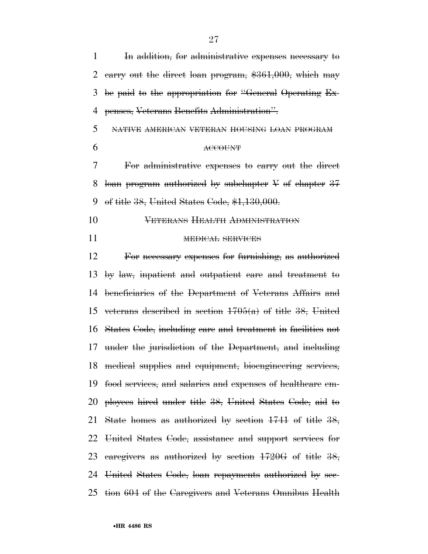| 1  | In addition, for administrative expenses necessary to          |
|----|----------------------------------------------------------------|
| 2  | earry out the direct loan program, \$361,000, which may        |
| 3  | be paid to the appropriation for "General Operating Ex-        |
| 4  | penses, Veterans Benefits Administration".                     |
| 5  | NATIVE AMERICAN VETERAN HOUSING LOAN PROGRAM                   |
| 6  | <b>ACCOUNT</b>                                                 |
| 7  | For administrative expenses to earry out the direct            |
| 8  | loan program authorized by subchapter $V$ of chapter 37        |
| 9  | of title $38$ , United States Code, $$1,130,000$ .             |
| 10 | VETERANS HEALTH ADMINISTRATION                                 |
| 11 | <b>MEDICAL SERVICES</b>                                        |
| 12 | For necessary expenses for furnishing, as authorized           |
| 13 | by law, inpatient and outpatient care and treatment to         |
| 14 | beneficiaries of the Department of Veterans Affairs and        |
| 15 | veterans described in section $1705(a)$ of title 38, United    |
|    | 16 States Code, including care and treatment in facilities not |
| 17 | under the jurisdiction of the Department, and including        |
|    | 18 medical supplies and equipment, bioengineering services,    |
|    | 19 food services, and salaries and expenses of healthcare em-  |
|    | 20 ployees hired under title 38, United States Code, aid to    |
|    | 21 State homes as authorized by section 1741 of title 38,      |
|    | 22 United States Code, assistance and support services for     |
|    | 23 earegivers as authorized by section $1720G$ of title $38$ , |
|    | 24 United States Code, loan repayments authorized by see-      |
|    | 25 tion 604 of the Caregivers and Veterans Omnibus Health      |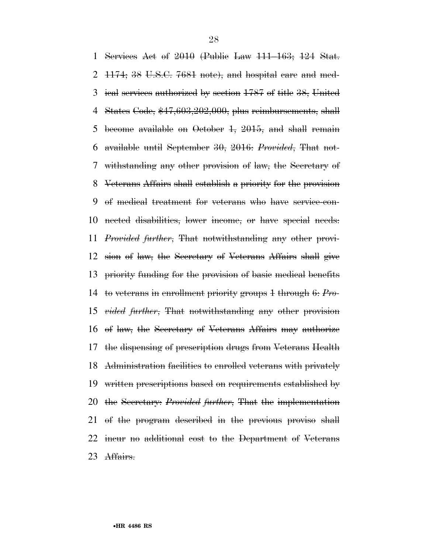Services Act of 2010 (Public Law 111–163; 124 Stat.  $1174$ ; 38 U.S.C. 7681 note), and hospital care and med- ical services authorized by section 1787 of title 38, United States Code, \$47,603,202,000, plus reimbursements, shall become available on October 1, 2015, and shall remain available until September 30, 2016: *Provided*, That not- withstanding any other provision of law, the Secretary of Veterans Affairs shall establish a priority for the provision of medical treatment for veterans who have service-con- nected disabilities, lower income, or have special needs: *Provided further*, That notwithstanding any other provi- sion of law, the Secretary of Veterans Affairs shall give priority funding for the provision of basic medical benefits to veterans in enrollment priority groups 1 through 6: *Pro- vided further*, That notwithstanding any other provision of law, the Secretary of Veterans Affairs may authorize the dispensing of prescription drugs from Veterans Health Administration facilities to enrolled veterans with privately written prescriptions based on requirements established by the Secretary: *Provided further*, That the implementation of the program described in the previous proviso shall incur no additional cost to the Department of Veterans Affairs.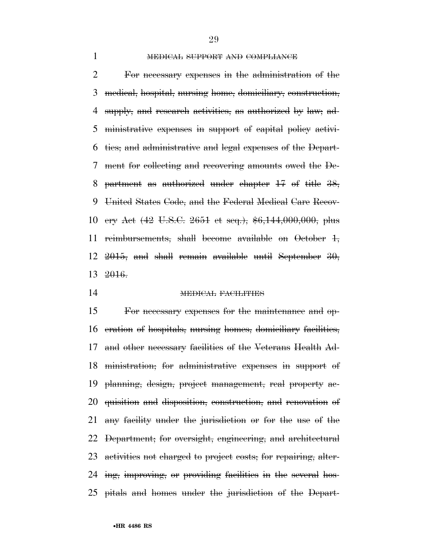# 1 MEDICAL SUPPORT AND COMPLIANCE

 For necessary expenses in the administration of the medical, hospital, nursing home, domiciliary, construction, supply, and research activities, as authorized by law; ad- ministrative expenses in support of capital policy activi- ties; and administrative and legal expenses of the Depart- ment for collecting and recovering amounts owed the De- partment as authorized under chapter 17 of title 38, United States Code, and the Federal Medical Care Recov- ery Act (42 U.S.C. 2651 et seq.), \$6,144,000,000, plus reimbursements, shall become available on October 1, , and shall remain available until September  $30$ , 2016.

MEDICAL FACILITIES

 For necessary expenses for the maintenance and op- eration of hospitals, nursing homes, domiciliary facilities, and other necessary facilities of the Veterans Health Ad- ministration; for administrative expenses in support of planning, design, project management, real property ac- quisition and disposition, construction, and renovation of any facility under the jurisdiction or for the use of the Department; for oversight, engineering, and architectural activities not charged to project costs; for repairing, alter- ing, improving, or providing facilities in the several hos-pitals and homes under the jurisdiction of the Depart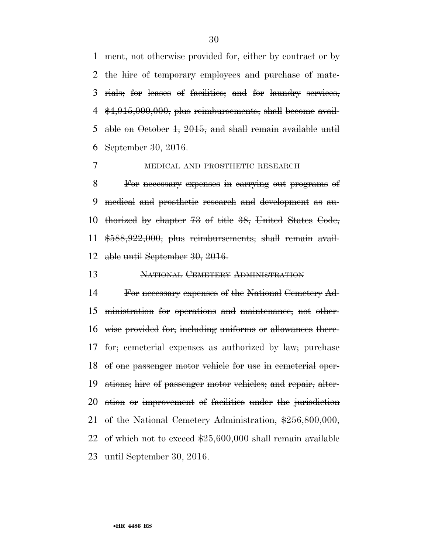ment, not otherwise provided for, either by contract or by the hire of temporary employees and purchase of mate- rials; for leases of facilities; and for laundry services,  $4\frac{$4,915,000,000,}{000,000,000,000}$  plus reimbursements, shall become avail- able on October 1, 2015, and shall remain available until September 30, 2016.

# 7 MEDICAL AND PROSTHETIC RESEARCH

 For necessary expenses in carrying out programs of medical and prosthetic research and development as au- thorized by chapter 73 of title 38, United States Code, \$588,922,000, plus reimbursements, shall remain avail-able until September 30, 2016.

NATIONAL CEMETERY ADMINISTRATION

 For necessary expenses of the National Cemetery Ad- ministration for operations and maintenance, not other- wise provided for, including uniforms or allowances there- for; cemeterial expenses as authorized by law; purchase of one passenger motor vehicle for use in cemeterial oper- ations; hire of passenger motor vehicles; and repair, alter- ation or improvement of facilities under the jurisdiction of the National Cemetery Administration, \$256,800,000, of which not to exceed \$25,600,000 shall remain available until September 30, 2016.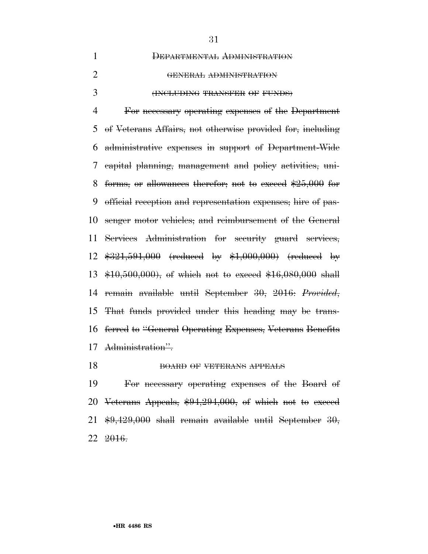| $\mathbf{1}$   | DEPARTMENTAL ADMINISTRATION                                  |
|----------------|--------------------------------------------------------------|
| $\overline{2}$ | GENERAL ADMINISTRATION                                       |
| 3              | (INCLUDING TRANSFER OF FUNDS)                                |
| $\overline{4}$ | For necessary operating expenses of the Department           |
| 5              | of Veterans Affairs, not otherwise provided for, including   |
| 6              | administrative expenses in support of Department-Wide        |
| 7              | eapital planning, management and policy activities, uni-     |
| 8              | forms, or allowances therefor, not to exceed $$25,000$ for   |
| 9              | official reception and representation expenses; hire of pas- |
| 10             | senger motor vehicles; and reimbursement of the General      |
| 11             | Services Administration for security guard services,         |
| 12             | $$321,591,000$ (reduced by $$1,000,000$ ) (reduced by        |
| 13             | $$10,500,000$ , of which not to exceed $$16,080,000$ shall   |
| 14             | remain available until September 30, 2016: Provided,         |
| 15             | That funds provided under this heading may be trans-         |
| 16             | ferred to "General Operating Expenses, Veterans Benefits     |
| 17             | Administration".                                             |
|                |                                                              |

# 18 BOARD OF VETERANS APPEALS

 For necessary operating expenses of the Board of Veterans Appeals, \$94,294,000, of which not to exceed \$9,429,000 shall remain available until September 30, 2016.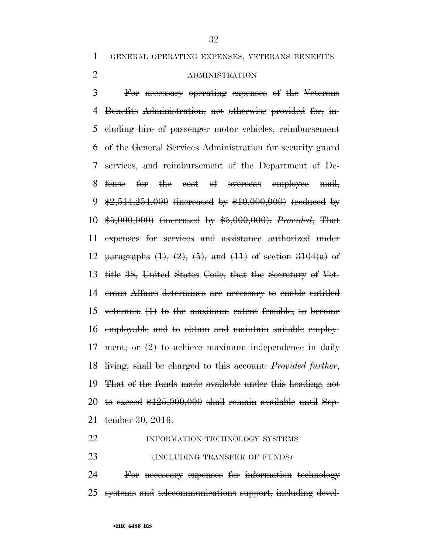GENERAL OPERATING EXPENSES, VETERANS BENEFITS

# ADMINISTRATION

 For necessary operating expenses of the Veterans Benefits Administration, not otherwise provided for, in- cluding hire of passenger motor vehicles, reimbursement of the General Services Administration for security guard services, and reimbursement of the Department of De- fense for the cost of overseas employee mail,  $\frac{1}{2}$ , 514, 254, 000 (increased by \$10, 000, 000) (reduced by \$5,000,000) (increased by \$5,000,000): *Provided*, That expenses for services and assistance authorized under 12 paragraphs  $(1)$ ,  $(2)$ ,  $(5)$ , and  $(11)$  of section  $3104(a)$  of title 38, United States Code, that the Secretary of Vet- erans Affairs determines are necessary to enable entitled veterans: (1) to the maximum extent feasible, to become employable and to obtain and maintain suitable employ-17 ment; or  $(2)$  to achieve maximum independence in daily living, shall be charged to this account: *Provided further*, That of the funds made available under this heading, not 20 to exceed  $$125,000,000$  shall remain available until Sep-tember 30, 2016.

# **INFORMATION TECHNOLOGY SYSTEMS**

**(INCLUDING TRANSFER OF FUNDS)** 

 For necessary expenses for information technology systems and telecommunications support, including devel-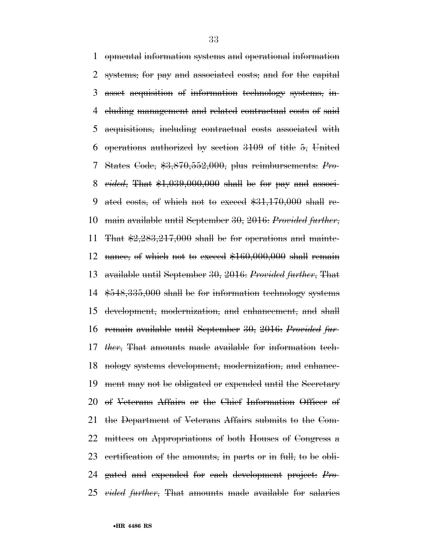opmental information systems and operational information systems; for pay and associated costs; and for the capital asset acquisition of information technology systems, in- cluding management and related contractual costs of said acquisitions, including contractual costs associated with operations authorized by section 3109 of title 5, United States Code, \$3,870,552,000, plus reimbursements: *Pro- vided*, That \$1,039,000,000 shall be for pay and associ- ated costs, of which not to exceed \$31,170,000 shall re- main available until September 30, 2016: *Provided further*, 11 That  $\frac{2.283,217,000}{2}$  shall be for operations and mainte-12 nance, of which not to exceed  $$160,000,000$  shall remain available until September 30, 2016: *Provided further*, That \$548,335,000 shall be for information technology systems development, modernization, and enhancement, and shall remain available until September 30, 2016: *Provided fur- ther*, That amounts made available for information tech- nology systems development, modernization, and enhance- ment may not be obligated or expended until the Secretary of Veterans Affairs or the Chief Information Officer of the Department of Veterans Affairs submits to the Com- mittees on Appropriations of both Houses of Congress a certification of the amounts, in parts or in full, to be obli- gated and expended for each development project: *Pro-vided further*, That amounts made available for salaries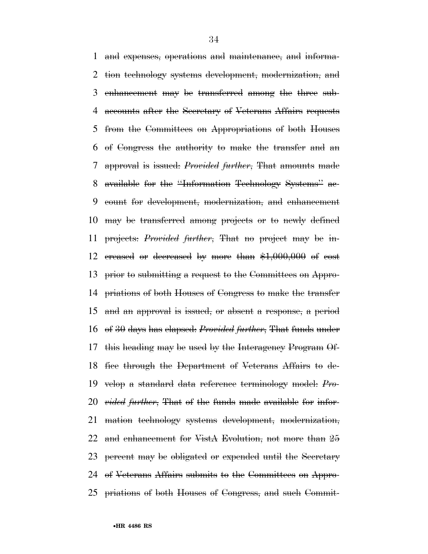and expenses, operations and maintenance, and informa- tion technology systems development, modernization, and enhancement may be transferred among the three sub- accounts after the Secretary of Veterans Affairs requests from the Committees on Appropriations of both Houses of Congress the authority to make the transfer and an approval is issued: *Provided further*, That amounts made available for the ''Information Technology Systems'' ac- count for development, modernization, and enhancement may be transferred among projects or to newly defined projects: *Provided further*, That no project may be in- creased or decreased by more than \$1,000,000 of cost prior to submitting a request to the Committees on Appro- priations of both Houses of Congress to make the transfer and an approval is issued, or absent a response, a period of 30 days has elapsed: *Provided further*, That funds under this heading may be used by the Interagency Program Of- fice through the Department of Veterans Affairs to de- velop a standard data reference terminology model: *Pro- vided further*, That of the funds made available for infor- mation technology systems development, modernization, 22 and enhancement for VistA Evolution, not more than 25 23 percent may be obligated or expended until the Secretary of Veterans Affairs submits to the Committees on Appro-priations of both Houses of Congress, and such Commit-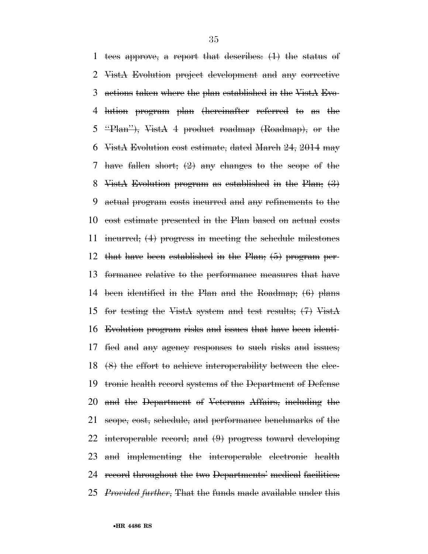tees approve, a report that describes: (1) the status of VistA Evolution project development and any corrective actions taken where the plan established in the VistA Evo- lution program plan (hereinafter referred to as the ''Plan''), VistA 4 product roadmap (Roadmap), or the VistA Evolution cost estimate, dated March 24, 2014 may have fallen short; (2) any changes to the scope of the VistA Evolution program as established in the Plan; (3) actual program costs incurred and any refinements to the cost estimate presented in the Plan based on actual costs incurred; (4) progress in meeting the schedule milestones that have been established in the Plan; (5) program per- formance relative to the performance measures that have been identified in the Plan and the Roadmap; (6) plans for testing the VistA system and test results; (7) VistA Evolution program risks and issues that have been identi- fied and any agency responses to such risks and issues; (8) the effort to achieve interoperability between the elec- tronic health record systems of the Department of Defense and the Department of Veterans Affairs, including the scope, cost, schedule, and performance benchmarks of the interoperable record; and (9) progress toward developing and implementing the interoperable electronic health record throughout the two Departments' medical facilities: *Provided further*, That the funds made available under this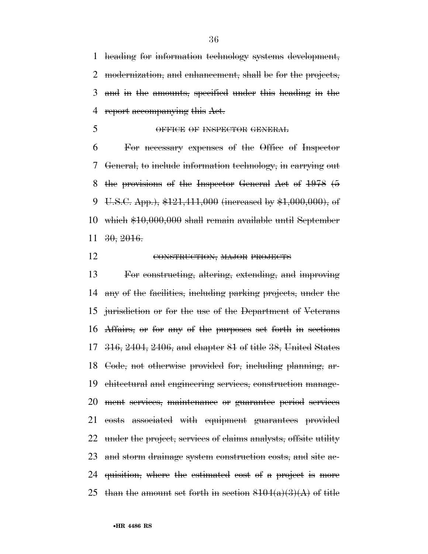heading for information technology systems development, modernization, and enhancement, shall be for the projects, and in the amounts, specified under this heading in the 4 report accompanying this Act.

OFFICE OF INSPECTOR GENERAL

 For necessary expenses of the Office of Inspector General, to include information technology, in carrying out the provisions of the Inspector General Act of 1978 (5 9 U.S.C. App.),  $$121,411,000$  (increased by  $$1,000,000$ ), of which \$10,000,000 shall remain available until September 30, 2016.

## 12 CONSTRUCTION, MAJOR PROJECTS

 For constructing, altering, extending, and improving any of the facilities, including parking projects, under the jurisdiction or for the use of the Department of Veterans Affairs, or for any of the purposes set forth in sections 316, 2404, 2406, and chapter 81 of title 38, United States Code, not otherwise provided for, including planning, ar- chitectural and engineering services, construction manage- ment services, maintenance or guarantee period services costs associated with equipment guarantees provided 22 under the project, services of claims analysts, offsite utility and storm drainage system construction costs, and site ac- quisition, where the estimated cost of a project is more 25 than the amount set forth in section  $8104(a)(3)(A)$  of title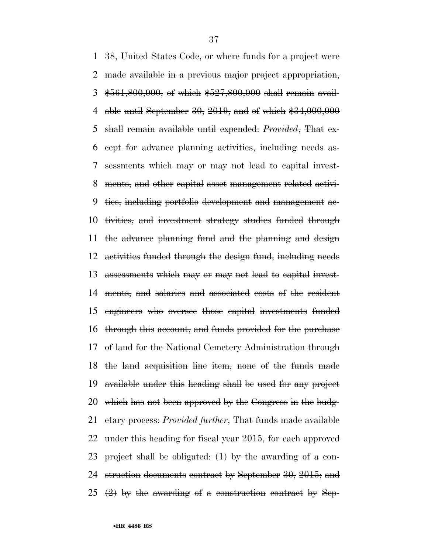38, United States Code, or where funds for a project were made available in a previous major project appropriation, \$561,800,000, of which \$527,800,000 shall remain avail- able until September 30, 2019, and of which \$34,000,000 shall remain available until expended: *Provided*, That ex- cept for advance planning activities, including needs as- sessments which may or may not lead to capital invest- ments, and other capital asset management related activi- ties, including portfolio development and management ac- tivities, and investment strategy studies funded through the advance planning fund and the planning and design activities funded through the design fund, including needs assessments which may or may not lead to capital invest- ments, and salaries and associated costs of the resident engineers who oversee those capital investments funded through this account, and funds provided for the purchase of land for the National Cemetery Administration through the land acquisition line item, none of the funds made available under this heading shall be used for any project which has not been approved by the Congress in the budg- etary process: *Provided further*, That funds made available under this heading for fiscal year 2015, for each approved project shall be obligated: (1) by the awarding of a con- struction documents contract by September 30, 2015; and  $(2)$  by the awarding of a construction contract by Sep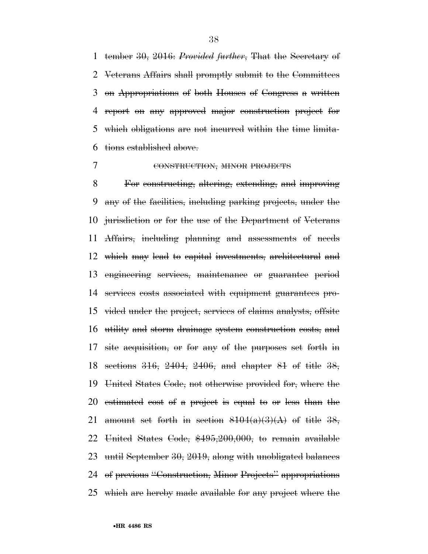tember 30, 2016: *Provided further*, That the Secretary of Veterans Affairs shall promptly submit to the Committees on Appropriations of both Houses of Congress a written report on any approved major construction project for which obligations are not incurred within the time limita-tions established above.

# 7 CONSTRUCTION, MINOR PROJECTS

 For constructing, altering, extending, and improving any of the facilities, including parking projects, under the jurisdiction or for the use of the Department of Veterans Affairs, including planning and assessments of needs which may lead to capital investments, architectural and engineering services, maintenance or guarantee period services costs associated with equipment guarantees pro- vided under the project, services of claims analysts, offsite utility and storm drainage system construction costs, and site acquisition, or for any of the purposes set forth in sections 316, 2404, 2406, and chapter 81 of title 38, United States Code, not otherwise provided for, where the estimated cost of a project is equal to or less than the 21 amount set forth in section  $8104(a)(3)(A)$  of title 38, United States Code, \$495,200,000, to remain available until September 30, 2019, along with unobligated balances of previous ''Construction, Minor Projects'' appropriations which are hereby made available for any project where the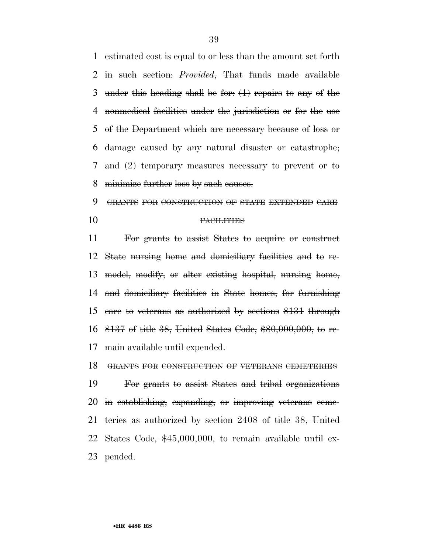estimated cost is equal to or less than the amount set forth in such section: *Provided*, That funds made available under this heading shall be for: (1) repairs to any of the nonmedical facilities under the jurisdiction or for the use of the Department which are necessary because of loss or damage caused by any natural disaster or catastrophe; and (2) temporary measures necessary to prevent or to minimize further loss by such causes.

 GRANTS FOR CONSTRUCTION OF STATE EXTENDED CARE FACILITIES

 For grants to assist States to acquire or construct State nursing home and domiciliary facilities and to re- model, modify, or alter existing hospital, nursing home, and domiciliary facilities in State homes, for furnishing care to veterans as authorized by sections 8131 through 8137 of title 38, United States Code, \$80,000,000, to re-main available until expended.

 GRANTS FOR CONSTRUCTION OF VETERANS CEMETERIES For grants to assist States and tribal organizations in establishing, expanding, or improving veterans ceme- teries as authorized by section 2408 of title 38, United States Code, \$45,000,000, to remain available until ex-pended.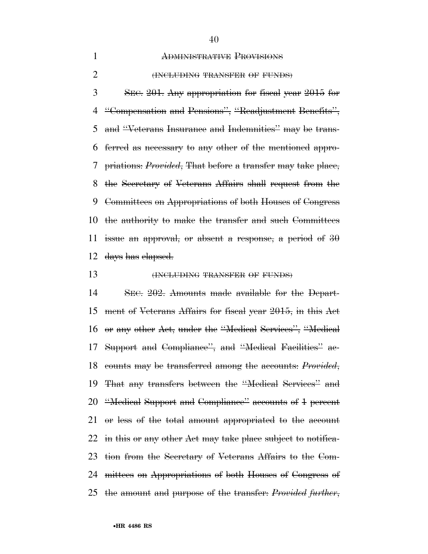### ADMINISTRATIVE PROVISIONS

#### **(INCLUDING TRANSFER OF FUNDS)**

 SEC. 201. Any appropriation for fiscal year 2015 for ''Compensation and Pensions'', ''Readjustment Benefits'', and ''Veterans Insurance and Indemnities'' may be trans- ferred as necessary to any other of the mentioned appro- priations: *Provided*, That before a transfer may take place, the Secretary of Veterans Affairs shall request from the Committees on Appropriations of both Houses of Congress the authority to make the transfer and such Committees 11 issue an approval, or absent a response, a period of days has elapsed.

#### **(INCLUDING TRANSFER OF FUNDS)**

 SEC. 202. Amounts made available for the Depart- ment of Veterans Affairs for fiscal year 2015, in this Act or any other Act, under the ''Medical Services'', ''Medical Support and Compliance'', and ''Medical Facilities'' ac- counts may be transferred among the accounts: *Provided*, That any transfers between the ''Medical Services'' and ''Medical Support and Compliance'' accounts of 1 percent or less of the total amount appropriated to the account 22 in this or any other Act may take place subject to notifica- tion from the Secretary of Veterans Affairs to the Com- mittees on Appropriations of both Houses of Congress of the amount and purpose of the transfer: *Provided further*,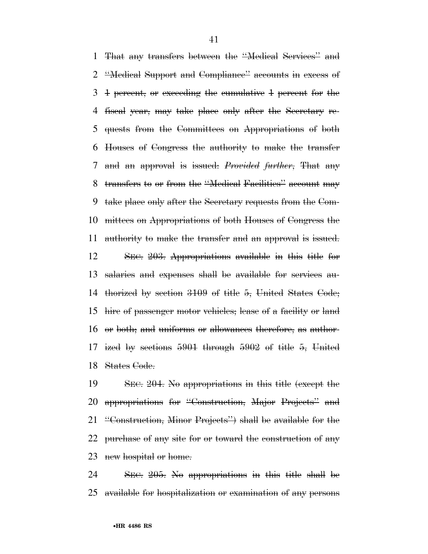That any transfers between the ''Medical Services'' and ''Medical Support and Compliance'' accounts in excess of 1 percent, or exceeding the cumulative 1 percent for the fiscal year, may take place only after the Secretary re- quests from the Committees on Appropriations of both Houses of Congress the authority to make the transfer and an approval is issued: *Provided further*, That any transfers to or from the ''Medical Facilities'' account may take place only after the Secretary requests from the Com- mittees on Appropriations of both Houses of Congress the authority to make the transfer and an approval is issued. SEC. 203. Appropriations available in this title for salaries and expenses shall be available for services au- thorized by section 3109 of title 5, United States Code; hire of passenger motor vehicles; lease of a facility or land or both; and uniforms or allowances therefore, as author- ized by sections 5901 through 5902 of title 5, United States Code.

 SEC. 204. No appropriations in this title (except the appropriations for ''Construction, Major Projects'' and ''Construction, Minor Projects'') shall be available for the 22 purchase of any site for or toward the construction of any 23 new hospital or home.

 SEC. 205. No appropriations in this title shall be available for hospitalization or examination of any persons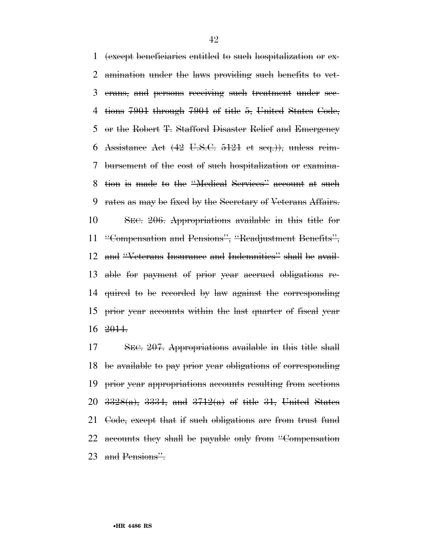(except beneficiaries entitled to such hospitalization or ex- amination under the laws providing such benefits to vet- erans, and persons receiving such treatment under sec- tions 7901 through 7904 of title 5, United States Code, or the Robert T. Stafford Disaster Relief and Emergency Assistance Act (42 U.S.C. 5121 et seq.)), unless reim- bursement of the cost of such hospitalization or examina- tion is made to the ''Medical Services'' account at such rates as may be fixed by the Secretary of Veterans Affairs. SEC. 206. Appropriations available in this title for ''Compensation and Pensions'', ''Readjustment Benefits'', and ''Veterans Insurance and Indemnities'' shall be avail- able for payment of prior year accrued obligations re- quired to be recorded by law against the corresponding prior year accounts within the last quarter of fiscal year 2014.

 SEC. 207. Appropriations available in this title shall be available to pay prior year obligations of corresponding prior year appropriations accounts resulting from sections 20  $3328(a)$ ,  $3334$ , and  $3712(a)$  of title 31, United States 21 Code, except that if such obligations are from trust fund 22 accounts they shall be payable only from "Compensation" 23 and Pensions".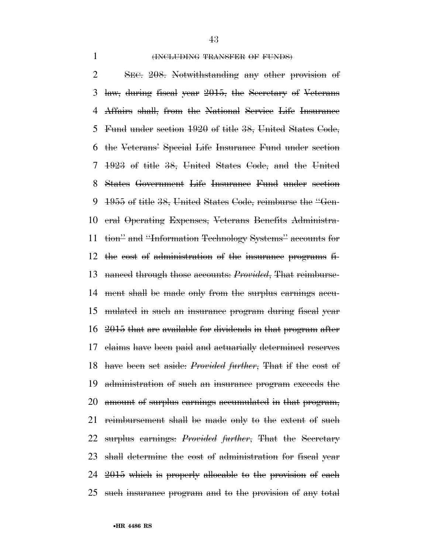#### 1 (INCLUDING TRANSFER OF FUNDS)

 SEC. 208. Notwithstanding any other provision of law, during fiscal year 2015, the Secretary of Veterans Affairs shall, from the National Service Life Insurance Fund under section 1920 of title 38, United States Code, the Veterans' Special Life Insurance Fund under section 1923 of title 38, United States Code, and the United States Government Life Insurance Fund under section 1955 of title 38, United States Code, reimburse the ''Gen- eral Operating Expenses, Veterans Benefits Administra- tion'' and ''Information Technology Systems'' accounts for the cost of administration of the insurance programs fi- nanced through those accounts: *Provided*, That reimburse- ment shall be made only from the surplus earnings accu- mulated in such an insurance program during fiscal year 2015 that are available for dividends in that program after claims have been paid and actuarially determined reserves have been set aside: *Provided further*, That if the cost of administration of such an insurance program exceeds the amount of surplus earnings accumulated in that program, reimbursement shall be made only to the extent of such surplus earnings: *Provided further*, That the Secretary shall determine the cost of administration for fiscal year 2015 which is properly allocable to the provision of each such insurance program and to the provision of any total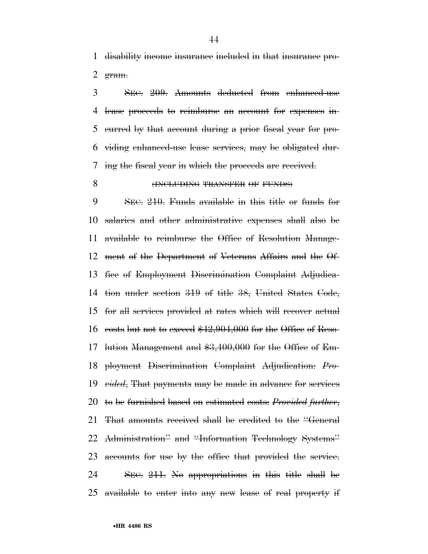disability income insurance included in that insurance pro- $$g$ ram.$ 

 SEC. 209. Amounts deducted from enhanced-use lease proceeds to reimburse an account for expenses in- curred by that account during a prior fiscal year for pro- viding enhanced-use lease services, may be obligated dur-ing the fiscal year in which the proceeds are received.

# **(INCLUDING TRANSFER OF FUNDS)**

 SEC. 210. Funds available in this title or funds for salaries and other administrative expenses shall also be available to reimburse the Office of Resolution Manage- ment of the Department of Veterans Affairs and the Of- fice of Employment Discrimination Complaint Adjudica- tion under section 319 of title 38, United States Code, for all services provided at rates which will recover actual 16 costs but not to exceed  $$42,904,000$  for the Office of Reso-17 lution Management and \$3,400,000 for the Office of Em- ployment Discrimination Complaint Adjudication: *Pro- vided*, That payments may be made in advance for services to be furnished based on estimated costs: *Provided further*, That amounts received shall be credited to the ''General Administration'' and ''Information Technology Systems'' 23 accounts for use by the office that provided the service. SEC. 211. No appropriations in this title shall be available to enter into any new lease of real property if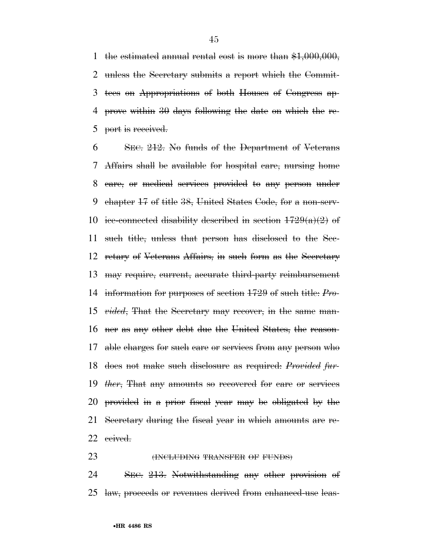1 the estimated annual rental cost is more than  $$1,000,000$ , unless the Secretary submits a report which the Commit- tees on Appropriations of both Houses of Congress ap- prove within 30 days following the date on which the re-port is received.

 SEC. 212. No funds of the Department of Veterans Affairs shall be available for hospital care, nursing home care, or medical services provided to any person under chapter 17 of title 38, United States Code, for a non-serv-10 ice-connected disability described in section  $1729(a)(2)$  of such title, unless that person has disclosed to the Sec- retary of Veterans Affairs, in such form as the Secretary may require, current, accurate third-party reimbursement information for purposes of section 1729 of such title: *Pro- vided*, That the Secretary may recover, in the same man- ner as any other debt due the United States, the reason- able charges for such care or services from any person who does not make such disclosure as required: *Provided fur- ther*, That any amounts so recovered for care or services provided in a prior fiscal year may be obligated by the Secretary during the fiscal year in which amounts are re-ceived.

**(INCLUDING TRANSFER OF FUNDS)** 

 SEC. 213. Notwithstanding any other provision of law, proceeds or revenues derived from enhanced-use leas-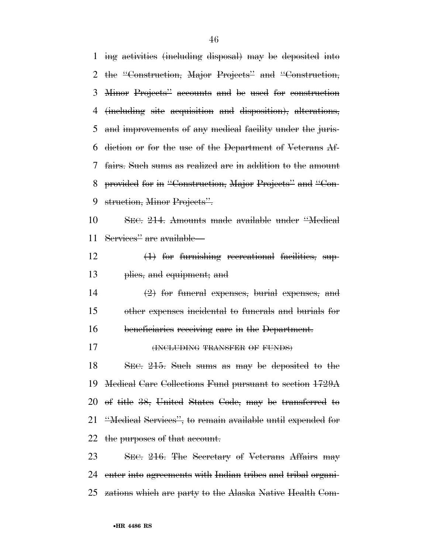ing activities (including disposal) may be deposited into the ''Construction, Major Projects'' and ''Construction, Minor Projects'' accounts and be used for construction (including site acquisition and disposition), alterations, and improvements of any medical facility under the juris- diction or for the use of the Department of Veterans Af- fairs. Such sums as realized are in addition to the amount provided for in ''Construction, Major Projects'' and ''Con-9 struction, Minor Projects". SEC. 214. Amounts made available under ''Medical Services'' are available— (1) for furnishing recreational facilities, sup- plies, and equipment; and (2) for funeral expenses, burial expenses, and other expenses incidental to funerals and burials for beneficiaries receiving care in the Department. **(INCLUDING TRANSFER OF FUNDS)**  SEC. 215. Such sums as may be deposited to the Medical Care Collections Fund pursuant to section 1729A of title 38, United States Code, may be transferred to ''Medical Services'', to remain available until expended for 22 the purposes of that account. 23 SEC. 216. The Secretary of Veterans Affairs may enter into agreements with Indian tribes and tribal organi-zations which are party to the Alaska Native Health Com-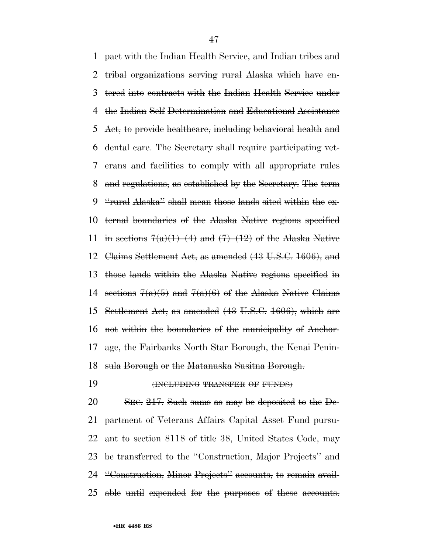pact with the Indian Health Service, and Indian tribes and tribal organizations serving rural Alaska which have en- tered into contracts with the Indian Health Service under the Indian Self Determination and Educational Assistance 5 Act, to provide healthcare, including behavioral health and dental care. The Secretary shall require participating vet- erans and facilities to comply with all appropriate rules and regulations, as established by the Secretary. The term ''rural Alaska'' shall mean those lands sited within the ex- ternal boundaries of the Alaska Native regions specified 11 in sections  $7(a)(1)$ –(4) and  $(7)$ –(12) of the Alaska Native Claims Settlement Act, as amended (43 U.S.C. 1606), and those lands within the Alaska Native regions specified in 14 sections  $7(a)(5)$  and  $7(a)(6)$  of the Alaska Native Claims Settlement Act, as amended (43 U.S.C. 1606), which are not within the boundaries of the municipality of Anchor- age, the Fairbanks North Star Borough, the Kenai Penin-sula Borough or the Matanuska Susitna Borough.

**(INCLUDING TRANSFER OF FUNDS)** 

 SEC. 217. Such sums as may be deposited to the De- partment of Veterans Affairs Capital Asset Fund pursu-22 ant to section 8118 of title 38, United States Code, may be transferred to the ''Construction, Major Projects'' and ''Construction, Minor Projects'' accounts, to remain avail-able until expended for the purposes of these accounts.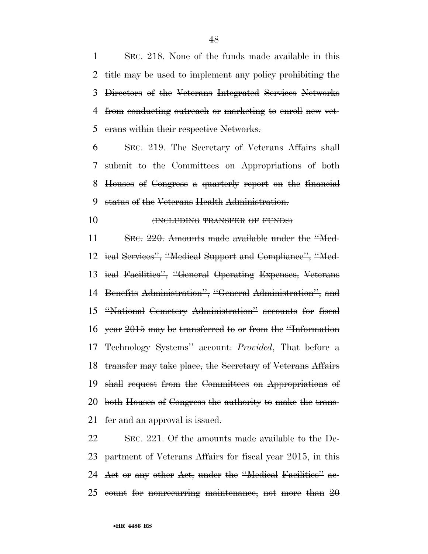SEC. 218. None of the funds made available in this title may be used to implement any policy prohibiting the Directors of the Veterans Integrated Services Networks from conducting outreach or marketing to enroll new vet-erans within their respective Networks.

 SEC. 219. The Secretary of Veterans Affairs shall submit to the Committees on Appropriations of both Houses of Congress a quarterly report on the financial status of the Veterans Health Administration.

#### **(INCLUDING TRANSFER OF FUNDS)**

11 SEC. 220. Amounts made available under the "Med- ical Services'', ''Medical Support and Compliance'', ''Med- ical Facilities'', ''General Operating Expenses, Veterans Benefits Administration'', ''General Administration'', and ''National Cemetery Administration'' accounts for fiscal year 2015 may be transferred to or from the ''Information Technology Systems'' account: *Provided*, That before a 18 transfer may take place, the Secretary of Veterans Affairs shall request from the Committees on Appropriations of both Houses of Congress the authority to make the trans-21 fer and an approval is issued.

 SEC. 221. Of the amounts made available to the De- partment of Veterans Affairs for fiscal year 2015, in this 24 Act or any other Act, under the "Medical Facilities" ac-count for nonrecurring maintenance, not more than 20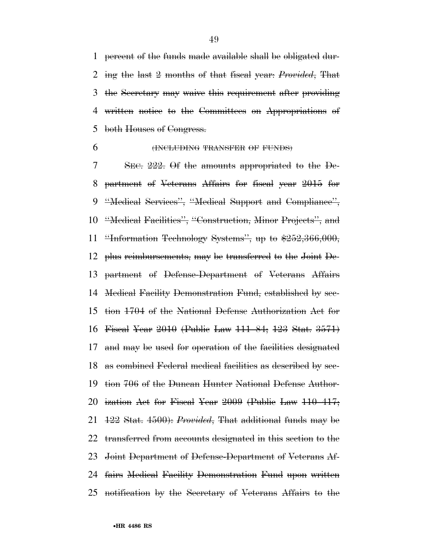percent of the funds made available shall be obligated dur- ing the last 2 months of that fiscal year: *Provided*, That the Secretary may waive this requirement after providing written notice to the Committees on Appropriations of 5 both Houses of Congress.

# (INCLUDING TRANSFER OF FUNDS)

 SEC. 222. Of the amounts appropriated to the De- partment of Veterans Affairs for fiscal year 2015 for ''Medical Services'', ''Medical Support and Compliance'', ''Medical Facilities'', ''Construction, Minor Projects'', and ''Information Technology Systems'', up to \$252,366,000, plus reimbursements, may be transferred to the Joint De- partment of Defense-Department of Veterans Affairs Medical Facility Demonstration Fund, established by sec- tion 1704 of the National Defense Authorization Act for Fiscal Year 2010 (Public Law 111–84; 123 Stat. 3571) and may be used for operation of the facilities designated as combined Federal medical facilities as described by sec- tion 706 of the Duncan Hunter National Defense Author- ization Act for Fiscal Year 2009 (Public Law 110–417; 122 Stat. 4500): *Provided*, That additional funds may be transferred from accounts designated in this section to the Joint Department of Defense-Department of Veterans Af- fairs Medical Facility Demonstration Fund upon written notification by the Secretary of Veterans Affairs to the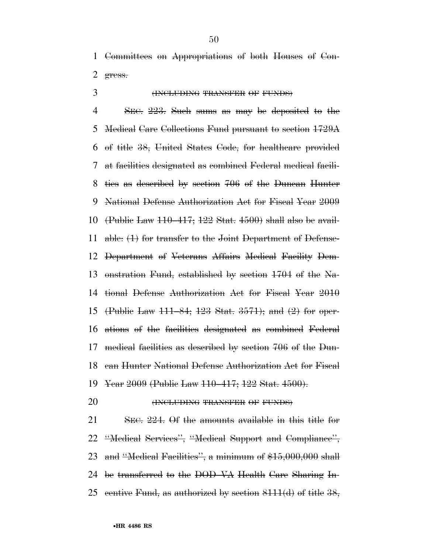Committees on Appropriations of both Houses of Con-gress.

# (INCLUDING TRANSFER OF FUNDS)

 SEC. 223. Such sums as may be deposited to the Medical Care Collections Fund pursuant to section 1729A of title 38, United States Code, for healthcare provided at facilities designated as combined Federal medical facili- ties as described by section 706 of the Duncan Hunter National Defense Authorization Act for Fiscal Year 2009 (Public Law 110–417; 122 Stat. 4500) shall also be avail- able: (1) for transfer to the Joint Department of Defense- Department of Veterans Affairs Medical Facility Dem- onstration Fund, established by section 1704 of the Na- tional Defense Authorization Act for Fiscal Year 2010 (Public Law 111–84; 123 Stat. 3571); and (2) for oper- ations of the facilities designated as combined Federal medical facilities as described by section 706 of the Dun- can Hunter National Defense Authorization Act for Fiscal Year 2009 (Public Law 110–417; 122 Stat. 4500).

**(INCLUDING TRANSFER OF FUNDS)** 

 SEC. 224. Of the amounts available in this title for ''Medical Services'', ''Medical Support and Compliance'', and ''Medical Facilities'', a minimum of \$15,000,000 shall be transferred to the DOD–VA Health Care Sharing In-25 centive Fund, as authorized by section  $8111(d)$  of title  $38$ ,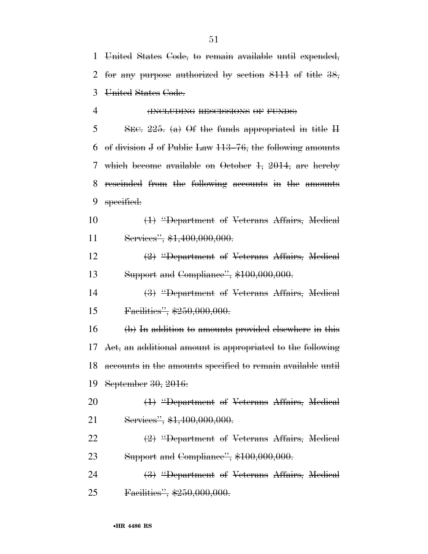United States Code, to remain available until expended, for any purpose authorized by section 8111 of title 38, United States Code.

# **(INCLUDING RESCISSIONS OF FUNDS)**

5 SEC. . (a) Of the funds appropriated in title H of division J of Public Law 113–76, the following amounts which become available on October 1, 2014, are hereby rescinded from the following accounts in the amounts 9 specified:

 (1) ''Department of Veterans Affairs, Medical 11 Services", \$1,400,000,000.

 (2) ''Department of Veterans Affairs, Medical 13 Support and Compliance", \$100,000,000.

 (3) ''Department of Veterans Affairs, Medical 15 Facilities", \$250,000,000.

 (b) In addition to amounts provided elsewhere in this Act, an additional amount is appropriated to the following accounts in the amounts specified to remain available until September 30, 2016:

20 <del>(1) "Department of Veterans Affairs, Medical</del> 21 Services", \$1,400,000,000.

 (2) ''Department of Veterans Affairs, Medical 23 Support and Compliance", \$100,000,000.

24 (3) "Department of Veterans Affairs, Medical 25 Facilities", \$250,000,000.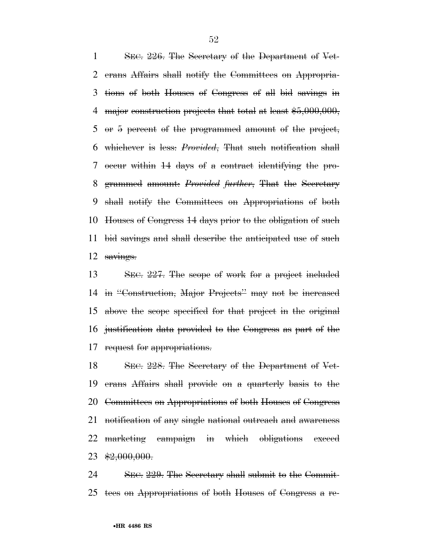SEC. 226. The Secretary of the Department of Vet- erans Affairs shall notify the Committees on Appropria- tions of both Houses of Congress of all bid savings in 4 major construction projects that total at least \$5,000,000, or 5 percent of the programmed amount of the project, whichever is less: *Provided*, That such notification shall occur within 14 days of a contract identifying the pro- grammed amount: *Provided further*, That the Secretary shall notify the Committees on Appropriations of both Houses of Congress 14 days prior to the obligation of such bid savings and shall describe the anticipated use of such 12 savings.

 SEC. 227. The scope of work for a project included in ''Construction, Major Projects'' may not be increased above the scope specified for that project in the original justification data provided to the Congress as part of the request for appropriations.

 SEC. 228. The Secretary of the Department of Vet- erans Affairs shall provide on a quarterly basis to the Committees on Appropriations of both Houses of Congress notification of any single national outreach and awareness marketing campaign in which obligations exceed  $23 \frac{$2,000,000}{.}$ 

 SEC. 229. The Secretary shall submit to the Commit-tees on Appropriations of both Houses of Congress a re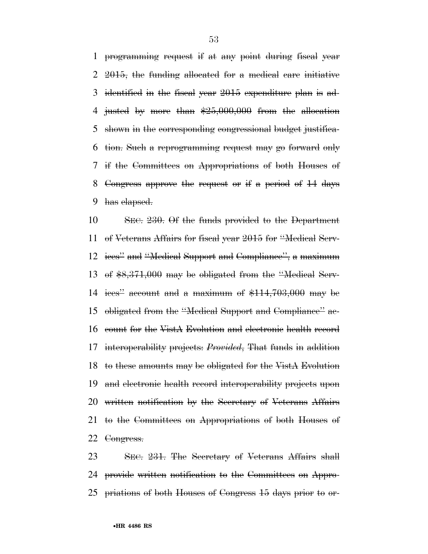programming request if at any point during fiscal year 2015, the funding allocated for a medical care initiative identified in the fiscal year 2015 expenditure plan is ad- justed by more than \$25,000,000 from the allocation shown in the corresponding congressional budget justifica- tion. Such a reprogramming request may go forward only if the Committees on Appropriations of both Houses of Congress approve the request or if a period of 14 days has elapsed.

 SEC. 230. Of the funds provided to the Department of Veterans Affairs for fiscal year 2015 for ''Medical Serv- ices'' and ''Medical Support and Compliance'', a maximum of \$8,371,000 may be obligated from the ''Medical Serv- ices'' account and a maximum of \$114,703,000 may be obligated from the ''Medical Support and Compliance'' ac- count for the VistA Evolution and electronic health record interoperability projects: *Provided*, That funds in addition to these amounts may be obligated for the VistA Evolution and electronic health record interoperability projects upon written notification by the Secretary of Veterans Affairs to the Committees on Appropriations of both Houses of Congress.

 SEC. 231. The Secretary of Veterans Affairs shall provide written notification to the Committees on Appro-priations of both Houses of Congress 15 days prior to or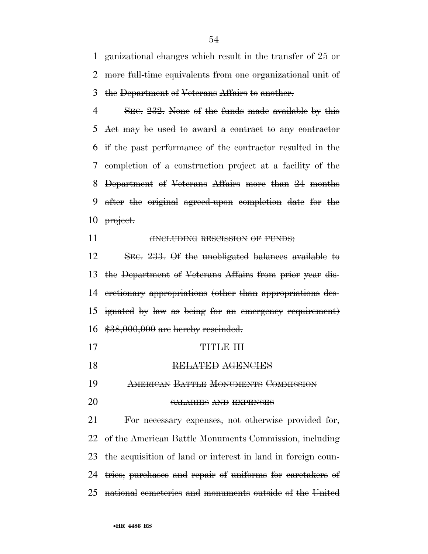ganizational changes which result in the transfer of 25 or more full-time equivalents from one organizational unit of the Department of Veterans Affairs to another.

4 SEC. 232. None of the funds made available by this Act may be used to award a contract to any contractor if the past performance of the contractor resulted in the completion of a construction project at a facility of the Department of Veterans Affairs more than 24 months after the original agreed-upon completion date for the 10 project.

# **HNCLUDING RESCISSION OF FUNDS**

 SEC. 233. Of the unobligated balances available to the Department of Veterans Affairs from prior year dis- cretionary appropriations (other than appropriations des- ignated by law as being for an emergency requirement) \$38,000,000 are hereby rescinded.

- TITLE III
- RELATED AGENCIES

AMERICAN BATTLE MONUMENTS COMMISSION

SALARIES AND EXPENSES

 For necessary expenses, not otherwise provided for, of the American Battle Monuments Commission, including the acquisition of land or interest in land in foreign coun- tries; purchases and repair of uniforms for caretakers of national cemeteries and monuments outside of the United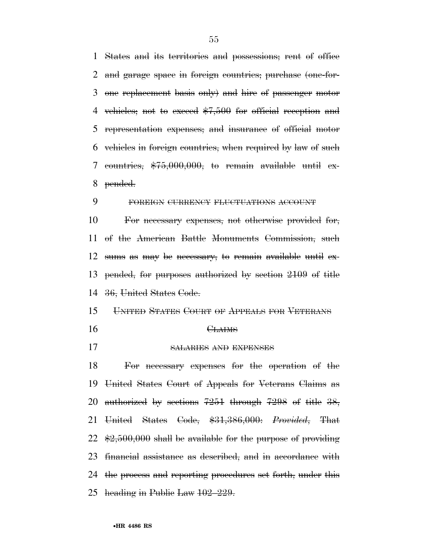States and its territories and possessions; rent of office and garage space in foreign countries; purchase (one-for- one replacement basis only) and hire of passenger motor vehicles; not to exceed \$7,500 for official reception and representation expenses; and insurance of official motor vehicles in foreign countries, when required by law of such countries, \$75,000,000, to remain available until ex-pended.

# FOREIGN CURRENCY FLUCTUATIONS ACCOUNT

 For necessary expenses, not otherwise provided for, of the American Battle Monuments Commission, such sums as may be necessary, to remain available until ex- pended, for purposes authorized by section 2109 of title 36, United States Code.

- UNITED STATES COURT OF APPEALS FOR VETERANS
- 16 CLAIMS
- SALARIES AND EXPENSES

 For necessary expenses for the operation of the United States Court of Appeals for Veterans Claims as authorized by sections 7251 through 7298 of title 38, United States Code, \$31,386,000: *Provided*, That  $22 \& 2.500,000$  shall be available for the purpose of providing financial assistance as described, and in accordance with the process and reporting procedures set forth, under this heading in Public Law 102–229.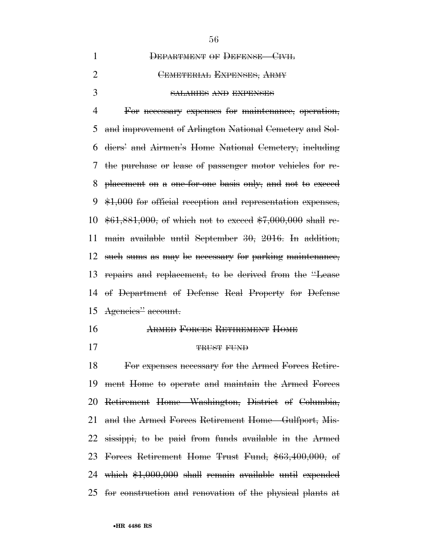| DEPARTMENT OF DEFENSE-CIVIL  |
|------------------------------|
| CEMETERIAL EXPENSES, ARMY    |
| <b>SALARIES AND EXPENSES</b> |

 For necessary expenses for maintenance, operation, and improvement of Arlington National Cemetery and Sol- diers' and Airmen's Home National Cemetery, including the purchase or lease of passenger motor vehicles for re- placement on a one-for-one basis only, and not to exceed \$1,000 for official reception and representation expenses, \$61,881,000, of which not to exceed \$7,000,000 shall re- main available until September 30, 2016. In addition, such sums as may be necessary for parking maintenance, repairs and replacement, to be derived from the ''Lease of Department of Defense Real Property for Defense Agencies'' account.

# ARMED FORCES RETIREMENT HOME

17 TRUST FUND

 For expenses necessary for the Armed Forces Retire- ment Home to operate and maintain the Armed Forces Retirement Home—Washington, District of Columbia, and the Armed Forces Retirement Home—Gulfport, Mis- sissippi, to be paid from funds available in the Armed Forces Retirement Home Trust Fund, \$63,400,000, of which \$1,000,000 shall remain available until expended for construction and renovation of the physical plants at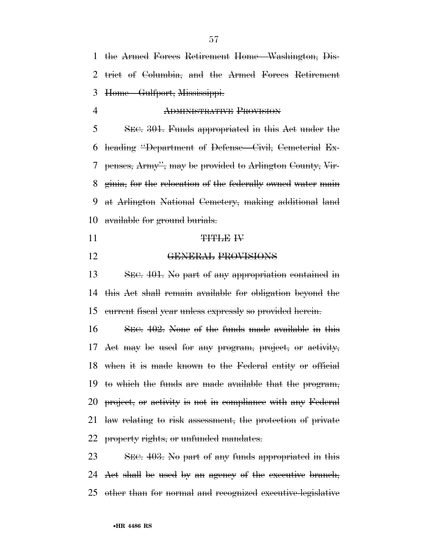the Armed Forces Retirement Home—Washington, Dis- trict of Columbia, and the Armed Forces Retirement Home—Gulfport, Mississippi.

ADMINISTRATIVE PROVISION

 SEC. 301. Funds appropriated in this Act under the heading ''Department of Defense—Civil, Cemeterial Ex- penses, Army'', may be provided to Arlington County, Vir- ginia, for the relocation of the federally owned water main at Arlington National Cemetery, making additional land available for ground burials.

- 11 TITLE IV
- GENERAL PROVISIONS

 SEC. 401. No part of any appropriation contained in this Act shall remain available for obligation beyond the current fiscal year unless expressly so provided herein.

 SEC. 402. None of the funds made available in this Act may be used for any program, project, or activity, when it is made known to the Federal entity or official to which the funds are made available that the program, project, or activity is not in compliance with any Federal law relating to risk assessment, the protection of private 22 property rights, or unfunded mandates.

 SEC. 403. No part of any funds appropriated in this Act shall be used by an agency of the executive branch, other than for normal and recognized executive-legislative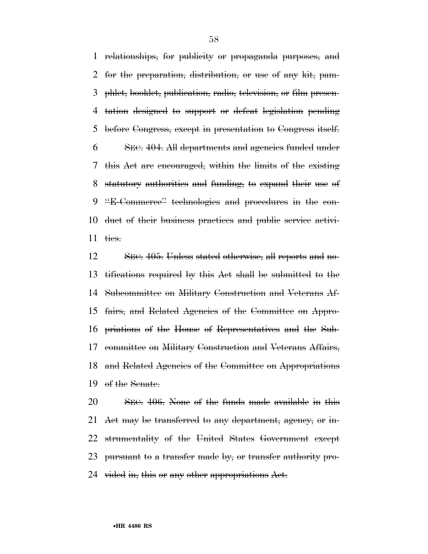relationships, for publicity or propaganda purposes, and for the preparation, distribution, or use of any kit, pam- phlet, booklet, publication, radio, television, or film presen- tation designed to support or defeat legislation pending before Congress, except in presentation to Congress itself. SEC. 404. All departments and agencies funded under this Act are encouraged, within the limits of the existing statutory authorities and funding, to expand their use of ''E-Commerce'' technologies and procedures in the con- duct of their business practices and public service activi-ties.

 SEC. 405. Unless stated otherwise, all reports and no- tifications required by this Act shall be submitted to the Subcommittee on Military Construction and Veterans Af- fairs, and Related Agencies of the Committee on Appro- priations of the House of Representatives and the Sub- committee on Military Construction and Veterans Affairs, and Related Agencies of the Committee on Appropriations of the Senate.

 SEC. 406. None of the funds made available in this 21 Act may be transferred to any department, agency, or in- strumentality of the United States Government except pursuant to a transfer made by, or transfer authority pro-24 vided in, this or any other appropriations Act.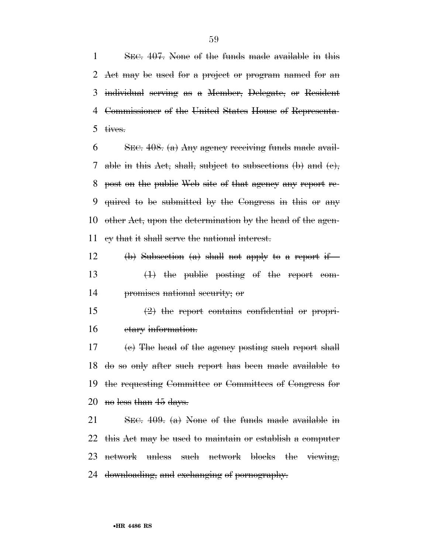SEC. 407. None of the funds made available in this Act may be used for a project or program named for an individual serving as a Member, Delegate, or Resident Commissioner of the United States House of Representa-tives.

 SEC. 408. (a) Any agency receiving funds made avail- able in this Act, shall, subject to subsections (b) and (c), post on the public Web site of that agency any report re- quired to be submitted by the Congress in this or any other Act, upon the determination by the head of the agen-cy that it shall serve the national interest.

12 (b) Subsection (a) shall not apply to a report if— (1) the public posting of the report com-promises national security; or

 $15 \t\t (2)$  the report contains confidential or propri-etary information.

17 (e) The head of the agency posting such report shall do so only after such report has been made available to the requesting Committee or Committees of Congress for 20 no less than days.

 SEC. 409. (a) None of the funds made available in this Act may be used to maintain or establish a computer network unless such network blocks the viewing, downloading, and exchanging of pornography.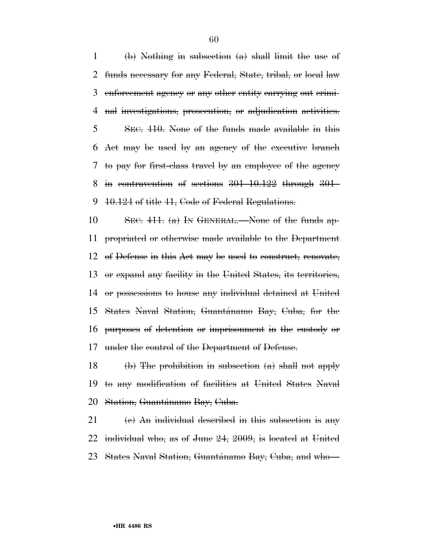(b) Nothing in subsection (a) shall limit the use of funds necessary for any Federal, State, tribal, or local law enforcement agency or any other entity carrying out crimi- nal investigations, prosecution, or adjudication activities. SEC. 410. None of the funds made available in this Act may be used by an agency of the executive branch to pay for first-class travel by an employee of the agency in contravention of sections 301–10.122 through 301– 10.124 of title 41, Code of Federal Regulations.

10 SEC.  $411.$  (a) In GENERAL.—None of the funds ap- propriated or otherwise made available to the Department of Defense in this Act may be used to construct, renovate, or expand any facility in the United States, its territories, or possessions to house any individual detained at United 15 States Naval Station, Guantánamo Bay, Cuba, for the purposes of detention or imprisonment in the custody or under the control of the Department of Defense.

18 (b) The prohibition in subsection  $(a)$  shall not apply to any modification of facilities at United States Naval 20 Station, Guantánamo Bay, Cuba.

 (e) An individual described in this subsection is any individual who, as of June 24, 2009, is located at United 23 States Naval Station, Guantánamo Bay, Cuba, and who—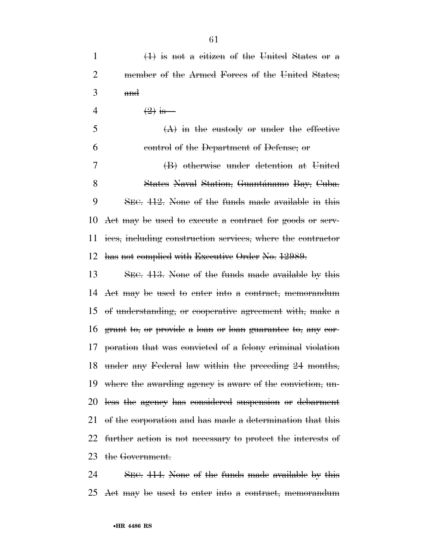2 member of the Armed Forces of the United States; and 4  $(2)$  is—  $5 \qquad \qquad (A)$  in the custody or under the effective control of the Department of Defense; or (B) otherwise under detention at United 8 States Naval Station, Guantánamo Bay, Cuba. SEC. 412. None of the funds made available in this Act may be used to execute a contract for goods or serv- ices, including construction services, where the contractor has not complied with Executive Order No. 12989.

 SEC. 413. None of the funds made available by this Act may be used to enter into a contract, memorandum of understanding, or cooperative agreement with, make a grant to, or provide a loan or loan guarantee to, any cor- poration that was convicted of a felony criminal violation under any Federal law within the preceding 24 months, where the awarding agency is aware of the conviction, un- less the agency has considered suspension or debarment of the corporation and has made a determination that this further action is not necessary to protect the interests of the Government.

 SEC. 414. None of the funds made available by this Act may be used to enter into a contract, memorandum

(1) is not a citizen of the United States or a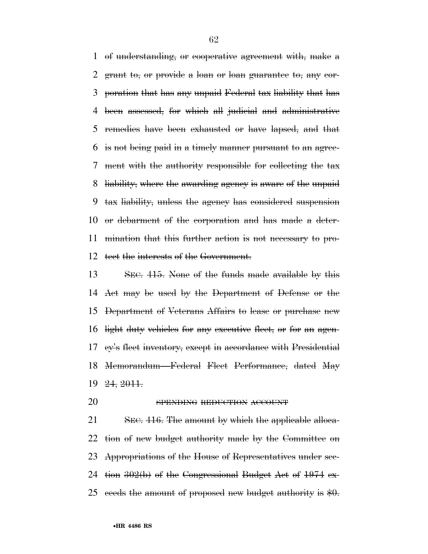of understanding, or cooperative agreement with, make a grant to, or provide a loan or loan guarantee to, any cor- poration that has any unpaid Federal tax liability that has been assessed, for which all judicial and administrative remedies have been exhausted or have lapsed, and that is not being paid in a timely manner pursuant to an agree- ment with the authority responsible for collecting the tax liability, where the awarding agency is aware of the unpaid tax liability, unless the agency has considered suspension or debarment of the corporation and has made a deter- mination that this further action is not necessary to pro-tect the interests of the Government.

 SEC. 415. None of the funds made available by this Act may be used by the Department of Defense or the Department of Veterans Affairs to lease or purchase new light duty vehicles for any executive fleet, or for an agen- cy's fleet inventory, except in accordance with Presidential Memorandum—Federal Fleet Performance, dated May 24, 2011.

20 SPENDING REDUCTION ACCOUNT

21 SEC. 416. The amount by which the applicable alloca-22 tion of new budget authority made by the Committee on Appropriations of the House of Representatives under sec-24 tion  $302(b)$  of the Congressional Budget Act of 1974 ex-25 ceeds the amount of proposed new budget authority is  $\frac{1}{2}0$ .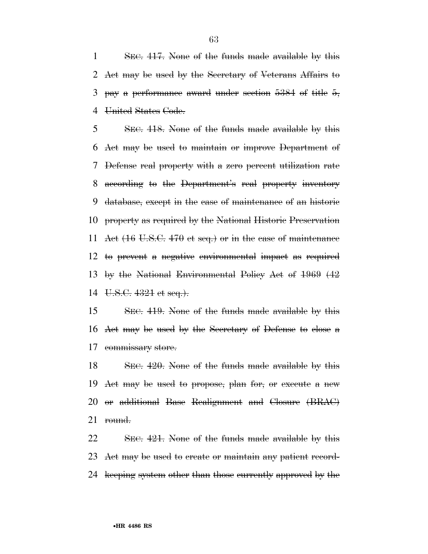SEC. 417. None of the funds made available by this Act may be used by the Secretary of Veterans Affairs to 3 pay a performance award under section of title  $5,$ 4 United States Code.

 SEC. 418. None of the funds made available by this Act may be used to maintain or improve Department of Defense real property with a zero percent utilization rate according to the Department's real property inventory database, except in the case of maintenance of an historic property as required by the National Historic Preservation Act (16 U.S.C. 470 et seq.) or in the case of maintenance to prevent a negative environmental impact as required by the National Environmental Policy Act of 1969 (42 U.S.C. 4321 et seq.).

 SEC. 419. None of the funds made available by this Act may be used by the Secretary of Defense to close a commissary store.

18 SEC. 420. None of the funds made available by this Act may be used to propose, plan for, or execute a new or additional Base Realignment and Closure (BRAC) round.

 SEC. 421. None of the funds made available by this Act may be used to create or maintain any patient record-keeping system other than those currently approved by the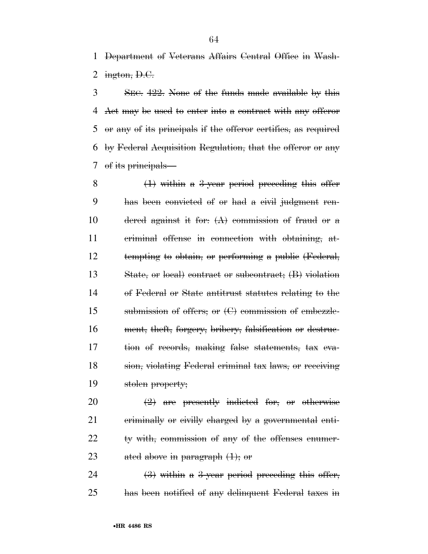Department of Veterans Affairs Central Office in Wash-2 ington,  $D.C.$ 

 SEC. 422. None of the funds made available by this Act may be used to enter into a contract with any offeror or any of its principals if the offeror certifies, as required by Federal Acquisition Regulation, that the offeror or any of its principals—

 (1) within a 3-year period preceding this offer has been convicted of or had a civil judgment ren-10 dered against it for:  $(A)$  commission of fraud or a criminal offense in connection with obtaining, at- tempting to obtain, or performing a public (Federal, State, or local) contract or subcontract; (B) violation of Federal or State antitrust statutes relating to the submission of offers; or (C) commission of embezzle- ment, theft, forgery, bribery, falsification or destruc- tion of records, making false statements, tax eva- sion, violating Federal criminal tax laws, or receiving stolen property;

 $\left(2\right)$  are presently indicted for, or otherwise criminally or civilly charged by a governmental enti- ty with, commission of any of the offenses enumer-23 ated above in paragraph  $(1)$ ; or

24  $(3)$  within a 3-year period preceding this offer, has been notified of any delinquent Federal taxes in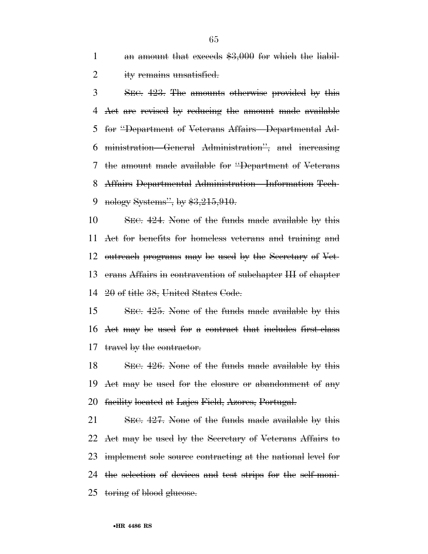1 an amount that exceeds \$3,000 for which the liabil-ity remains unsatisfied.

 SEC. 423. The amounts otherwise provided by this Act are revised by reducing the amount made available for ''Department of Veterans Affairs—Departmental Ad- ministration—General Administration'', and increasing the amount made available for ''Department of Veterans Affairs Departmental Administration—Information Tech-9 nology Systems", by \$3,215,910.

10 SEC. 424. None of the funds made available by this Act for benefits for homeless veterans and training and outreach programs may be used by the Secretary of Vet- erans Affairs in contravention of subchapter III of chapter 20 of title 38, United States Code.

 SEC. 425. None of the funds made available by this Act may be used for a contract that includes first-class 17 travel by the contractor.

18 SEC. 426. None of the funds made available by this Act may be used for the closure or abandonment of any facility located at Lajes Field, Azores, Portugal.

21 SEC. 427. None of the funds made available by this 22 Act may be used by the Secretary of Veterans Affairs to 23 implement sole source contracting at the national level for the selection of devices and test strips for the self-moni-25 toring of blood gluesse.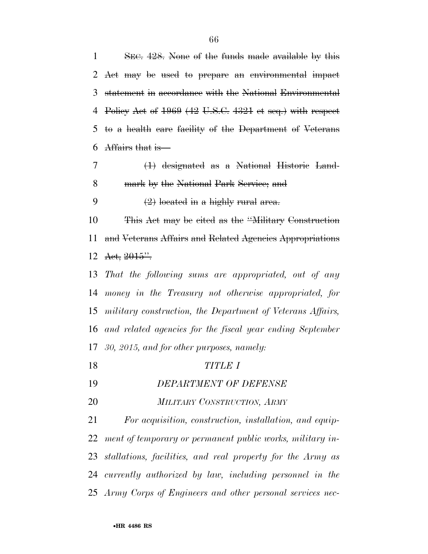| 1  | SEC. 428. None of the funds made available by this         |
|----|------------------------------------------------------------|
|    | 2 Act may be used to prepare an environmental impact       |
| 3  | statement in accordance with the National Environmental    |
| 4  | Policy Act of 1969 (42 U.S.C. 4321 et seq.) with respect   |
| 5  | to a health care facility of the Department of Veterans    |
| 6  | Affairs that is                                            |
| 7  | $(1)$ designated as a National Historic Land-              |
| 8  | mark by the National Park Service; and                     |
| 9  | $(2)$ located in a highly rural area.                      |
| 10 | This Act may be cited as the "Military Construction"       |
| 11 | and Veterans Affairs and Related Agencies Appropriations   |
| 12 | Act, 2015".                                                |
| 13 | That the following sums are appropriated, out of any       |
| 14 | money in the Treasury not otherwise appropriated, for      |
| 15 | military construction, the Department of Veterans Affairs, |
| 16 | and related agencies for the fiscal year ending September  |
| 17 | 30, 2015, and for other purposes, namely:                  |
| 18 | <b>TITLE I</b>                                             |
| 19 | DEPARTMENT OF DEFENSE                                      |
| 20 | MILITARY CONSTRUCTION, ARMY                                |
| 21 | For acquisition, construction, installation, and equip-    |
| 22 | ment of temporary or permanent public works, military in-  |
| 23 | stallations, facilities, and real property for the Army as |
| 24 | currently authorized by law, including personnel in the    |

*Army Corps of Engineers and other personal services nec-*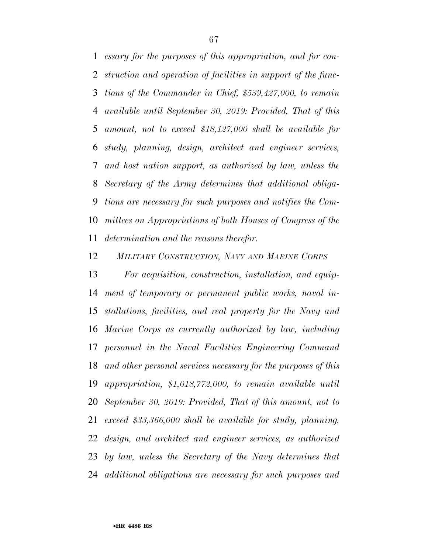*essary for the purposes of this appropriation, and for con- struction and operation of facilities in support of the func- tions of the Commander in Chief, \$539,427,000, to remain available until September 30, 2019: Provided, That of this amount, not to exceed \$18,127,000 shall be available for study, planning, design, architect and engineer services, and host nation support, as authorized by law, unless the Secretary of the Army determines that additional obliga- tions are necessary for such purposes and notifies the Com- mittees on Appropriations of both Houses of Congress of the determination and the reasons therefor.* 

*MILITARY CONSTRUCTION, NAVY AND MARINE CORPS*

 *For acquisition, construction, installation, and equip- ment of temporary or permanent public works, naval in- stallations, facilities, and real property for the Navy and Marine Corps as currently authorized by law, including personnel in the Naval Facilities Engineering Command and other personal services necessary for the purposes of this appropriation, \$1,018,772,000, to remain available until September 30, 2019: Provided, That of this amount, not to exceed \$33,366,000 shall be available for study, planning, design, and architect and engineer services, as authorized by law, unless the Secretary of the Navy determines that additional obligations are necessary for such purposes and*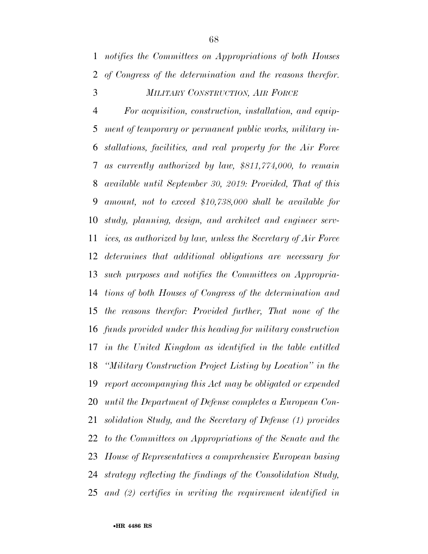*notifies the Committees on Appropriations of both Houses of Congress of the determination and the reasons therefor.* 

# *MILITARY CONSTRUCTION, AIR FORCE*

 *For acquisition, construction, installation, and equip- ment of temporary or permanent public works, military in- stallations, facilities, and real property for the Air Force as currently authorized by law, \$811,774,000, to remain available until September 30, 2019: Provided, That of this amount, not to exceed \$10,738,000 shall be available for study, planning, design, and architect and engineer serv- ices, as authorized by law, unless the Secretary of Air Force determines that additional obligations are necessary for such purposes and notifies the Committees on Appropria- tions of both Houses of Congress of the determination and the reasons therefor: Provided further, That none of the funds provided under this heading for military construction in the United Kingdom as identified in the table entitled ''Military Construction Project Listing by Location'' in the report accompanying this Act may be obligated or expended until the Department of Defense completes a European Con- solidation Study, and the Secretary of Defense (1) provides to the Committees on Appropriations of the Senate and the House of Representatives a comprehensive European basing strategy reflecting the findings of the Consolidation Study, and (2) certifies in writing the requirement identified in*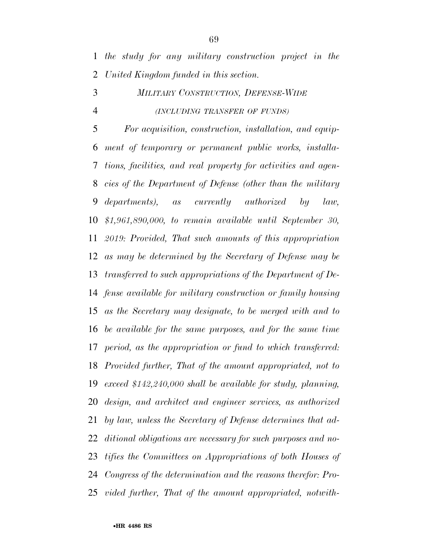*the study for any military construction project in the United Kingdom funded in this section.* 

# *MILITARY CONSTRUCTION, DEFENSE-WIDE (INCLUDING TRANSFER OF FUNDS)*

 *For acquisition, construction, installation, and equip- ment of temporary or permanent public works, installa- tions, facilities, and real property for activities and agen- cies of the Department of Defense (other than the military departments), as currently authorized by law, \$1,961,890,000, to remain available until September 30, 2019: Provided, That such amounts of this appropriation as may be determined by the Secretary of Defense may be transferred to such appropriations of the Department of De- fense available for military construction or family housing as the Secretary may designate, to be merged with and to be available for the same purposes, and for the same time period, as the appropriation or fund to which transferred: Provided further, That of the amount appropriated, not to exceed \$142,240,000 shall be available for study, planning, design, and architect and engineer services, as authorized by law, unless the Secretary of Defense determines that ad- ditional obligations are necessary for such purposes and no- tifies the Committees on Appropriations of both Houses of Congress of the determination and the reasons therefor: Pro-vided further, That of the amount appropriated, notwith-*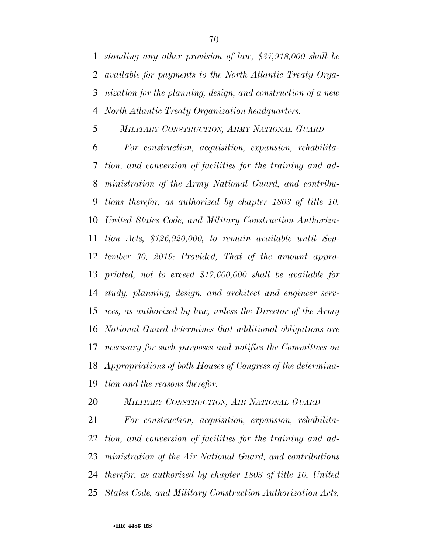*standing any other provision of law, \$37,918,000 shall be available for payments to the North Atlantic Treaty Orga- nization for the planning, design, and construction of a new North Atlantic Treaty Organization headquarters.* 

*MILITARY CONSTRUCTION, ARMY NATIONAL GUARD*

 *For construction, acquisition, expansion, rehabilita- tion, and conversion of facilities for the training and ad- ministration of the Army National Guard, and contribu- tions therefor, as authorized by chapter 1803 of title 10, United States Code, and Military Construction Authoriza- tion Acts, \$126,920,000, to remain available until Sep- tember 30, 2019: Provided, That of the amount appro- priated, not to exceed \$17,600,000 shall be available for study, planning, design, and architect and engineer serv- ices, as authorized by law, unless the Director of the Army National Guard determines that additional obligations are necessary for such purposes and notifies the Committees on Appropriations of both Houses of Congress of the determina-tion and the reasons therefor.* 

*MILITARY CONSTRUCTION, AIR NATIONAL GUARD*

 *For construction, acquisition, expansion, rehabilita- tion, and conversion of facilities for the training and ad- ministration of the Air National Guard, and contributions therefor, as authorized by chapter 1803 of title 10, United States Code, and Military Construction Authorization Acts,*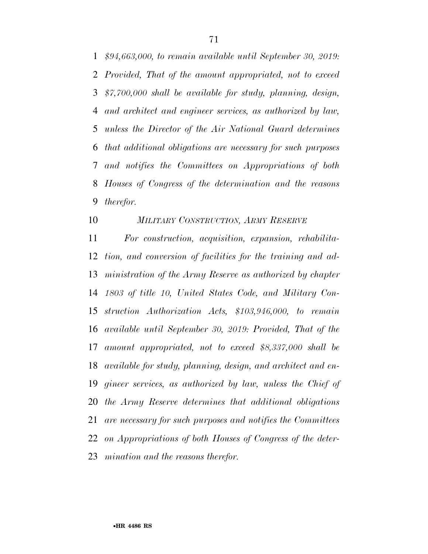*\$94,663,000, to remain available until September 30, 2019: Provided, That of the amount appropriated, not to exceed \$7,700,000 shall be available for study, planning, design, and architect and engineer services, as authorized by law, unless the Director of the Air National Guard determines that additional obligations are necessary for such purposes and notifies the Committees on Appropriations of both Houses of Congress of the determination and the reasons therefor.* 

# *MILITARY CONSTRUCTION, ARMY RESERVE*

 *For construction, acquisition, expansion, rehabilita- tion, and conversion of facilities for the training and ad- ministration of the Army Reserve as authorized by chapter 1803 of title 10, United States Code, and Military Con- struction Authorization Acts, \$103,946,000, to remain available until September 30, 2019: Provided, That of the amount appropriated, not to exceed \$8,337,000 shall be available for study, planning, design, and architect and en- gineer services, as authorized by law, unless the Chief of the Army Reserve determines that additional obligations are necessary for such purposes and notifies the Committees on Appropriations of both Houses of Congress of the deter-mination and the reasons therefor.*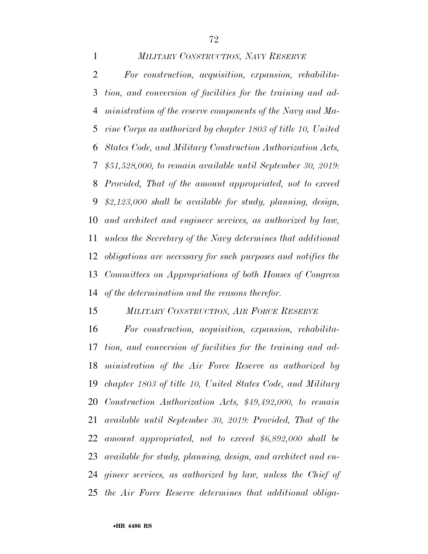*MILITARY CONSTRUCTION, NAVY RESERVE For construction, acquisition, expansion, rehabilita- tion, and conversion of facilities for the training and ad- ministration of the reserve components of the Navy and Ma- rine Corps as authorized by chapter 1803 of title 10, United States Code, and Military Construction Authorization Acts, \$51,528,000, to remain available until September 30, 2019: Provided, That of the amount appropriated, not to exceed \$2,123,000 shall be available for study, planning, design, and architect and engineer services, as authorized by law, unless the Secretary of the Navy determines that additional obligations are necessary for such purposes and notifies the Committees on Appropriations of both Houses of Congress of the determination and the reasons therefor.* 

*MILITARY CONSTRUCTION, AIR FORCE RESERVE*

 *For construction, acquisition, expansion, rehabilita- tion, and conversion of facilities for the training and ad- ministration of the Air Force Reserve as authorized by chapter 1803 of title 10, United States Code, and Military Construction Authorization Acts, \$49,492,000, to remain available until September 30, 2019: Provided, That of the amount appropriated, not to exceed \$6,892,000 shall be available for study, planning, design, and architect and en- gineer services, as authorized by law, unless the Chief of the Air Force Reserve determines that additional obliga-*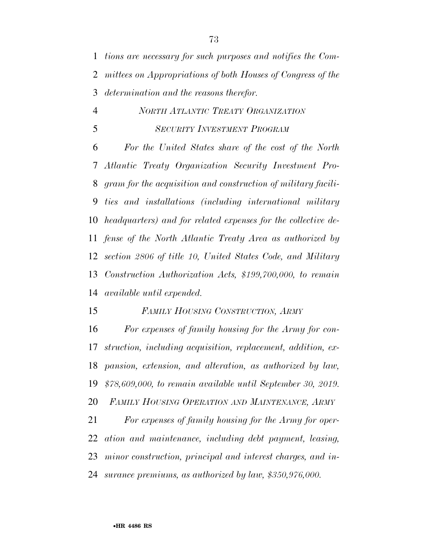*tions are necessary for such purposes and notifies the Com- mittees on Appropriations of both Houses of Congress of the determination and the reasons therefor.* 

## *NORTH ATLANTIC TREATY ORGANIZATION SECURITY INVESTMENT PROGRAM*

 *For the United States share of the cost of the North Atlantic Treaty Organization Security Investment Pro- gram for the acquisition and construction of military facili- ties and installations (including international military headquarters) and for related expenses for the collective de- fense of the North Atlantic Treaty Area as authorized by section 2806 of title 10, United States Code, and Military Construction Authorization Acts, \$199,700,000, to remain available until expended.* 

#### *FAMILY HOUSING CONSTRUCTION, ARMY*

 *For expenses of family housing for the Army for con- struction, including acquisition, replacement, addition, ex- pansion, extension, and alteration, as authorized by law, \$78,609,000, to remain available until September 30, 2019. FAMILY HOUSING OPERATION AND MAINTENANCE, ARMY*

 *For expenses of family housing for the Army for oper- ation and maintenance, including debt payment, leasing, minor construction, principal and interest charges, and in-surance premiums, as authorized by law, \$350,976,000.*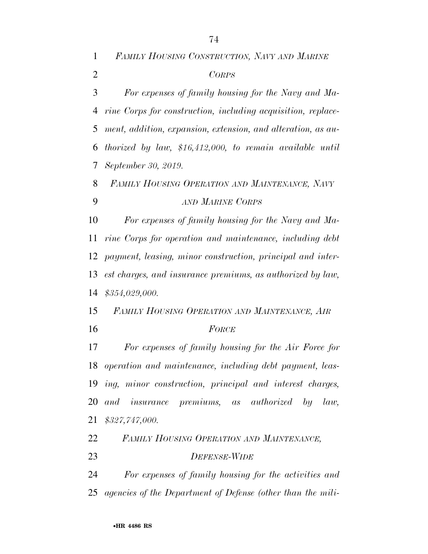*FAMILY HOUSING CONSTRUCTION, NAVY AND MARINE CORPS For expenses of family housing for the Navy and Ma- rine Corps for construction, including acquisition, replace- ment, addition, expansion, extension, and alteration, as au- thorized by law, \$16,412,000, to remain available until September 30, 2019. FAMILY HOUSING OPERATION AND MAINTENANCE, NAVY AND MARINE CORPS For expenses of family housing for the Navy and Ma- rine Corps for operation and maintenance, including debt payment, leasing, minor construction, principal and inter- est charges, and insurance premiums, as authorized by law, \$354,029,000. FAMILY HOUSING OPERATION AND MAINTENANCE, AIR FORCE For expenses of family housing for the Air Force for operation and maintenance, including debt payment, leas- ing, minor construction, principal and interest charges, and insurance premiums, as authorized by law, \$327,747,000. FAMILY HOUSING OPERATION AND MAINTENANCE, DEFENSE-WIDE*

 *For expenses of family housing for the activities and agencies of the Department of Defense (other than the mili-*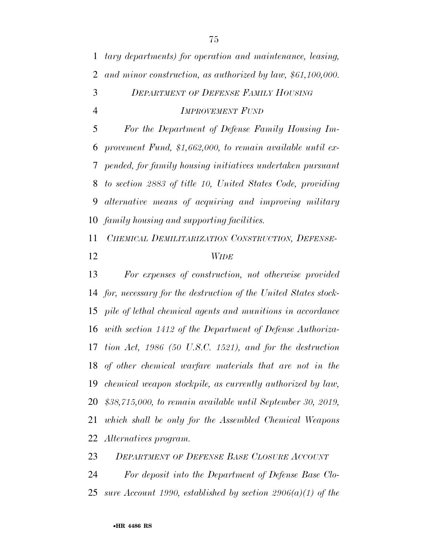*tary departments) for operation and maintenance, leasing, and minor construction, as authorized by law, \$61,100,000. DEPARTMENT OF DEFENSE FAMILY HOUSING IMPROVEMENT FUND*

 *For the Department of Defense Family Housing Im- provement Fund, \$1,662,000, to remain available until ex- pended, for family housing initiatives undertaken pursuant to section 2883 of title 10, United States Code, providing alternative means of acquiring and improving military family housing and supporting facilities.* 

*CHEMICAL DEMILITARIZATION CONSTRUCTION, DEFENSE-*

#### *WIDE*

 *For expenses of construction, not otherwise provided for, necessary for the destruction of the United States stock- pile of lethal chemical agents and munitions in accordance with section 1412 of the Department of Defense Authoriza- tion Act, 1986 (50 U.S.C. 1521), and for the destruction of other chemical warfare materials that are not in the chemical weapon stockpile, as currently authorized by law, \$38,715,000, to remain available until September 30, 2019, which shall be only for the Assembled Chemical Weapons Alternatives program.* 

*DEPARTMENT OF DEFENSE BASE CLOSURE ACCOUNT*

 *For deposit into the Department of Defense Base Clo-sure Account 1990, established by section 2906(a)(1) of the*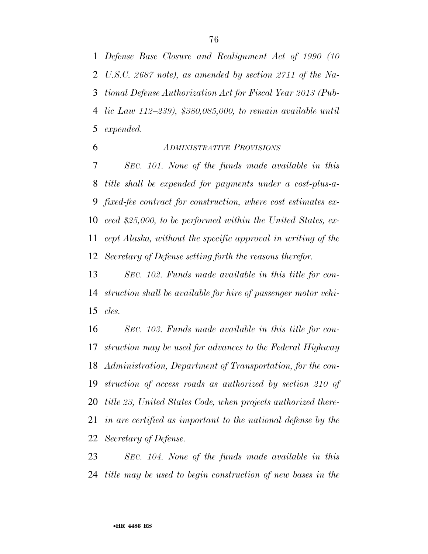*Defense Base Closure and Realignment Act of 1990 (10 U.S.C. 2687 note), as amended by section 2711 of the Na- tional Defense Authorization Act for Fiscal Year 2013 (Pub- lic Law 112–239), \$380,085,000, to remain available until expended.* 

*ADMINISTRATIVE PROVISIONS*

 *SEC. 101. None of the funds made available in this title shall be expended for payments under a cost-plus-a- fixed-fee contract for construction, where cost estimates ex- ceed \$25,000, to be performed within the United States, ex- cept Alaska, without the specific approval in writing of the Secretary of Defense setting forth the reasons therefor.* 

 *SEC. 102. Funds made available in this title for con- struction shall be available for hire of passenger motor vehi-cles.* 

 *SEC. 103. Funds made available in this title for con- struction may be used for advances to the Federal Highway Administration, Department of Transportation, for the con- struction of access roads as authorized by section 210 of title 23, United States Code, when projects authorized there- in are certified as important to the national defense by the Secretary of Defense.* 

 *SEC. 104. None of the funds made available in this title may be used to begin construction of new bases in the*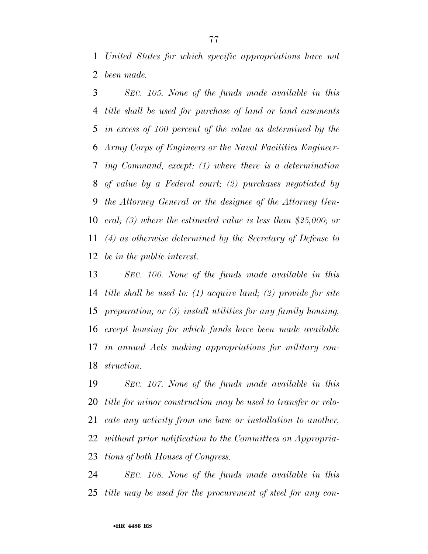*United States for which specific appropriations have not been made.* 

 *SEC. 105. None of the funds made available in this title shall be used for purchase of land or land easements in excess of 100 percent of the value as determined by the Army Corps of Engineers or the Naval Facilities Engineer- ing Command, except: (1) where there is a determination of value by a Federal court; (2) purchases negotiated by the Attorney General or the designee of the Attorney Gen- eral; (3) where the estimated value is less than \$25,000; or (4) as otherwise determined by the Secretary of Defense to be in the public interest.* 

 *SEC. 106. None of the funds made available in this title shall be used to: (1) acquire land; (2) provide for site preparation; or (3) install utilities for any family housing, except housing for which funds have been made available in annual Acts making appropriations for military con-struction.* 

 *SEC. 107. None of the funds made available in this title for minor construction may be used to transfer or relo- cate any activity from one base or installation to another, without prior notification to the Committees on Appropria-tions of both Houses of Congress.* 

 *SEC. 108. None of the funds made available in this title may be used for the procurement of steel for any con-*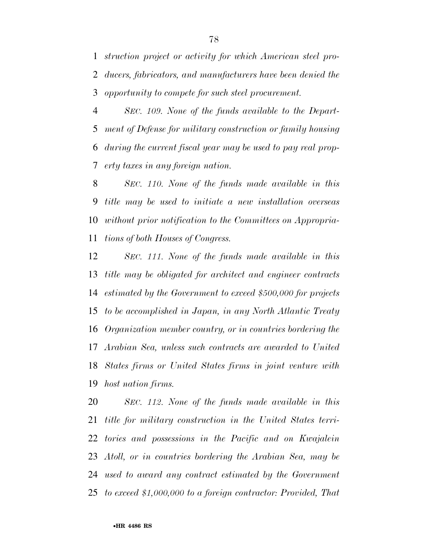*struction project or activity for which American steel pro- ducers, fabricators, and manufacturers have been denied the opportunity to compete for such steel procurement.* 

 *SEC. 109. None of the funds available to the Depart- ment of Defense for military construction or family housing during the current fiscal year may be used to pay real prop-erty taxes in any foreign nation.* 

 *SEC. 110. None of the funds made available in this title may be used to initiate a new installation overseas without prior notification to the Committees on Appropria-tions of both Houses of Congress.* 

 *SEC. 111. None of the funds made available in this title may be obligated for architect and engineer contracts estimated by the Government to exceed \$500,000 for projects to be accomplished in Japan, in any North Atlantic Treaty Organization member country, or in countries bordering the Arabian Sea, unless such contracts are awarded to United States firms or United States firms in joint venture with host nation firms.* 

 *SEC. 112. None of the funds made available in this title for military construction in the United States terri- tories and possessions in the Pacific and on Kwajalein Atoll, or in countries bordering the Arabian Sea, may be used to award any contract estimated by the Government to exceed \$1,000,000 to a foreign contractor: Provided, That*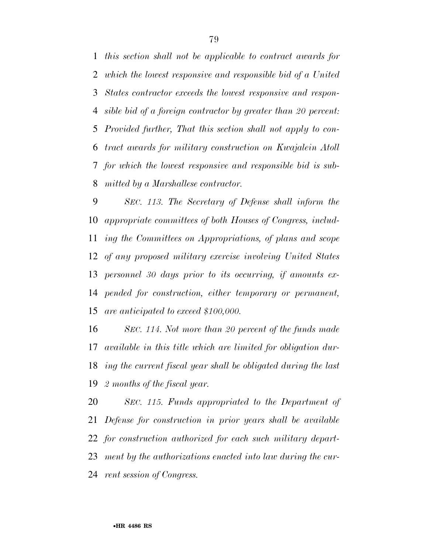*this section shall not be applicable to contract awards for which the lowest responsive and responsible bid of a United States contractor exceeds the lowest responsive and respon- sible bid of a foreign contractor by greater than 20 percent: Provided further, That this section shall not apply to con- tract awards for military construction on Kwajalein Atoll for which the lowest responsive and responsible bid is sub-mitted by a Marshallese contractor.* 

 *SEC. 113. The Secretary of Defense shall inform the appropriate committees of both Houses of Congress, includ- ing the Committees on Appropriations, of plans and scope of any proposed military exercise involving United States personnel 30 days prior to its occurring, if amounts ex- pended for construction, either temporary or permanent, are anticipated to exceed \$100,000.* 

 *SEC. 114. Not more than 20 percent of the funds made available in this title which are limited for obligation dur- ing the current fiscal year shall be obligated during the last 2 months of the fiscal year.* 

 *SEC. 115. Funds appropriated to the Department of Defense for construction in prior years shall be available for construction authorized for each such military depart- ment by the authorizations enacted into law during the cur-rent session of Congress.*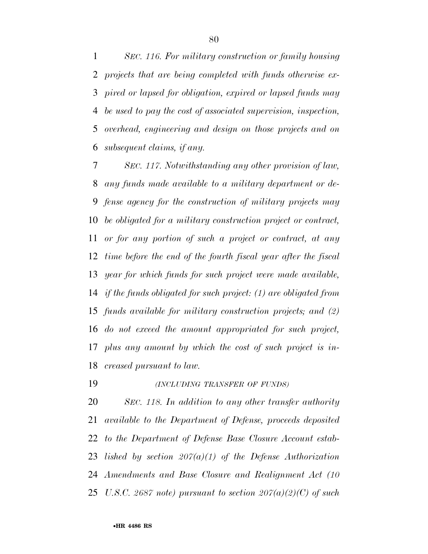*SEC. 116. For military construction or family housing projects that are being completed with funds otherwise ex- pired or lapsed for obligation, expired or lapsed funds may be used to pay the cost of associated supervision, inspection, overhead, engineering and design on those projects and on subsequent claims, if any.* 

 *SEC. 117. Notwithstanding any other provision of law, any funds made available to a military department or de- fense agency for the construction of military projects may be obligated for a military construction project or contract, or for any portion of such a project or contract, at any time before the end of the fourth fiscal year after the fiscal year for which funds for such project were made available, if the funds obligated for such project: (1) are obligated from funds available for military construction projects; and (2) do not exceed the amount appropriated for such project, plus any amount by which the cost of such project is in-creased pursuant to law.* 

*(INCLUDING TRANSFER OF FUNDS)*

 *SEC. 118. In addition to any other transfer authority available to the Department of Defense, proceeds deposited to the Department of Defense Base Closure Account estab- lished by section 207(a)(1) of the Defense Authorization Amendments and Base Closure and Realignment Act (10 U.S.C. 2687 note) pursuant to section 207(a)(2)(C) of such*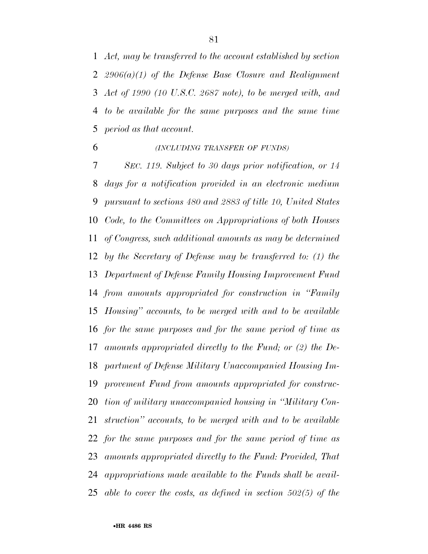*Act, may be transferred to the account established by section 2906(a)(1) of the Defense Base Closure and Realignment Act of 1990 (10 U.S.C. 2687 note), to be merged with, and to be available for the same purposes and the same time period as that account.* 

## *(INCLUDING TRANSFER OF FUNDS)*

 *SEC. 119. Subject to 30 days prior notification, or 14 days for a notification provided in an electronic medium pursuant to sections 480 and 2883 of title 10, United States Code, to the Committees on Appropriations of both Houses of Congress, such additional amounts as may be determined by the Secretary of Defense may be transferred to: (1) the Department of Defense Family Housing Improvement Fund from amounts appropriated for construction in ''Family Housing'' accounts, to be merged with and to be available for the same purposes and for the same period of time as amounts appropriated directly to the Fund; or (2) the De- partment of Defense Military Unaccompanied Housing Im- provement Fund from amounts appropriated for construc- tion of military unaccompanied housing in ''Military Con- struction'' accounts, to be merged with and to be available for the same purposes and for the same period of time as amounts appropriated directly to the Fund: Provided, That appropriations made available to the Funds shall be avail-able to cover the costs, as defined in section 502(5) of the*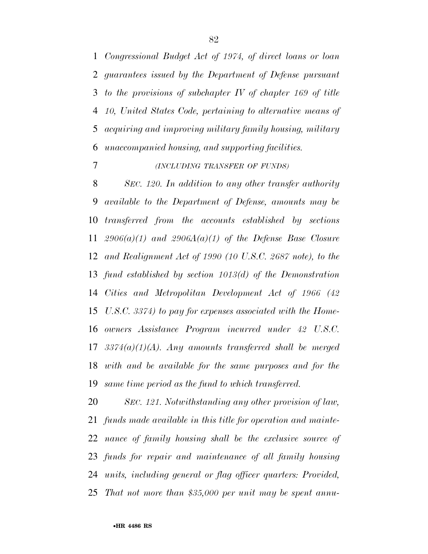*Congressional Budget Act of 1974, of direct loans or loan guarantees issued by the Department of Defense pursuant to the provisions of subchapter IV of chapter 169 of title 10, United States Code, pertaining to alternative means of acquiring and improving military family housing, military unaccompanied housing, and supporting facilities.* 

## *(INCLUDING TRANSFER OF FUNDS)*

 *SEC. 120. In addition to any other transfer authority available to the Department of Defense, amounts may be transferred from the accounts established by sections 2906(a)(1) and 2906A(a)(1) of the Defense Base Closure and Realignment Act of 1990 (10 U.S.C. 2687 note), to the fund established by section 1013(d) of the Demonstration Cities and Metropolitan Development Act of 1966 (42 U.S.C. 3374) to pay for expenses associated with the Home- owners Assistance Program incurred under 42 U.S.C. 3374(a)(1)(A). Any amounts transferred shall be merged with and be available for the same purposes and for the same time period as the fund to which transferred.* 

 *SEC. 121. Notwithstanding any other provision of law, funds made available in this title for operation and mainte- nance of family housing shall be the exclusive source of funds for repair and maintenance of all family housing units, including general or flag officer quarters: Provided, That not more than \$35,000 per unit may be spent annu-*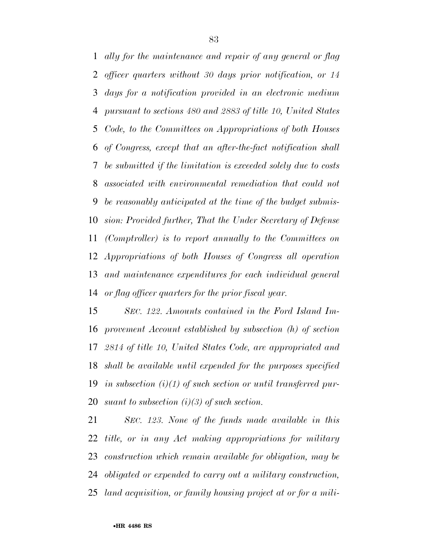*ally for the maintenance and repair of any general or flag officer quarters without 30 days prior notification, or 14 days for a notification provided in an electronic medium pursuant to sections 480 and 2883 of title 10, United States Code, to the Committees on Appropriations of both Houses of Congress, except that an after-the-fact notification shall be submitted if the limitation is exceeded solely due to costs associated with environmental remediation that could not be reasonably anticipated at the time of the budget submis- sion: Provided further, That the Under Secretary of Defense (Comptroller) is to report annually to the Committees on Appropriations of both Houses of Congress all operation and maintenance expenditures for each individual general or flag officer quarters for the prior fiscal year.* 

 *SEC. 122. Amounts contained in the Ford Island Im- provement Account established by subsection (h) of section 2814 of title 10, United States Code, are appropriated and shall be available until expended for the purposes specified in subsection (i)(1) of such section or until transferred pur-suant to subsection (i)(3) of such section.* 

 *SEC. 123. None of the funds made available in this title, or in any Act making appropriations for military construction which remain available for obligation, may be obligated or expended to carry out a military construction, land acquisition, or family housing project at or for a mili-*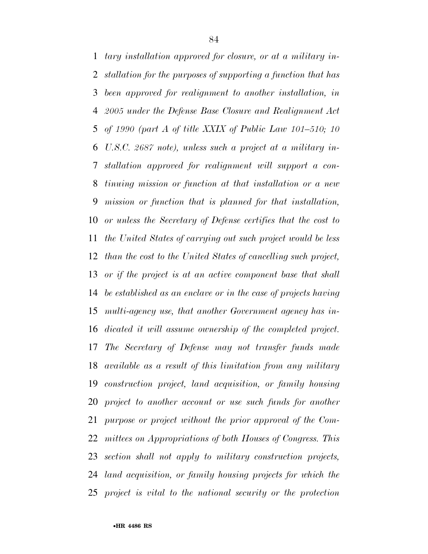*tary installation approved for closure, or at a military in- stallation for the purposes of supporting a function that has been approved for realignment to another installation, in 2005 under the Defense Base Closure and Realignment Act of 1990 (part A of title XXIX of Public Law 101–510; 10 U.S.C. 2687 note), unless such a project at a military in- stallation approved for realignment will support a con- tinuing mission or function at that installation or a new mission or function that is planned for that installation, or unless the Secretary of Defense certifies that the cost to the United States of carrying out such project would be less than the cost to the United States of cancelling such project, or if the project is at an active component base that shall be established as an enclave or in the case of projects having multi-agency use, that another Government agency has in- dicated it will assume ownership of the completed project. The Secretary of Defense may not transfer funds made available as a result of this limitation from any military construction project, land acquisition, or family housing project to another account or use such funds for another purpose or project without the prior approval of the Com- mittees on Appropriations of both Houses of Congress. This section shall not apply to military construction projects, land acquisition, or family housing projects for which the project is vital to the national security or the protection*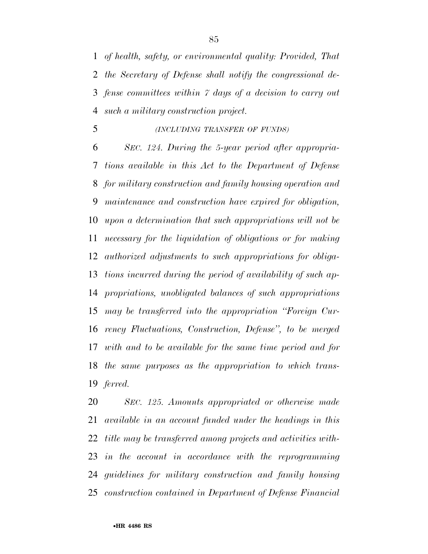*of health, safety, or environmental quality: Provided, That the Secretary of Defense shall notify the congressional de- fense committees within 7 days of a decision to carry out such a military construction project.* 

#### *(INCLUDING TRANSFER OF FUNDS)*

 *SEC. 124. During the 5-year period after appropria- tions available in this Act to the Department of Defense for military construction and family housing operation and maintenance and construction have expired for obligation, upon a determination that such appropriations will not be necessary for the liquidation of obligations or for making authorized adjustments to such appropriations for obliga- tions incurred during the period of availability of such ap- propriations, unobligated balances of such appropriations may be transferred into the appropriation ''Foreign Cur- rency Fluctuations, Construction, Defense'', to be merged with and to be available for the same time period and for the same purposes as the appropriation to which trans-ferred.* 

 *SEC. 125. Amounts appropriated or otherwise made available in an account funded under the headings in this title may be transferred among projects and activities with- in the account in accordance with the reprogramming guidelines for military construction and family housing construction contained in Department of Defense Financial*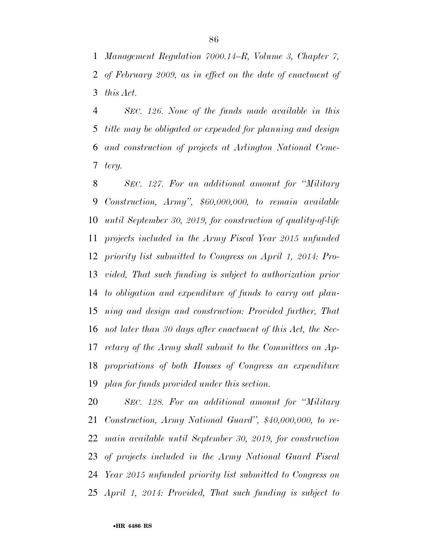*Management Regulation 7000.14–R, Volume 3, Chapter 7, of February 2009, as in effect on the date of enactment of this Act.* 

 *SEC. 126. None of the funds made available in this title may be obligated or expended for planning and design and construction of projects at Arlington National Ceme-tery.* 

 *SEC. 127. For an additional amount for ''Military Construction, Army'', \$60,000,000, to remain available until September 30, 2019, for construction of quality-of-life projects included in the Army Fiscal Year 2015 unfunded priority list submitted to Congress on April 1, 2014: Pro- vided, That such funding is subject to authorization prior to obligation and expenditure of funds to carry out plan- ning and design and construction: Provided further, That not later than 30 days after enactment of this Act, the Sec- retary of the Army shall submit to the Committees on Ap- propriations of both Houses of Congress an expenditure plan for funds provided under this section.* 

 *SEC. 128. For an additional amount for ''Military Construction, Army National Guard'', \$40,000,000, to re- main available until September 30, 2019, for construction of projects included in the Army National Guard Fiscal Year 2015 unfunded priority list submitted to Congress on April 1, 2014: Provided, That such funding is subject to*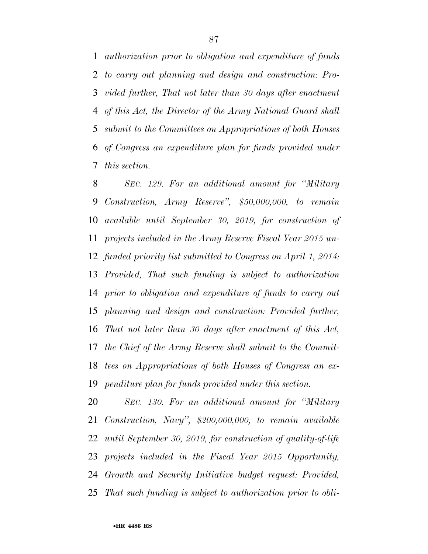*authorization prior to obligation and expenditure of funds to carry out planning and design and construction: Pro- vided further, That not later than 30 days after enactment of this Act, the Director of the Army National Guard shall submit to the Committees on Appropriations of both Houses of Congress an expenditure plan for funds provided under this section.* 

 *SEC. 129. For an additional amount for ''Military Construction, Army Reserve'', \$50,000,000, to remain available until September 30, 2019, for construction of projects included in the Army Reserve Fiscal Year 2015 un- funded priority list submitted to Congress on April 1, 2014: Provided, That such funding is subject to authorization prior to obligation and expenditure of funds to carry out planning and design and construction: Provided further, That not later than 30 days after enactment of this Act, the Chief of the Army Reserve shall submit to the Commit- tees on Appropriations of both Houses of Congress an ex-penditure plan for funds provided under this section.* 

 *SEC. 130. For an additional amount for ''Military Construction, Navy'', \$200,000,000, to remain available until September 30, 2019, for construction of quality-of-life projects included in the Fiscal Year 2015 Opportunity, Growth and Security Initiative budget request: Provided, That such funding is subject to authorization prior to obli-*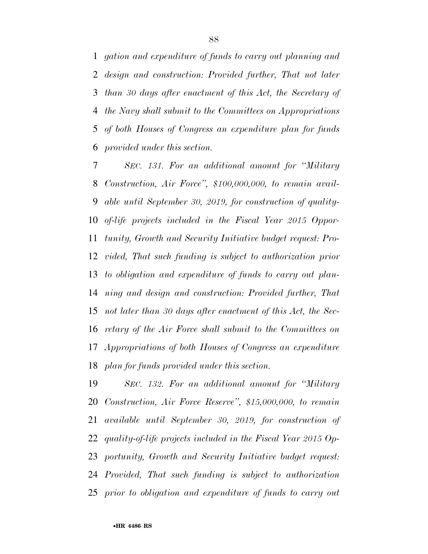*gation and expenditure of funds to carry out planning and design and construction: Provided further, That not later than 30 days after enactment of this Act, the Secretary of the Navy shall submit to the Committees on Appropriations of both Houses of Congress an expenditure plan for funds provided under this section.* 

 *SEC. 131. For an additional amount for ''Military Construction, Air Force'', \$100,000,000, to remain avail- able until September 30, 2019, for construction of quality- of-life projects included in the Fiscal Year 2015 Oppor- tunity, Growth and Security Initiative budget request: Pro- vided, That such funding is subject to authorization prior to obligation and expenditure of funds to carry out plan- ning and design and construction: Provided further, That not later than 30 days after enactment of this Act, the Sec- retary of the Air Force shall submit to the Committees on Appropriations of both Houses of Congress an expenditure plan for funds provided under this section.* 

 *SEC. 132. For an additional amount for ''Military Construction, Air Force Reserve'', \$15,000,000, to remain available until September 30, 2019, for construction of quality-of-life projects included in the Fiscal Year 2015 Op- portunity, Growth and Security Initiative budget request: Provided, That such funding is subject to authorization prior to obligation and expenditure of funds to carry out*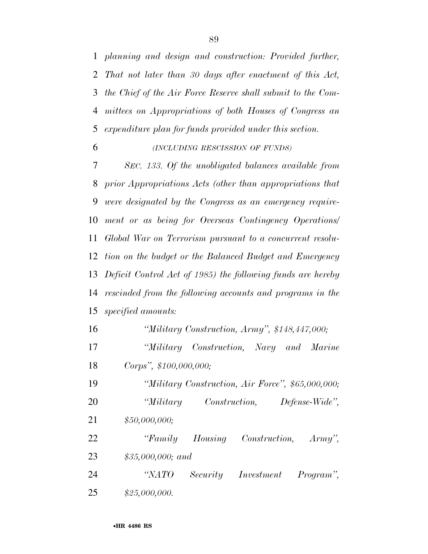*planning and design and construction: Provided further, That not later than 30 days after enactment of this Act, the Chief of the Air Force Reserve shall submit to the Com- mittees on Appropriations of both Houses of Congress an expenditure plan for funds provided under this section.* 

*(INCLUDING RESCISSION OF FUNDS)*

 *SEC. 133. Of the unobligated balances available from prior Appropriations Acts (other than appropriations that were designated by the Congress as an emergency require- ment or as being for Overseas Contingency Operations/ Global War on Terrorism pursuant to a concurrent resolu- tion on the budget or the Balanced Budget and Emergency Deficit Control Act of 1985) the following funds are hereby rescinded from the following accounts and programs in the specified amounts:* 

*''Military Construction, Army'', \$148,447,000;* 

 *''Military Construction, Navy and Marine Corps'', \$100,000,000;* 

 *''Military Construction, Air Force'', \$65,000,000; ''Military Construction, Defense-Wide'', \$50,000,000;* 

 *''Family Housing Construction, Army'', \$35,000,000; and* 

 *''NATO Security Investment Program'', \$25,000,000.*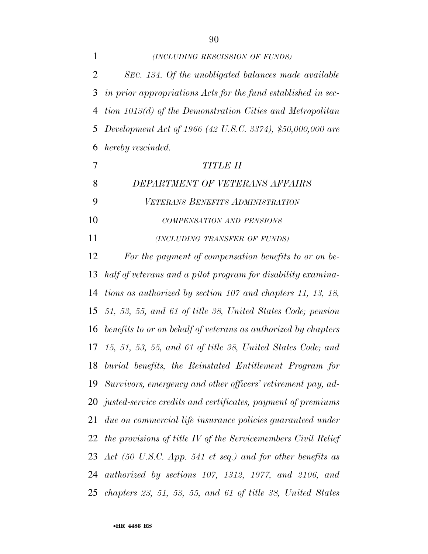| $\mathbf{1}$   | (INCLUDING RESCISSION OF FUNDS)                                                                                                                |
|----------------|------------------------------------------------------------------------------------------------------------------------------------------------|
| $\overline{2}$ | SEC. 134. Of the unobligated balances made available                                                                                           |
| 3              | in prior appropriations Acts for the fund established in sec-                                                                                  |
| 4              | tion 1013(d) of the Demonstration Cities and Metropolitan                                                                                      |
| 5              | Development Act of 1966 (42 U.S.C. 3374), \$50,000,000 are                                                                                     |
| 6              | hereby rescinded.                                                                                                                              |
| $\overline{7}$ | <b>TITLE II</b>                                                                                                                                |
| 8              | DEPARTMENT OF VETERANS AFFAIRS                                                                                                                 |
| 9              | VETERANS BENEFITS ADMINISTRATION                                                                                                               |
| 10             | COMPENSATION AND PENSIONS                                                                                                                      |
| 11             | (INCLUDING TRANSFER OF FUNDS)                                                                                                                  |
| 12             | For the payment of compensation benefits to or on be-                                                                                          |
| 13             | half of veterans and a pilot program for disability examina-                                                                                   |
| 14             | tions as authorized by section 107 and chapters 11, 13, 18,                                                                                    |
|                | 15 51, 53, 55, and 61 of title 38, United States Code; pension                                                                                 |
|                | $1$ $(1)$ $(2)$ $(1)$ $(1)$ $(2)$ $(3)$ $(1)$ $(2)$ $(3)$ $(4)$ $(5)$ $(1)$ $(2)$ $(3)$ $(4)$ $(5)$ $(6)$ $(1)$<br>$\mathbf{u}$ , $\mathbf{v}$ |

 *benefits to or on behalf of veterans as authorized by chapters 15, 51, 53, 55, and 61 of title 38, United States Code; and burial benefits, the Reinstated Entitlement Program for Survivors, emergency and other officers' retirement pay, ad- justed-service credits and certificates, payment of premiums due on commercial life insurance policies guaranteed under the provisions of title IV of the Servicemembers Civil Relief Act (50 U.S.C. App. 541 et seq.) and for other benefits as authorized by sections 107, 1312, 1977, and 2106, and chapters 23, 51, 53, 55, and 61 of title 38, United States*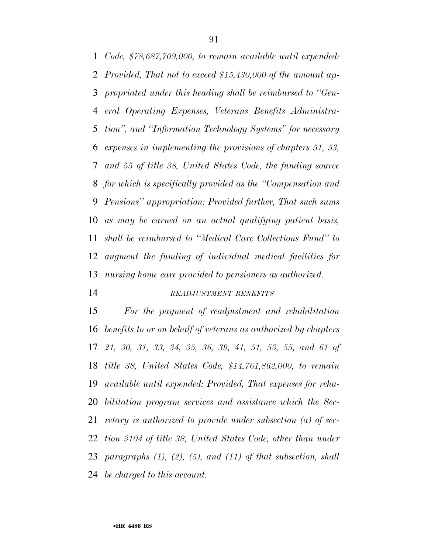*Code, \$78,687,709,000, to remain available until expended: Provided, That not to exceed \$15,430,000 of the amount ap- propriated under this heading shall be reimbursed to ''Gen- eral Operating Expenses, Veterans Benefits Administra- tion'', and ''Information Technology Systems'' for necessary expenses in implementing the provisions of chapters 51, 53, and 55 of title 38, United States Code, the funding source for which is specifically provided as the ''Compensation and Pensions'' appropriation: Provided further, That such sums as may be earned on an actual qualifying patient basis, shall be reimbursed to ''Medical Care Collections Fund'' to augment the funding of individual medical facilities for nursing home care provided to pensioners as authorized.* 

## *READJUSTMENT BENEFITS*

 *For the payment of readjustment and rehabilitation benefits to or on behalf of veterans as authorized by chapters 21, 30, 31, 33, 34, 35, 36, 39, 41, 51, 53, 55, and 61 of title 38, United States Code, \$14,761,862,000, to remain available until expended: Provided, That expenses for reha- bilitation program services and assistance which the Sec- retary is authorized to provide under subsection (a) of sec- tion 3104 of title 38, United States Code, other than under paragraphs (1), (2), (5), and (11) of that subsection, shall be charged to this account.*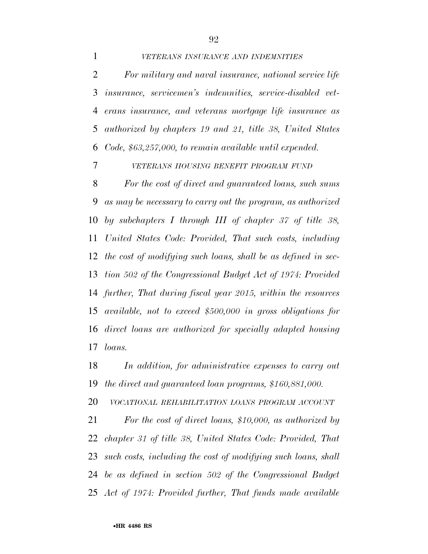*VETERANS INSURANCE AND INDEMNITIES*

 *For military and naval insurance, national service life insurance, servicemen's indemnities, service-disabled vet- erans insurance, and veterans mortgage life insurance as authorized by chapters 19 and 21, title 38, United States Code, \$63,257,000, to remain available until expended.* 

*VETERANS HOUSING BENEFIT PROGRAM FUND*

 *For the cost of direct and guaranteed loans, such sums as may be necessary to carry out the program, as authorized by subchapters I through III of chapter 37 of title 38, United States Code: Provided, That such costs, including the cost of modifying such loans, shall be as defined in sec- tion 502 of the Congressional Budget Act of 1974: Provided further, That during fiscal year 2015, within the resources available, not to exceed \$500,000 in gross obligations for direct loans are authorized for specially adapted housing loans.* 

 *In addition, for administrative expenses to carry out the direct and guaranteed loan programs, \$160,881,000.* 

*VOCATIONAL REHABILITATION LOANS PROGRAM ACCOUNT*

 *For the cost of direct loans, \$10,000, as authorized by chapter 31 of title 38, United States Code: Provided, That such costs, including the cost of modifying such loans, shall be as defined in section 502 of the Congressional Budget Act of 1974: Provided further, That funds made available*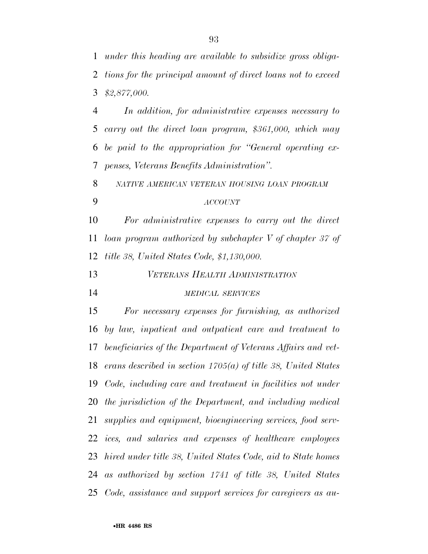*In addition, for administrative expenses necessary to carry out the direct loan program, \$361,000, which may be paid to the appropriation for ''General operating ex-penses, Veterans Benefits Administration''.* 

*NATIVE AMERICAN VETERAN HOUSING LOAN PROGRAM*

*ACCOUNT*

 *For administrative expenses to carry out the direct loan program authorized by subchapter V of chapter 37 of title 38, United States Code, \$1,130,000.* 

*VETERANS HEALTH ADMINISTRATION*

#### *MEDICAL SERVICES*

 *For necessary expenses for furnishing, as authorized by law, inpatient and outpatient care and treatment to beneficiaries of the Department of Veterans Affairs and vet- erans described in section 1705(a) of title 38, United States Code, including care and treatment in facilities not under the jurisdiction of the Department, and including medical supplies and equipment, bioengineering services, food serv- ices, and salaries and expenses of healthcare employees hired under title 38, United States Code, aid to State homes as authorized by section 1741 of title 38, United States Code, assistance and support services for caregivers as au-*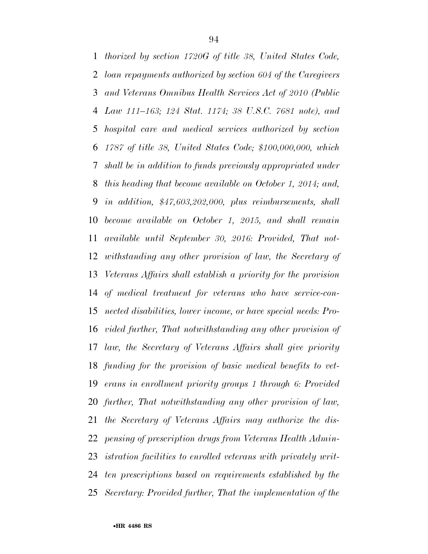*thorized by section 1720G of title 38, United States Code, loan repayments authorized by section 604 of the Caregivers and Veterans Omnibus Health Services Act of 2010 (Public Law 111–163; 124 Stat. 1174; 38 U.S.C. 7681 note), and hospital care and medical services authorized by section 1787 of title 38, United States Code; \$100,000,000, which shall be in addition to funds previously appropriated under this heading that become available on October 1, 2014; and, in addition, \$47,603,202,000, plus reimbursements, shall become available on October 1, 2015, and shall remain available until September 30, 2016: Provided, That not- withstanding any other provision of law, the Secretary of Veterans Affairs shall establish a priority for the provision of medical treatment for veterans who have service-con- nected disabilities, lower income, or have special needs: Pro- vided further, That notwithstanding any other provision of law, the Secretary of Veterans Affairs shall give priority funding for the provision of basic medical benefits to vet- erans in enrollment priority groups 1 through 6: Provided further, That notwithstanding any other provision of law, the Secretary of Veterans Affairs may authorize the dis- pensing of prescription drugs from Veterans Health Admin- istration facilities to enrolled veterans with privately writ- ten prescriptions based on requirements established by the Secretary: Provided further, That the implementation of the*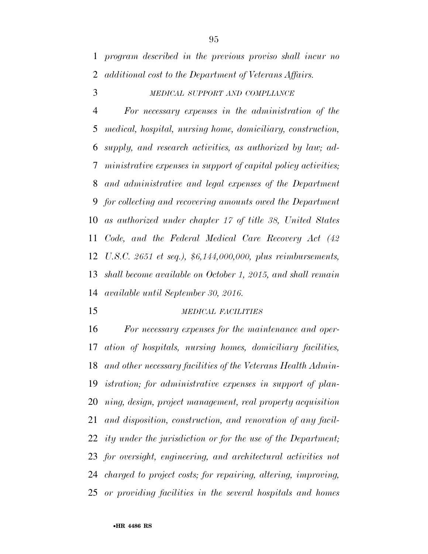*MEDICAL SUPPORT AND COMPLIANCE*

 *For necessary expenses in the administration of the medical, hospital, nursing home, domiciliary, construction, supply, and research activities, as authorized by law; ad- ministrative expenses in support of capital policy activities; and administrative and legal expenses of the Department for collecting and recovering amounts owed the Department as authorized under chapter 17 of title 38, United States Code, and the Federal Medical Care Recovery Act (42 U.S.C. 2651 et seq.), \$6,144,000,000, plus reimbursements, shall become available on October 1, 2015, and shall remain available until September 30, 2016.* 

#### *MEDICAL FACILITIES*

 *For necessary expenses for the maintenance and oper- ation of hospitals, nursing homes, domiciliary facilities, and other necessary facilities of the Veterans Health Admin- istration; for administrative expenses in support of plan- ning, design, project management, real property acquisition and disposition, construction, and renovation of any facil- ity under the jurisdiction or for the use of the Department; for oversight, engineering, and architectural activities not charged to project costs; for repairing, altering, improving, or providing facilities in the several hospitals and homes*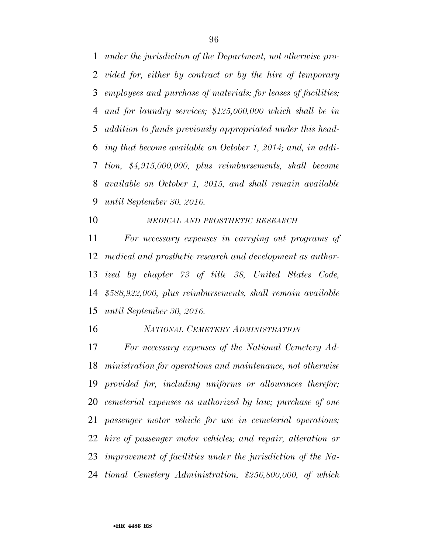*under the jurisdiction of the Department, not otherwise pro- vided for, either by contract or by the hire of temporary employees and purchase of materials; for leases of facilities; and for laundry services; \$125,000,000 which shall be in addition to funds previously appropriated under this head- ing that become available on October 1, 2014; and, in addi- tion, \$4,915,000,000, plus reimbursements, shall become available on October 1, 2015, and shall remain available until September 30, 2016.* 

*MEDICAL AND PROSTHETIC RESEARCH*

 *For necessary expenses in carrying out programs of medical and prosthetic research and development as author- ized by chapter 73 of title 38, United States Code, \$588,922,000, plus reimbursements, shall remain available until September 30, 2016.* 

*NATIONAL CEMETERY ADMINISTRATION*

 *For necessary expenses of the National Cemetery Ad- ministration for operations and maintenance, not otherwise provided for, including uniforms or allowances therefor; cemeterial expenses as authorized by law; purchase of one passenger motor vehicle for use in cemeterial operations; hire of passenger motor vehicles; and repair, alteration or improvement of facilities under the jurisdiction of the Na-tional Cemetery Administration, \$256,800,000, of which*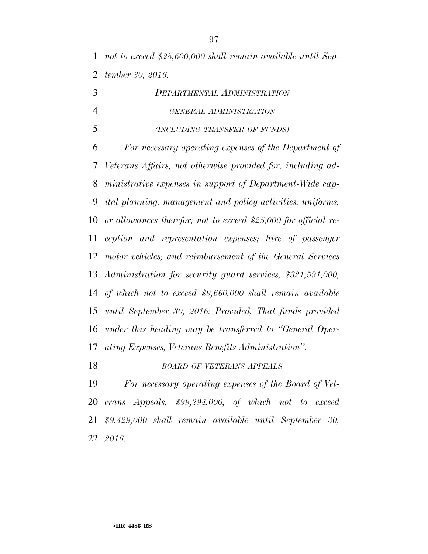*not to exceed \$25,600,000 shall remain available until Sep-tember 30, 2016.* 

| 3              | <b>DEPARTMENTAL ADMINISTRATION</b>                                |
|----------------|-------------------------------------------------------------------|
| $\overline{4}$ | GENERAL ADMINISTRATION                                            |
| 5              | (INCLUDING TRANSFER OF FUNDS)                                     |
| 6              | For necessary operating expenses of the Department of             |
| 7              | Veterans Affairs, not otherwise provided for, including ad-       |
| 8              | ministrative expenses in support of Department-Wide cap-          |
| 9              | <i>ital planning, management and policy activities, uniforms,</i> |
| 10             | or allowances therefor; not to exceed \$25,000 for official re-   |
| 11             | ception and representation expenses; hire of passenger            |
| 12             | motor vehicles; and reimbursement of the General Services         |
|                | 13 Administration for security guard services, \$321,591,000,     |
|                | 14 of which not to exceed $$9,660,000$ shall remain available     |
| 15             | until September 30, 2016: Provided, That funds provided           |
|                | 16 under this heading may be transferred to "General Oper-        |
| 17             | ating Expenses, Veterans Benefits Administration".                |
| 18             | <b>BOARD OF VETERANS APPEALS</b>                                  |

 *For necessary operating expenses of the Board of Vet- erans Appeals, \$99,294,000, of which not to exceed \$9,429,000 shall remain available until September 30, 2016.*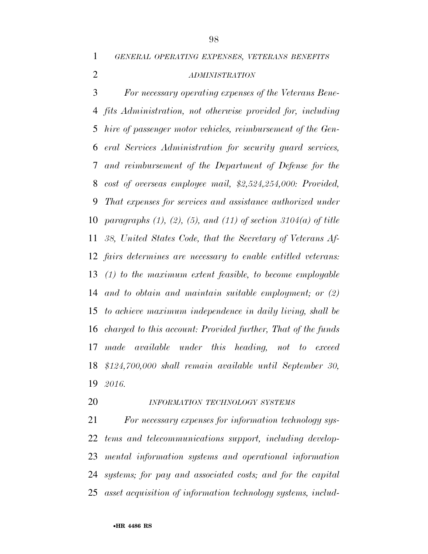*GENERAL OPERATING EXPENSES, VETERANS BENEFITS*

## *ADMINISTRATION*

 *For necessary operating expenses of the Veterans Bene- fits Administration, not otherwise provided for, including hire of passenger motor vehicles, reimbursement of the Gen- eral Services Administration for security guard services, and reimbursement of the Department of Defense for the cost of overseas employee mail, \$2,524,254,000: Provided, That expenses for services and assistance authorized under paragraphs (1), (2), (5), and (11) of section 3104(a) of title 38, United States Code, that the Secretary of Veterans Af- fairs determines are necessary to enable entitled veterans: (1) to the maximum extent feasible, to become employable and to obtain and maintain suitable employment; or (2) to achieve maximum independence in daily living, shall be charged to this account: Provided further, That of the funds made available under this heading, not to exceed \$124,700,000 shall remain available until September 30, 2016.* 

*INFORMATION TECHNOLOGY SYSTEMS*

 *For necessary expenses for information technology sys- tems and telecommunications support, including develop- mental information systems and operational information systems; for pay and associated costs; and for the capital asset acquisition of information technology systems, includ-*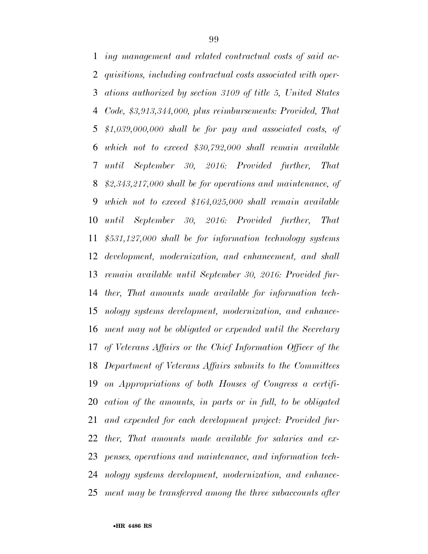*ing management and related contractual costs of said ac- quisitions, including contractual costs associated with oper- ations authorized by section 3109 of title 5, United States Code, \$3,913,344,000, plus reimbursements: Provided, That \$1,039,000,000 shall be for pay and associated costs, of which not to exceed \$30,792,000 shall remain available until September 30, 2016: Provided further, That \$2,343,217,000 shall be for operations and maintenance, of which not to exceed \$164,025,000 shall remain available until September 30, 2016: Provided further, That \$531,127,000 shall be for information technology systems development, modernization, and enhancement, and shall remain available until September 30, 2016: Provided fur- ther, That amounts made available for information tech- nology systems development, modernization, and enhance- ment may not be obligated or expended until the Secretary of Veterans Affairs or the Chief Information Officer of the Department of Veterans Affairs submits to the Committees on Appropriations of both Houses of Congress a certifi- cation of the amounts, in parts or in full, to be obligated and expended for each development project: Provided fur- ther, That amounts made available for salaries and ex- penses, operations and maintenance, and information tech- nology systems development, modernization, and enhance-ment may be transferred among the three subaccounts after*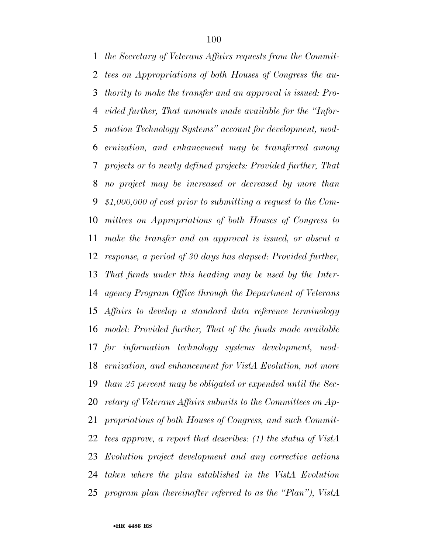*the Secretary of Veterans Affairs requests from the Commit- tees on Appropriations of both Houses of Congress the au- thority to make the transfer and an approval is issued: Pro- vided further, That amounts made available for the ''Infor- mation Technology Systems'' account for development, mod- ernization, and enhancement may be transferred among projects or to newly defined projects: Provided further, That no project may be increased or decreased by more than \$1,000,000 of cost prior to submitting a request to the Com- mittees on Appropriations of both Houses of Congress to make the transfer and an approval is issued, or absent a response, a period of 30 days has elapsed: Provided further, That funds under this heading may be used by the Inter- agency Program Office through the Department of Veterans Affairs to develop a standard data reference terminology model: Provided further, That of the funds made available for information technology systems development, mod- ernization, and enhancement for VistA Evolution, not more than 25 percent may be obligated or expended until the Sec- retary of Veterans Affairs submits to the Committees on Ap- propriations of both Houses of Congress, and such Commit- tees approve, a report that describes: (1) the status of VistA Evolution project development and any corrective actions taken where the plan established in the VistA Evolution program plan (hereinafter referred to as the ''Plan''), VistA*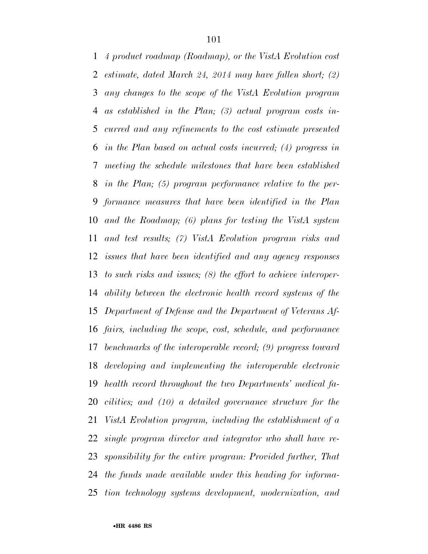*4 product roadmap (Roadmap), or the VistA Evolution cost estimate, dated March 24, 2014 may have fallen short; (2) any changes to the scope of the VistA Evolution program as established in the Plan; (3) actual program costs in- curred and any refinements to the cost estimate presented in the Plan based on actual costs incurred; (4) progress in meeting the schedule milestones that have been established in the Plan; (5) program performance relative to the per- formance measures that have been identified in the Plan and the Roadmap; (6) plans for testing the VistA system and test results; (7) VistA Evolution program risks and issues that have been identified and any agency responses to such risks and issues; (8) the effort to achieve interoper- ability between the electronic health record systems of the Department of Defense and the Department of Veterans Af- fairs, including the scope, cost, schedule, and performance benchmarks of the interoperable record; (9) progress toward developing and implementing the interoperable electronic health record throughout the two Departments' medical fa- cilities; and (10) a detailed governance structure for the VistA Evolution program, including the establishment of a single program director and integrator who shall have re- sponsibility for the entire program: Provided further, That the funds made available under this heading for informa-tion technology systems development, modernization, and*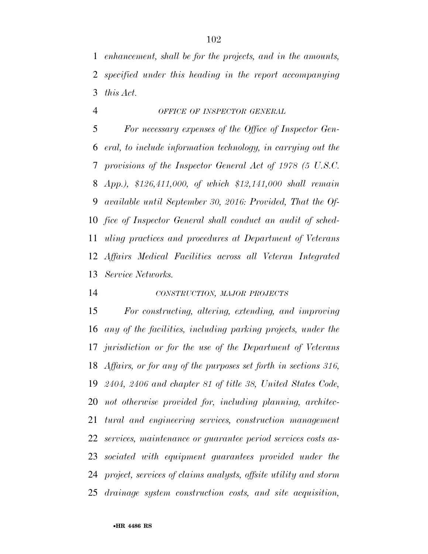*enhancement, shall be for the projects, and in the amounts, specified under this heading in the report accompanying this Act.* 

#### *OFFICE OF INSPECTOR GENERAL*

 *For necessary expenses of the Office of Inspector Gen- eral, to include information technology, in carrying out the provisions of the Inspector General Act of 1978 (5 U.S.C. App.), \$126,411,000, of which \$12,141,000 shall remain available until September 30, 2016: Provided, That the Of- fice of Inspector General shall conduct an audit of sched- uling practices and procedures at Department of Veterans Affairs Medical Facilities across all Veteran Integrated Service Networks.* 

## *CONSTRUCTION, MAJOR PROJECTS*

 *For constructing, altering, extending, and improving any of the facilities, including parking projects, under the jurisdiction or for the use of the Department of Veterans Affairs, or for any of the purposes set forth in sections 316, 2404, 2406 and chapter 81 of title 38, United States Code, not otherwise provided for, including planning, architec- tural and engineering services, construction management services, maintenance or guarantee period services costs as- sociated with equipment guarantees provided under the project, services of claims analysts, offsite utility and storm drainage system construction costs, and site acquisition,*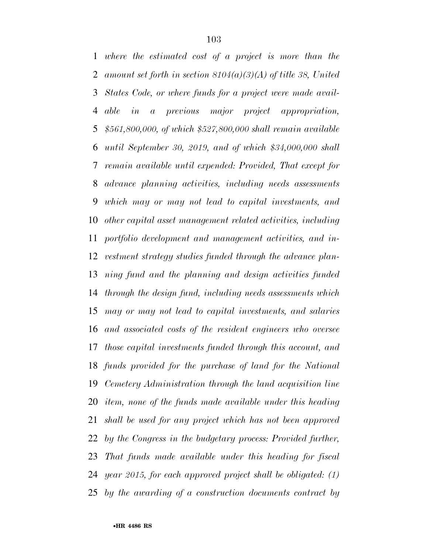*where the estimated cost of a project is more than the amount set forth in section 8104(a)(3)(A) of title 38, United States Code, or where funds for a project were made avail- able in a previous major project appropriation, \$561,800,000, of which \$527,800,000 shall remain available until September 30, 2019, and of which \$34,000,000 shall remain available until expended: Provided, That except for advance planning activities, including needs assessments which may or may not lead to capital investments, and other capital asset management related activities, including portfolio development and management activities, and in- vestment strategy studies funded through the advance plan- ning fund and the planning and design activities funded through the design fund, including needs assessments which may or may not lead to capital investments, and salaries and associated costs of the resident engineers who oversee those capital investments funded through this account, and funds provided for the purchase of land for the National Cemetery Administration through the land acquisition line item, none of the funds made available under this heading shall be used for any project which has not been approved by the Congress in the budgetary process: Provided further, That funds made available under this heading for fiscal year 2015, for each approved project shall be obligated: (1) by the awarding of a construction documents contract by*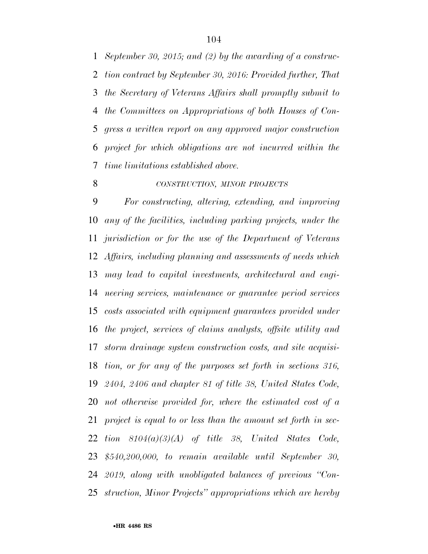*September 30, 2015; and (2) by the awarding of a construc- tion contract by September 30, 2016: Provided further, That the Secretary of Veterans Affairs shall promptly submit to the Committees on Appropriations of both Houses of Con- gress a written report on any approved major construction project for which obligations are not incurred within the time limitations established above.* 

#### *CONSTRUCTION, MINOR PROJECTS*

 *For constructing, altering, extending, and improving any of the facilities, including parking projects, under the jurisdiction or for the use of the Department of Veterans Affairs, including planning and assessments of needs which may lead to capital investments, architectural and engi- neering services, maintenance or guarantee period services costs associated with equipment guarantees provided under the project, services of claims analysts, offsite utility and storm drainage system construction costs, and site acquisi- tion, or for any of the purposes set forth in sections 316, 2404, 2406 and chapter 81 of title 38, United States Code, not otherwise provided for, where the estimated cost of a project is equal to or less than the amount set forth in sec- tion 8104(a)(3)(A) of title 38, United States Code, \$540,200,000, to remain available until September 30, 2019, along with unobligated balances of previous ''Con-struction, Minor Projects'' appropriations which are hereby*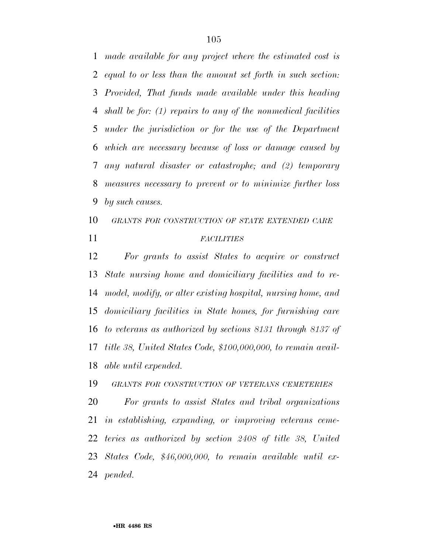*made available for any project where the estimated cost is equal to or less than the amount set forth in such section: Provided, That funds made available under this heading shall be for: (1) repairs to any of the nonmedical facilities under the jurisdiction or for the use of the Department which are necessary because of loss or damage caused by any natural disaster or catastrophe; and (2) temporary measures necessary to prevent or to minimize further loss by such causes.* 

# *GRANTS FOR CONSTRUCTION OF STATE EXTENDED CARE FACILITIES*

 *For grants to assist States to acquire or construct State nursing home and domiciliary facilities and to re- model, modify, or alter existing hospital, nursing home, and domiciliary facilities in State homes, for furnishing care to veterans as authorized by sections 8131 through 8137 of title 38, United States Code, \$100,000,000, to remain avail-able until expended.* 

*GRANTS FOR CONSTRUCTION OF VETERANS CEMETERIES*

 *For grants to assist States and tribal organizations in establishing, expanding, or improving veterans ceme- teries as authorized by section 2408 of title 38, United States Code, \$46,000,000, to remain available until ex-pended.*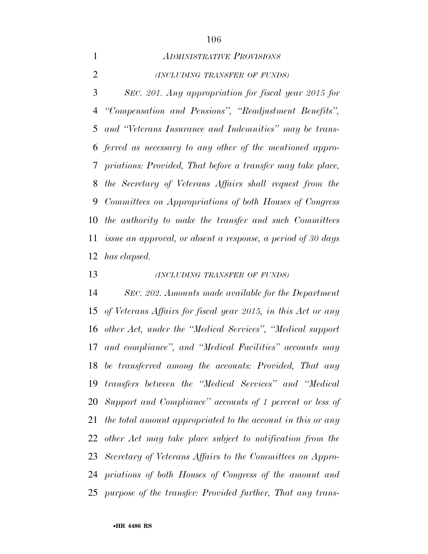## *ADMINISTRATIVE PROVISIONS*

*(INCLUDING TRANSFER OF FUNDS)*

 *SEC. 201. Any appropriation for fiscal year 2015 for ''Compensation and Pensions'', ''Readjustment Benefits'', and ''Veterans Insurance and Indemnities'' may be trans- ferred as necessary to any other of the mentioned appro- priations: Provided, That before a transfer may take place, the Secretary of Veterans Affairs shall request from the Committees on Appropriations of both Houses of Congress the authority to make the transfer and such Committees issue an approval, or absent a response, a period of 30 days has elapsed.* 

*(INCLUDING TRANSFER OF FUNDS)*

 *SEC. 202. Amounts made available for the Department of Veterans Affairs for fiscal year 2015, in this Act or any other Act, under the ''Medical Services'', ''Medical support and compliance'', and ''Medical Facilities'' accounts may be transferred among the accounts: Provided, That any transfers between the ''Medical Services'' and ''Medical Support and Compliance'' accounts of 1 percent or less of the total amount appropriated to the account in this or any other Act may take place subject to notification from the Secretary of Veterans Affairs to the Committees on Appro- priations of both Houses of Congress of the amount and purpose of the transfer: Provided further, That any trans-*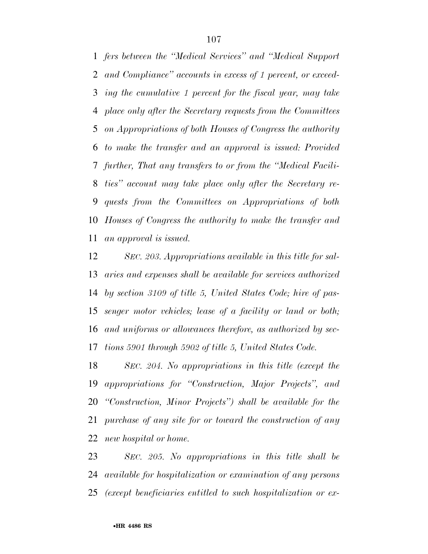*fers between the ''Medical Services'' and ''Medical Support and Compliance'' accounts in excess of 1 percent, or exceed- ing the cumulative 1 percent for the fiscal year, may take place only after the Secretary requests from the Committees on Appropriations of both Houses of Congress the authority to make the transfer and an approval is issued: Provided further, That any transfers to or from the ''Medical Facili- ties'' account may take place only after the Secretary re- quests from the Committees on Appropriations of both Houses of Congress the authority to make the transfer and an approval is issued.* 

 *SEC. 203. Appropriations available in this title for sal- aries and expenses shall be available for services authorized by section 3109 of title 5, United States Code; hire of pas- senger motor vehicles; lease of a facility or land or both; and uniforms or allowances therefore, as authorized by sec-tions 5901 through 5902 of title 5, United States Code.* 

 *SEC. 204. No appropriations in this title (except the appropriations for ''Construction, Major Projects'', and ''Construction, Minor Projects'') shall be available for the purchase of any site for or toward the construction of any new hospital or home.* 

 *SEC. 205. No appropriations in this title shall be available for hospitalization or examination of any persons (except beneficiaries entitled to such hospitalization or ex-*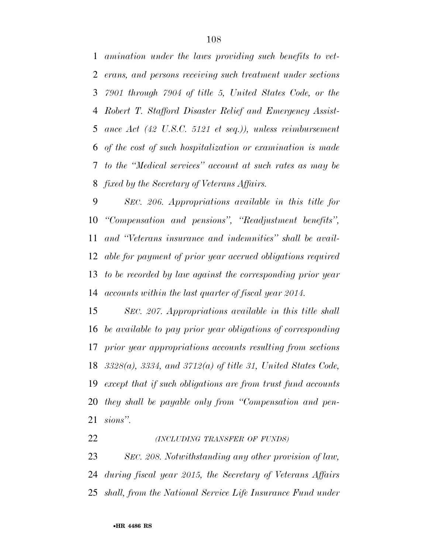*amination under the laws providing such benefits to vet- erans, and persons receiving such treatment under sections 7901 through 7904 of title 5, United States Code, or the Robert T. Stafford Disaster Relief and Emergency Assist- ance Act (42 U.S.C. 5121 et seq.)), unless reimbursement of the cost of such hospitalization or examination is made to the ''Medical services'' account at such rates as may be fixed by the Secretary of Veterans Affairs.* 

 *SEC. 206. Appropriations available in this title for ''Compensation and pensions'', ''Readjustment benefits'', and ''Veterans insurance and indemnities'' shall be avail- able for payment of prior year accrued obligations required to be recorded by law against the corresponding prior year accounts within the last quarter of fiscal year 2014.* 

 *SEC. 207. Appropriations available in this title shall be available to pay prior year obligations of corresponding prior year appropriations accounts resulting from sections 3328(a), 3334, and 3712(a) of title 31, United States Code, except that if such obligations are from trust fund accounts they shall be payable only from ''Compensation and pen-sions''.* 

*(INCLUDING TRANSFER OF FUNDS)*

 *SEC. 208. Notwithstanding any other provision of law, during fiscal year 2015, the Secretary of Veterans Affairs shall, from the National Service Life Insurance Fund under*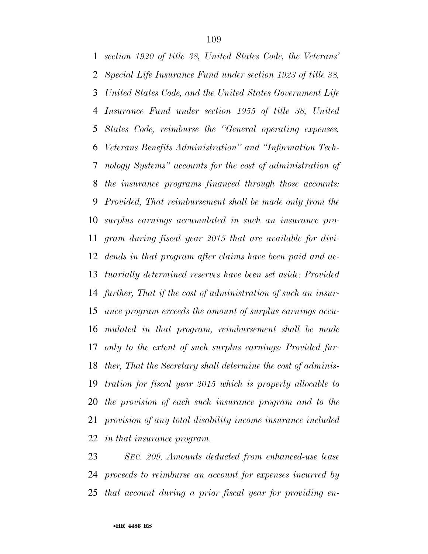*section 1920 of title 38, United States Code, the Veterans' Special Life Insurance Fund under section 1923 of title 38, United States Code, and the United States Government Life Insurance Fund under section 1955 of title 38, United States Code, reimburse the ''General operating expenses, Veterans Benefits Administration'' and ''Information Tech- nology Systems'' accounts for the cost of administration of the insurance programs financed through those accounts: Provided, That reimbursement shall be made only from the surplus earnings accumulated in such an insurance pro- gram during fiscal year 2015 that are available for divi- dends in that program after claims have been paid and ac- tuarially determined reserves have been set aside: Provided further, That if the cost of administration of such an insur- ance program exceeds the amount of surplus earnings accu- mulated in that program, reimbursement shall be made only to the extent of such surplus earnings: Provided fur- ther, That the Secretary shall determine the cost of adminis- tration for fiscal year 2015 which is properly allocable to the provision of each such insurance program and to the provision of any total disability income insurance included in that insurance program.* 

 *SEC. 209. Amounts deducted from enhanced-use lease proceeds to reimburse an account for expenses incurred by that account during a prior fiscal year for providing en-*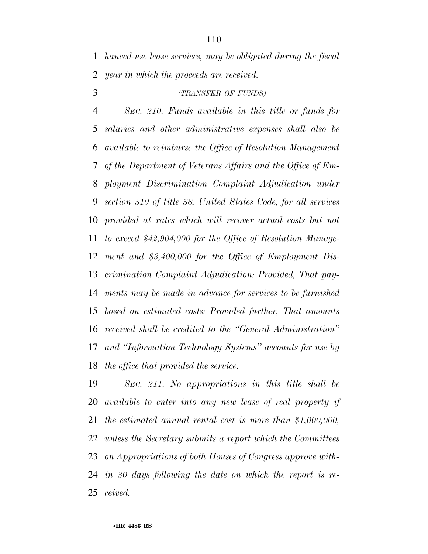*hanced-use lease services, may be obligated during the fiscal year in which the proceeds are received.* 

### *(TRANSFER OF FUNDS)*

 *SEC. 210. Funds available in this title or funds for salaries and other administrative expenses shall also be available to reimburse the Office of Resolution Management of the Department of Veterans Affairs and the Office of Em- ployment Discrimination Complaint Adjudication under section 319 of title 38, United States Code, for all services provided at rates which will recover actual costs but not to exceed \$42,904,000 for the Office of Resolution Manage- ment and \$3,400,000 for the Office of Employment Dis- crimination Complaint Adjudication: Provided, That pay- ments may be made in advance for services to be furnished based on estimated costs: Provided further, That amounts received shall be credited to the ''General Administration'' and ''Information Technology Systems'' accounts for use by the office that provided the service.* 

 *SEC. 211. No appropriations in this title shall be available to enter into any new lease of real property if the estimated annual rental cost is more than \$1,000,000, unless the Secretary submits a report which the Committees on Appropriations of both Houses of Congress approve with- in 30 days following the date on which the report is re-ceived.*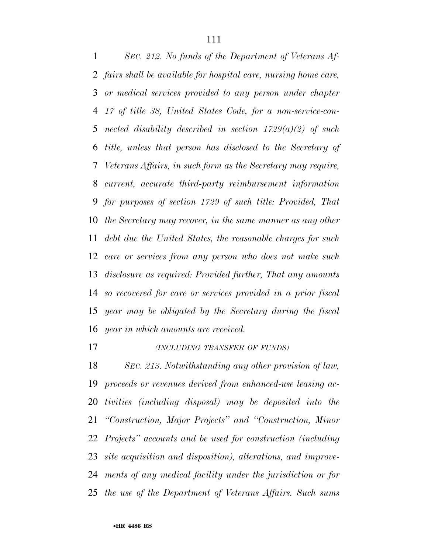*SEC. 212. No funds of the Department of Veterans Af- fairs shall be available for hospital care, nursing home care, or medical services provided to any person under chapter 17 of title 38, United States Code, for a non-service-con- nected disability described in section 1729(a)(2) of such title, unless that person has disclosed to the Secretary of Veterans Affairs, in such form as the Secretary may require, current, accurate third-party reimbursement information for purposes of section 1729 of such title: Provided, That the Secretary may recover, in the same manner as any other debt due the United States, the reasonable charges for such care or services from any person who does not make such disclosure as required: Provided further, That any amounts so recovered for care or services provided in a prior fiscal year may be obligated by the Secretary during the fiscal year in which amounts are received.* 

*(INCLUDING TRANSFER OF FUNDS)*

 *SEC. 213. Notwithstanding any other provision of law, proceeds or revenues derived from enhanced-use leasing ac- tivities (including disposal) may be deposited into the ''Construction, Major Projects'' and ''Construction, Minor Projects'' accounts and be used for construction (including site acquisition and disposition), alterations, and improve- ments of any medical facility under the jurisdiction or for the use of the Department of Veterans Affairs. Such sums*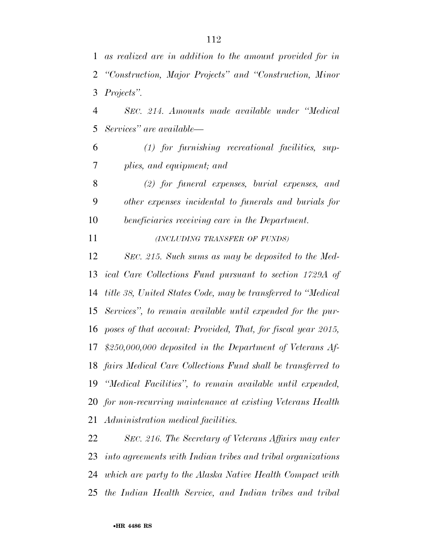*as realized are in addition to the amount provided for in ''Construction, Major Projects'' and ''Construction, Minor Projects''.* 

 *SEC. 214. Amounts made available under ''Medical Services'' are available—* 

 *(1) for furnishing recreational facilities, sup-plies, and equipment; and* 

 *(2) for funeral expenses, burial expenses, and other expenses incidental to funerals and burials for beneficiaries receiving care in the Department.* 

*(INCLUDING TRANSFER OF FUNDS)*

 *SEC. 215. Such sums as may be deposited to the Med- ical Care Collections Fund pursuant to section 1729A of title 38, United States Code, may be transferred to ''Medical Services'', to remain available until expended for the pur- poses of that account: Provided, That, for fiscal year 2015, \$250,000,000 deposited in the Department of Veterans Af- fairs Medical Care Collections Fund shall be transferred to ''Medical Facilities'', to remain available until expended, for non-recurring maintenance at existing Veterans Health Administration medical facilities.* 

 *SEC. 216. The Secretary of Veterans Affairs may enter into agreements with Indian tribes and tribal organizations which are party to the Alaska Native Health Compact with the Indian Health Service, and Indian tribes and tribal*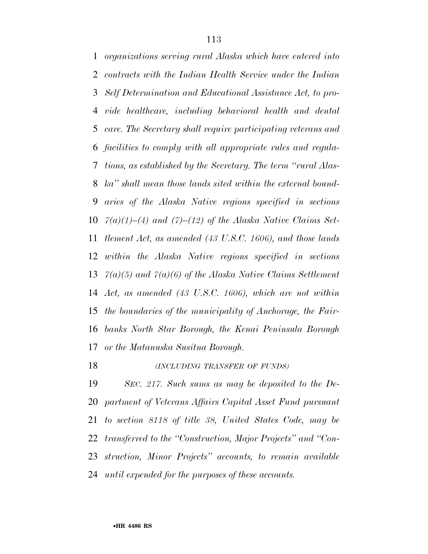*organizations serving rural Alaska which have entered into contracts with the Indian Health Service under the Indian Self Determination and Educational Assistance Act, to pro- vide healthcare, including behavioral health and dental care. The Secretary shall require participating veterans and facilities to comply with all appropriate rules and regula- tions, as established by the Secretary. The term ''rural Alas- ka'' shall mean those lands sited within the external bound- aries of the Alaska Native regions specified in sections 7(a)(1)–(4) and (7)–(12) of the Alaska Native Claims Set- tlement Act, as amended (43 U.S.C. 1606), and those lands within the Alaska Native regions specified in sections 7(a)(5) and 7(a)(6) of the Alaska Native Claims Settlement Act, as amended (43 U.S.C. 1606), which are not within the boundaries of the municipality of Anchorage, the Fair- banks North Star Borough, the Kenai Peninsula Borough or the Matanuska Susitna Borough.* 

*(INCLUDING TRANSFER OF FUNDS)*

 *SEC. 217. Such sums as may be deposited to the De- partment of Veterans Affairs Capital Asset Fund pursuant to section 8118 of title 38, United States Code, may be transferred to the ''Construction, Major Projects'' and ''Con- struction, Minor Projects'' accounts, to remain available until expended for the purposes of these accounts.*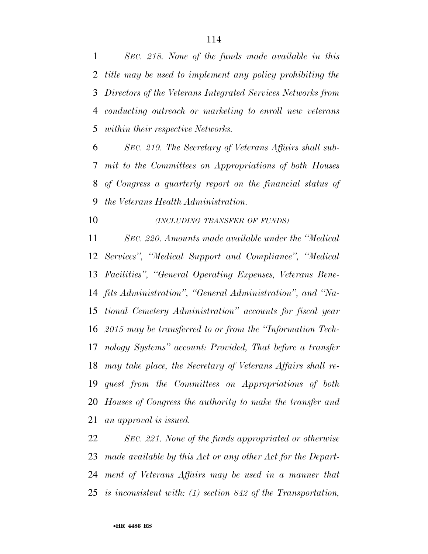*SEC. 218. None of the funds made available in this title may be used to implement any policy prohibiting the Directors of the Veterans Integrated Services Networks from conducting outreach or marketing to enroll new veterans within their respective Networks.* 

 *SEC. 219. The Secretary of Veterans Affairs shall sub- mit to the Committees on Appropriations of both Houses of Congress a quarterly report on the financial status of the Veterans Health Administration.* 

*(INCLUDING TRANSFER OF FUNDS)*

 *SEC. 220. Amounts made available under the ''Medical Services'', ''Medical Support and Compliance'', ''Medical Facilities'', ''General Operating Expenses, Veterans Bene- fits Administration'', ''General Administration'', and ''Na- tional Cemetery Administration'' accounts for fiscal year 2015 may be transferred to or from the ''Information Tech- nology Systems'' account: Provided, That before a transfer may take place, the Secretary of Veterans Affairs shall re- quest from the Committees on Appropriations of both Houses of Congress the authority to make the transfer and an approval is issued.* 

 *SEC. 221. None of the funds appropriated or otherwise made available by this Act or any other Act for the Depart- ment of Veterans Affairs may be used in a manner that is inconsistent with: (1) section 842 of the Transportation,*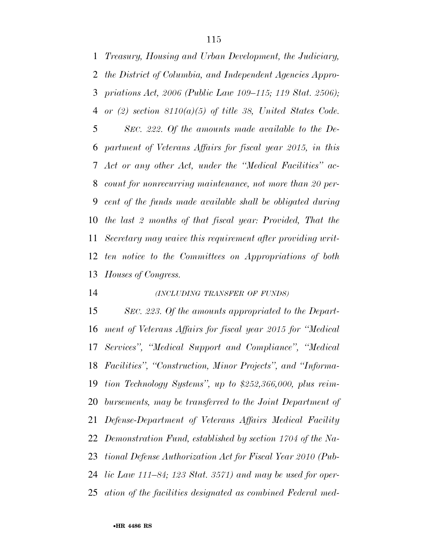*Treasury, Housing and Urban Development, the Judiciary, the District of Columbia, and Independent Agencies Appro- priations Act, 2006 (Public Law 109–115; 119 Stat. 2506); or (2) section 8110(a)(5) of title 38, United States Code. SEC. 222. Of the amounts made available to the De- partment of Veterans Affairs for fiscal year 2015, in this Act or any other Act, under the ''Medical Facilities'' ac- count for nonrecurring maintenance, not more than 20 per- cent of the funds made available shall be obligated during the last 2 months of that fiscal year: Provided, That the Secretary may waive this requirement after providing writ- ten notice to the Committees on Appropriations of both Houses of Congress.* 

#### *(INCLUDING TRANSFER OF FUNDS)*

 *SEC. 223. Of the amounts appropriated to the Depart- ment of Veterans Affairs for fiscal year 2015 for ''Medical Services'', ''Medical Support and Compliance'', ''Medical Facilities'', ''Construction, Minor Projects'', and ''Informa- tion Technology Systems'', up to \$252,366,000, plus reim- bursements, may be transferred to the Joint Department of Defense-Department of Veterans Affairs Medical Facility Demonstration Fund, established by section 1704 of the Na- tional Defense Authorization Act for Fiscal Year 2010 (Pub- lic Law 111–84; 123 Stat. 3571) and may be used for oper-ation of the facilities designated as combined Federal med-*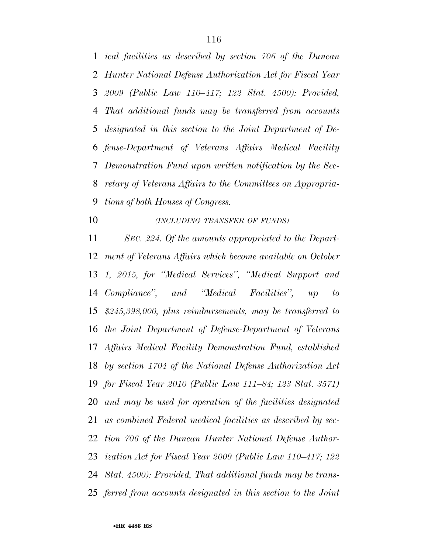*ical facilities as described by section 706 of the Duncan Hunter National Defense Authorization Act for Fiscal Year 2009 (Public Law 110–417; 122 Stat. 4500): Provided, That additional funds may be transferred from accounts designated in this section to the Joint Department of De- fense-Department of Veterans Affairs Medical Facility Demonstration Fund upon written notification by the Sec- retary of Veterans Affairs to the Committees on Appropria-tions of both Houses of Congress.* 

*(INCLUDING TRANSFER OF FUNDS)*

 *SEC. 224. Of the amounts appropriated to the Depart- ment of Veterans Affairs which become available on October 1, 2015, for ''Medical Services'', ''Medical Support and Compliance'', and ''Medical Facilities'', up to \$245,398,000, plus reimbursements, may be transferred to the Joint Department of Defense-Department of Veterans Affairs Medical Facility Demonstration Fund, established by section 1704 of the National Defense Authorization Act for Fiscal Year 2010 (Public Law 111–84; 123 Stat. 3571) and may be used for operation of the facilities designated as combined Federal medical facilities as described by sec- tion 706 of the Duncan Hunter National Defense Author- ization Act for Fiscal Year 2009 (Public Law 110–417; 122 Stat. 4500): Provided, That additional funds may be trans-ferred from accounts designated in this section to the Joint*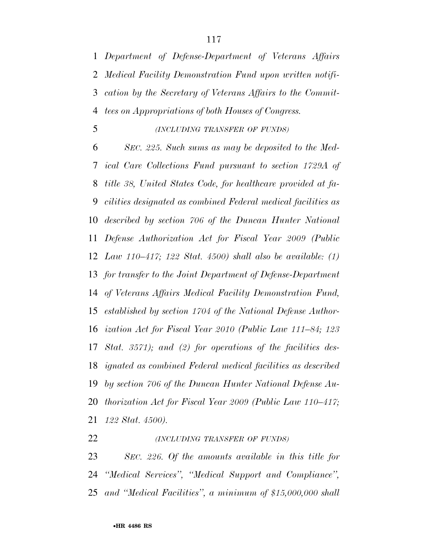*Department of Defense-Department of Veterans Affairs Medical Facility Demonstration Fund upon written notifi- cation by the Secretary of Veterans Affairs to the Commit-tees on Appropriations of both Houses of Congress.* 

*(INCLUDING TRANSFER OF FUNDS)*

 *SEC. 225. Such sums as may be deposited to the Med- ical Care Collections Fund pursuant to section 1729A of title 38, United States Code, for healthcare provided at fa- cilities designated as combined Federal medical facilities as described by section 706 of the Duncan Hunter National Defense Authorization Act for Fiscal Year 2009 (Public Law 110–417; 122 Stat. 4500) shall also be available: (1) for transfer to the Joint Department of Defense-Department of Veterans Affairs Medical Facility Demonstration Fund, established by section 1704 of the National Defense Author- ization Act for Fiscal Year 2010 (Public Law 111–84; 123 Stat. 3571); and (2) for operations of the facilities des- ignated as combined Federal medical facilities as described by section 706 of the Duncan Hunter National Defense Au- thorization Act for Fiscal Year 2009 (Public Law 110–417; 122 Stat. 4500).* 

*(INCLUDING TRANSFER OF FUNDS)*

 *SEC. 226. Of the amounts available in this title for ''Medical Services'', ''Medical Support and Compliance'', and ''Medical Facilities'', a minimum of \$15,000,000 shall*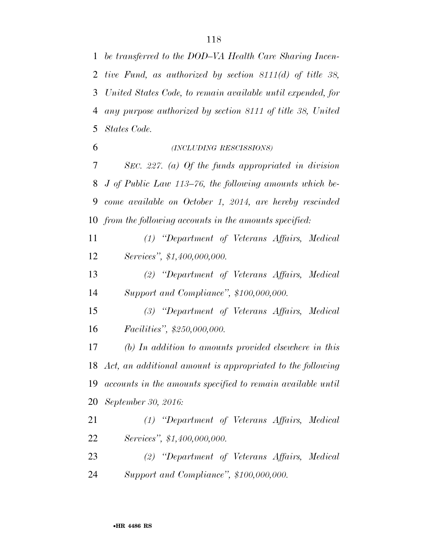*be transferred to the DOD–VA Health Care Sharing Incen- tive Fund, as authorized by section 8111(d) of title 38, United States Code, to remain available until expended, for any purpose authorized by section 8111 of title 38, United* 

 *(INCLUDING RESCISSIONS) SEC. 227. (a) Of the funds appropriated in division J of Public Law 113–76, the following amounts which be- come available on October 1, 2014, are hereby rescinded from the following accounts in the amounts specified:* 

 *(1) ''Department of Veterans Affairs, Medical Services'', \$1,400,000,000.* 

 *(2) ''Department of Veterans Affairs, Medical Support and Compliance'', \$100,000,000.* 

 *(3) ''Department of Veterans Affairs, Medical Facilities'', \$250,000,000.* 

 *(b) In addition to amounts provided elsewhere in this Act, an additional amount is appropriated to the following accounts in the amounts specified to remain available until September 30, 2016:* 

 *(1) ''Department of Veterans Affairs, Medical Services'', \$1,400,000,000.* 

 *(2) ''Department of Veterans Affairs, Medical Support and Compliance'', \$100,000,000.* 

*States Code.*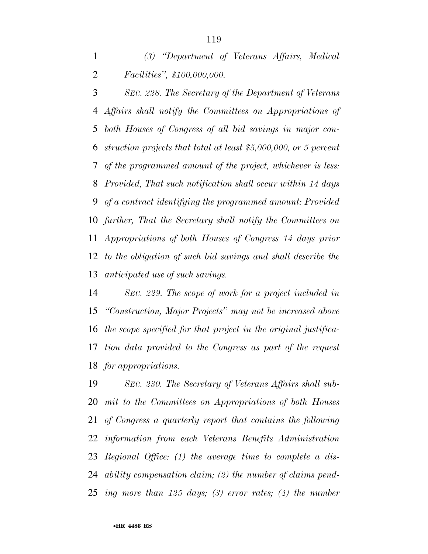*(3) ''Department of Veterans Affairs, Medical Facilities'', \$100,000,000.* 

 *SEC. 228. The Secretary of the Department of Veterans Affairs shall notify the Committees on Appropriations of both Houses of Congress of all bid savings in major con- struction projects that total at least \$5,000,000, or 5 percent of the programmed amount of the project, whichever is less: Provided, That such notification shall occur within 14 days of a contract identifying the programmed amount: Provided further, That the Secretary shall notify the Committees on Appropriations of both Houses of Congress 14 days prior to the obligation of such bid savings and shall describe the anticipated use of such savings.* 

 *SEC. 229. The scope of work for a project included in ''Construction, Major Projects'' may not be increased above the scope specified for that project in the original justifica- tion data provided to the Congress as part of the request for appropriations.* 

 *SEC. 230. The Secretary of Veterans Affairs shall sub- mit to the Committees on Appropriations of both Houses of Congress a quarterly report that contains the following information from each Veterans Benefits Administration Regional Office: (1) the average time to complete a dis- ability compensation claim; (2) the number of claims pend-ing more than 125 days; (3) error rates; (4) the number*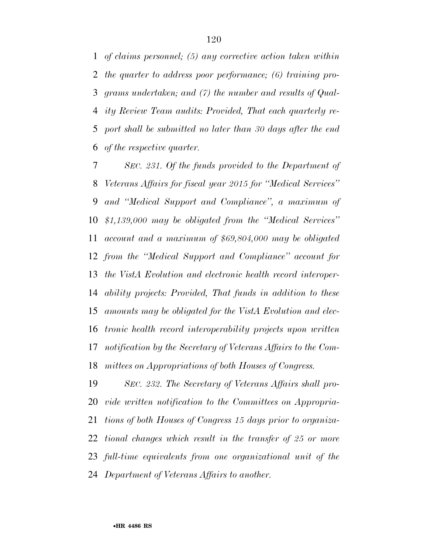*of claims personnel; (5) any corrective action taken within the quarter to address poor performance; (6) training pro- grams undertaken; and (7) the number and results of Qual- ity Review Team audits: Provided, That each quarterly re- port shall be submitted no later than 30 days after the end of the respective quarter.* 

 *SEC. 231. Of the funds provided to the Department of Veterans Affairs for fiscal year 2015 for ''Medical Services'' and ''Medical Support and Compliance'', a maximum of \$1,139,000 may be obligated from the ''Medical Services'' account and a maximum of \$69,804,000 may be obligated from the ''Medical Support and Compliance'' account for the VistA Evolution and electronic health record interoper- ability projects: Provided, That funds in addition to these amounts may be obligated for the VistA Evolution and elec- tronic health record interoperability projects upon written notification by the Secretary of Veterans Affairs to the Com-mittees on Appropriations of both Houses of Congress.* 

 *SEC. 232. The Secretary of Veterans Affairs shall pro- vide written notification to the Committees on Appropria- tions of both Houses of Congress 15 days prior to organiza- tional changes which result in the transfer of 25 or more full-time equivalents from one organizational unit of the Department of Veterans Affairs to another.*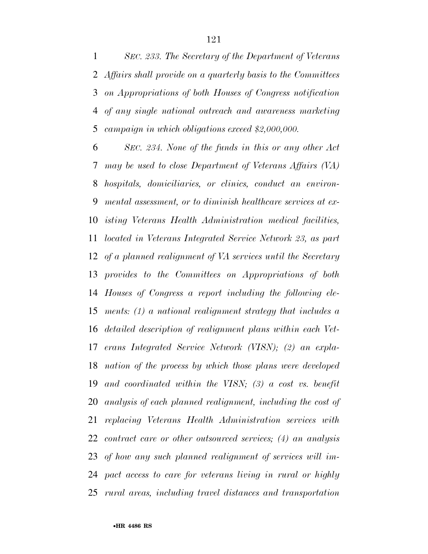*SEC. 233. The Secretary of the Department of Veterans Affairs shall provide on a quarterly basis to the Committees on Appropriations of both Houses of Congress notification of any single national outreach and awareness marketing campaign in which obligations exceed \$2,000,000.* 

 *SEC. 234. None of the funds in this or any other Act may be used to close Department of Veterans Affairs (VA) hospitals, domiciliaries, or clinics, conduct an environ- mental assessment, or to diminish healthcare services at ex- isting Veterans Health Administration medical facilities, located in Veterans Integrated Service Network 23, as part of a planned realignment of VA services until the Secretary provides to the Committees on Appropriations of both Houses of Congress a report including the following ele- ments: (1) a national realignment strategy that includes a detailed description of realignment plans within each Vet- erans Integrated Service Network (VISN); (2) an expla- nation of the process by which those plans were developed and coordinated within the VISN; (3) a cost vs. benefit analysis of each planned realignment, including the cost of replacing Veterans Health Administration services with contract care or other outsourced services; (4) an analysis of how any such planned realignment of services will im- pact access to care for veterans living in rural or highly rural areas, including travel distances and transportation*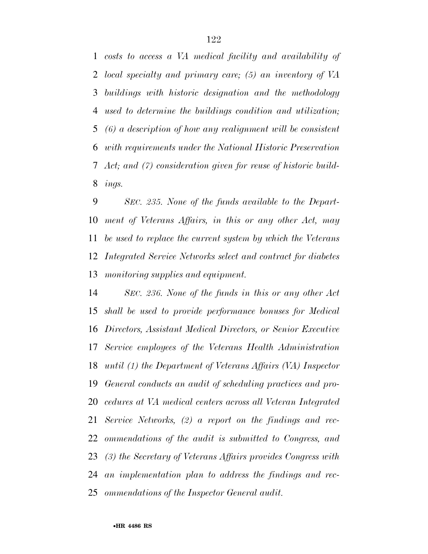*costs to access a VA medical facility and availability of local specialty and primary care; (5) an inventory of VA buildings with historic designation and the methodology used to determine the buildings condition and utilization; (6) a description of how any realignment will be consistent with requirements under the National Historic Preservation Act; and (7) consideration given for reuse of historic build-ings.* 

 *SEC. 235. None of the funds available to the Depart- ment of Veterans Affairs, in this or any other Act, may be used to replace the current system by which the Veterans Integrated Service Networks select and contract for diabetes monitoring supplies and equipment.* 

 *SEC. 236. None of the funds in this or any other Act shall be used to provide performance bonuses for Medical Directors, Assistant Medical Directors, or Senior Executive Service employees of the Veterans Health Administration until (1) the Department of Veterans Affairs (VA) Inspector General conducts an audit of scheduling practices and pro- cedures at VA medical centers across all Veteran Integrated Service Networks, (2) a report on the findings and rec- ommendations of the audit is submitted to Congress, and (3) the Secretary of Veterans Affairs provides Congress with an implementation plan to address the findings and rec-ommendations of the Inspector General audit.*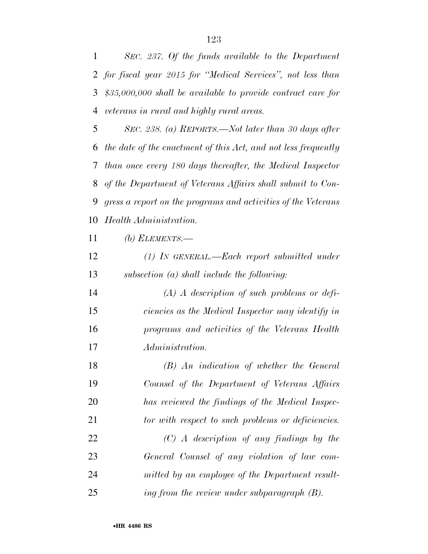*SEC. 237. Of the funds available to the Department for fiscal year 2015 for ''Medical Services'', not less than \$35,000,000 shall be available to provide contract care for veterans in rural and highly rural areas.* 

 *SEC. 238. (a) REPORTS.—Not later than 30 days after the date of the enactment of this Act, and not less frequently than once every 180 days thereafter, the Medical Inspector of the Department of Veterans Affairs shall submit to Con- gress a report on the programs and activities of the Veterans Health Administration.* 

*(b) ELEMENTS.—* 

| 12 | $(1)$ In GENERAL.—Each report submitted under |
|----|-----------------------------------------------|
| 13 | subsection $(a)$ shall include the following: |

 *(A) A description of such problems or defi- ciencies as the Medical Inspector may identify in programs and activities of the Veterans Health Administration.* 

 *(B) An indication of whether the General Counsel of the Department of Veterans Affairs has reviewed the findings of the Medical Inspec- tor with respect to such problems or deficiencies. (C) A description of any findings by the General Counsel of any violation of law com- mitted by an employee of the Department result-ing from the review under subparagraph (B).*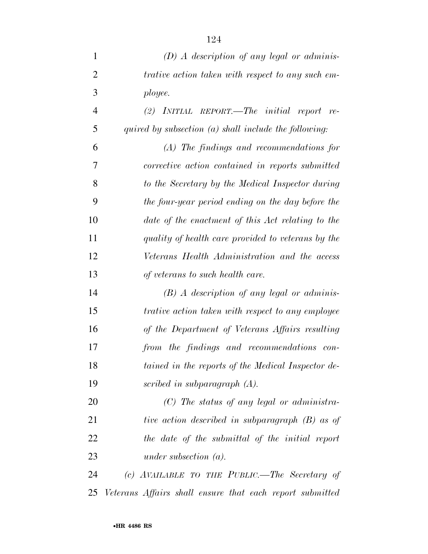| $\mathbf{1}$   | $(D)$ A description of any legal or adminis-             |
|----------------|----------------------------------------------------------|
| $\overline{2}$ | trative action taken with respect to any such em-        |
| 3              | ployee.                                                  |
| 4              | $(2)$ INITIAL REPORT.—The initial report re-             |
| 5              | quired by subsection $(a)$ shall include the following:  |
| 6              | $(A)$ The findings and recommendations for               |
| 7              | corrective action contained in reports submitted         |
| 8              | to the Secretary by the Medical Inspector during         |
| 9              | the four-year period ending on the day before the        |
| 10             | date of the enactment of this Act relating to the        |
| 11             | quality of health care provided to veterans by the       |
| 12             | Veterans Health Administration and the access            |
| 13             | of veterans to such health care.                         |
| 14             | $(B)$ A description of any legal or adminis-             |
| 15             | <i>trative action taken with respect to any employee</i> |
| 16             | of the Department of Veterans Affairs resulting          |
| 17             | from the findings and recommendations con-               |
| 18             | tained in the reports of the Medical Inspector de-       |
| 19             | scribed in subparagraph $(A)$ .                          |
| 20             | $(C)$ The status of any legal or administra-             |
| 21             | tive action described in subparagraph (B) as of          |
| 22             | the date of the submittal of the initial report          |
| 23             | under subsection $(a)$ .                                 |
| $2\pi$         | $(c)$ AVAILARLE TO THE PURLIC -The Secretary of          |

 *(c) AVAILABLE TO THE PUBLIC.—The Secretary of Veterans Affairs shall ensure that each report submitted*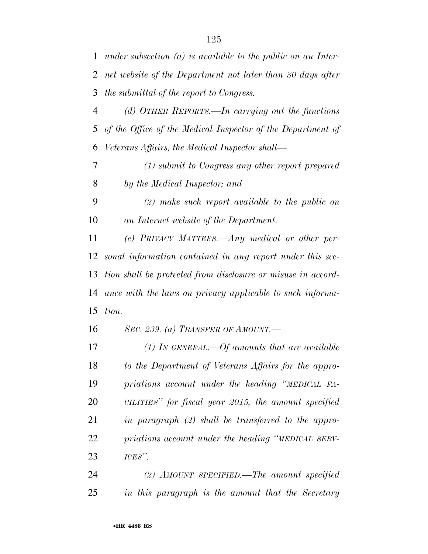*under subsection (a) is available to the public on an Inter- net website of the Department not later than 30 days after the submittal of the report to Congress.* 

 *(d) OTHER REPORTS.—In carrying out the functions of the Office of the Medical Inspector of the Department of Veterans Affairs, the Medical Inspector shall—* 

 *(1) submit to Congress any other report prepared by the Medical Inspector; and* 

 *(2) make such report available to the public on an Internet website of the Department.* 

 *(e) PRIVACY MATTERS.—Any medical or other per- sonal information contained in any report under this sec- tion shall be protected from disclosure or misuse in accord- ance with the laws on privacy applicable to such informa-tion.* 

*SEC. 239. (a) TRANSFER OF AMOUNT.—* 

 *(1) IN GENERAL.—Of amounts that are available to the Department of Veterans Affairs for the appro- priations account under the heading ''MEDICAL FA- CILITIES'' for fiscal year 2015, the amount specified in paragraph (2) shall be transferred to the appro- priations account under the heading ''MEDICAL SERV-ICES''.* 

 *(2) AMOUNT SPECIFIED.—The amount specified in this paragraph is the amount that the Secretary*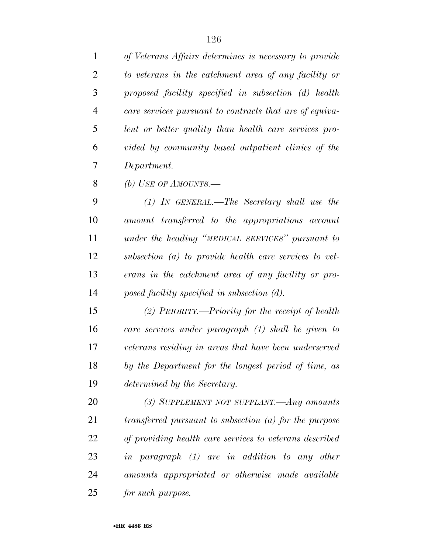*of Veterans Affairs determines is necessary to provide to veterans in the catchment area of any facility or proposed facility specified in subsection (d) health care services pursuant to contracts that are of equiva- lent or better quality than health care services pro-vided by community based outpatient clinics of the* 

*Department.* 

*(b) USE OF AMOUNTS.—* 

 *(1) IN GENERAL.—The Secretary shall use the amount transferred to the appropriations account under the heading ''MEDICAL SERVICES'' pursuant to subsection (a) to provide health care services to vet- erans in the catchment area of any facility or pro-posed facility specified in subsection (d).* 

 *(2) PRIORITY.—Priority for the receipt of health care services under paragraph (1) shall be given to veterans residing in areas that have been underserved by the Department for the longest period of time, as determined by the Secretary.* 

 *(3) SUPPLEMENT NOT SUPPLANT.—Any amounts transferred pursuant to subsection (a) for the purpose of providing health care services to veterans described in paragraph (1) are in addition to any other amounts appropriated or otherwise made available for such purpose.*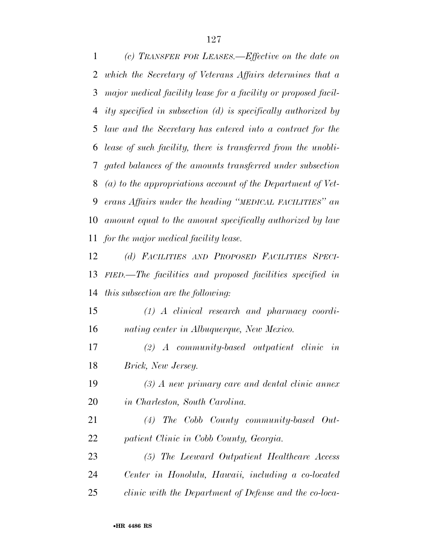*(c) TRANSFER FOR LEASES.—Effective on the date on which the Secretary of Veterans Affairs determines that a major medical facility lease for a facility or proposed facil- ity specified in subsection (d) is specifically authorized by law and the Secretary has entered into a contract for the lease of such facility, there is transferred from the unobli- gated balances of the amounts transferred under subsection (a) to the appropriations account of the Department of Vet- erans Affairs under the heading ''MEDICAL FACILITIES'' an amount equal to the amount specifically authorized by law for the major medical facility lease.* 

 *(d) FACILITIES AND PROPOSED FACILITIES SPECI- FIED.—The facilities and proposed facilities specified in this subsection are the following:* 

 *(1) A clinical research and pharmacy coordi-nating center in Albuquerque, New Mexico.* 

 *(2) A community-based outpatient clinic in Brick, New Jersey.* 

 *(3) A new primary care and dental clinic annex in Charleston, South Carolina.* 

 *(4) The Cobb County community-based Out-patient Clinic in Cobb County, Georgia.* 

 *(5) The Leeward Outpatient Healthcare Access Center in Honolulu, Hawaii, including a co-located clinic with the Department of Defense and the co-loca-*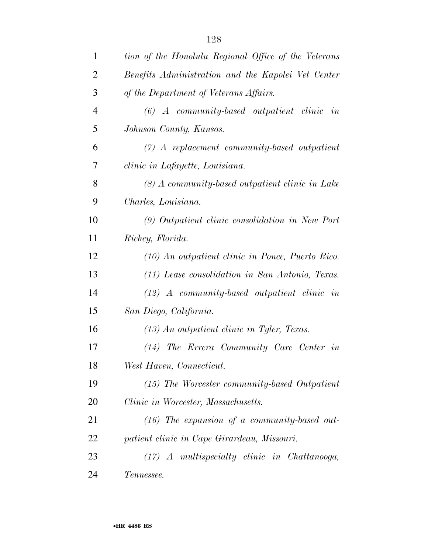| $\mathbf{1}$   | tion of the Honolulu Regional Office of the Veterans |
|----------------|------------------------------------------------------|
| $\overline{2}$ | Benefits Administration and the Kapolei Vet Center   |
| 3              | of the Department of Veterans Affairs.               |
| $\overline{4}$ | $(6)$ A community-based outpatient clinic<br>in      |
| 5              | Johnson County, Kansas.                              |
| 6              | $(7)$ A replacement community-based outpatient       |
| 7              | clinic in Lafayette, Louisiana.                      |
| 8              | $(8)$ A community-based outpatient clinic in Lake    |
| 9              | Charles, Louisiana.                                  |
| 10             | (9) Outpatient clinic consolidation in New Port      |
| 11             | Richey, Florida.                                     |
| 12             | (10) An outpatient clinic in Ponce, Puerto Rico.     |
| 13             | (11) Lease consolidation in San Antonio, Texas.      |
| 14             | $(12)$ A community-based outpatient clinic in        |
| 15             | San Diego, California.                               |
| 16             | $(13)$ An outpatient clinic in Tyler, Texas.         |
| 17             | (14) The Errera Community Care Center in             |
| 18             | West Haven, Connecticut.                             |
| 19             | $(15)$ The Worcester community-based Outpatient      |
| 20             | Clinic in Worcester, Massachusetts.                  |
| 21             | $(16)$ The expansion of a community-based out-       |
| 22             | patient clinic in Cape Girardeau, Missouri.          |
| 23             | $(17)$ A multispecialty clinic in Chattanooga,       |
| 24             | Tennessee.                                           |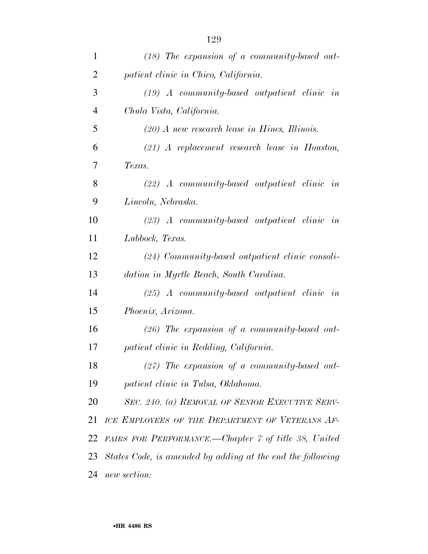| $\mathbf{1}$   | $(18)$ The expansion of a community-based out-             |
|----------------|------------------------------------------------------------|
| $\overline{2}$ | patient clinic in Chico, California.                       |
| 3              | $(19)$ A community-based outpatient clinic in              |
| $\overline{4}$ | Chula Vista, California.                                   |
| 5              | $(20)$ A new research lease in Hines, Illinois.            |
| 6              | $(21)$ A replacement research lease in Houston,            |
| $\overline{7}$ | Texas.                                                     |
| 8              | $(22)$ A community-based outpatient clinic in              |
| 9              | Lincoln, Nebraska.                                         |
| 10             | $(23)$ A community-based outpatient clinic in              |
| 11             | Lubbock, Texas.                                            |
| 12             | $(24)$ Community-based outpatient clinic consoli-          |
| 13             | dation in Myrtle Beach, South Carolina.                    |
| 14             | $(25)$ A community-based outpatient clinic in              |
| 15             | Phoenix, Arizona.                                          |
| 16             | $(26)$ The expansion of a community-based out-             |
| 17             | patient clinic in Redding, California.                     |
| 18             | $(27)$ The expansion of a community-based out-             |
| 19             | patient clinic in Tulsa, Oklahoma.                         |
| 20             | SEC. 240. (a) REMOVAL OF SENIOR EXECUTIVE SERV-            |
| 21             | ICE EMPLOYEES OF THE DEPARTMENT OF VETERANS AF-            |
| 22             | FAIRS FOR PERFORMANCE.—Chapter 7 of title 38, United       |
| 23             | States Code, is amended by adding at the end the following |
| 24             | new section:                                               |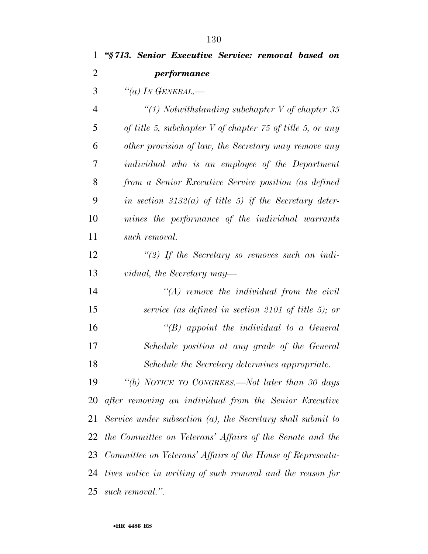*''§ 713. Senior Executive Service: removal based on performance ''(a) IN GENERAL.— ''(1) Notwithstanding subchapter V of chapter 35 of title 5, subchapter V of chapter 75 of title 5, or any other provision of law, the Secretary may remove any individual who is an employee of the Department from a Senior Executive Service position (as defined in section 3132(a) of title 5) if the Secretary deter- mines the performance of the individual warrants such removal. ''(2) If the Secretary so removes such an indi- vidual, the Secretary may— ''(A) remove the individual from the civil service (as defined in section 2101 of title 5); or ''(B) appoint the individual to a General Schedule position at any grade of the General Schedule the Secretary determines appropriate. ''(b) NOTICE TO CONGRESS.—Not later than 30 days after removing an individual from the Senior Executive Service under subsection (a), the Secretary shall submit to the Committee on Veterans' Affairs of the Senate and the Committee on Veterans' Affairs of the House of Representa-tives notice in writing of such removal and the reason for* 

*such removal.''.*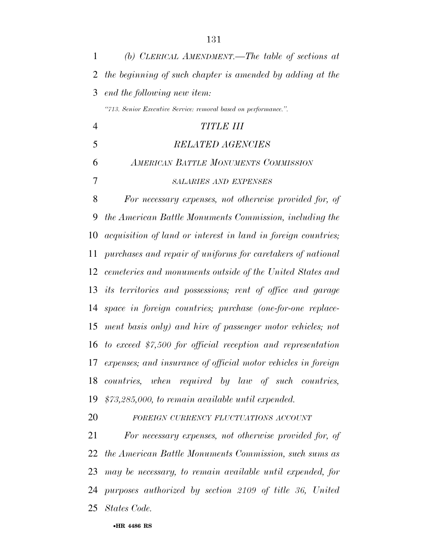*(b) CLERICAL AMENDMENT.—The table of sections at the beginning of such chapter is amended by adding at the end the following new item: ''713. Senior Executive Service: removal based on performance.''. TITLE III RELATED AGENCIES AMERICAN BATTLE MONUMENTS COMMISSION SALARIES AND EXPENSES For necessary expenses, not otherwise provided for, of the American Battle Monuments Commission, including the acquisition of land or interest in land in foreign countries; purchases and repair of uniforms for caretakers of national cemeteries and monuments outside of the United States and its territories and possessions; rent of office and garage space in foreign countries; purchase (one-for-one replace- ment basis only) and hire of passenger motor vehicles; not to exceed \$7,500 for official reception and representation expenses; and insurance of official motor vehicles in foreign countries, when required by law of such countries, \$73,285,000, to remain available until expended. FOREIGN CURRENCY FLUCTUATIONS ACCOUNT*

 *For necessary expenses, not otherwise provided for, of the American Battle Monuments Commission, such sums as may be necessary, to remain available until expended, for purposes authorized by section 2109 of title 36, United States Code.*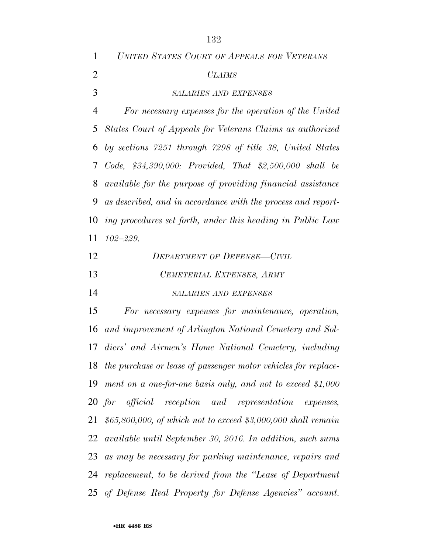| $\mathbf{1}$   | UNITED STATES COURT OF APPEALS FOR VETERANS                   |
|----------------|---------------------------------------------------------------|
| $\overline{2}$ | <i>CLAIMS</i>                                                 |
| 3              | <b>SALARIES AND EXPENSES</b>                                  |
| 4              | For necessary expenses for the operation of the United        |
|                | 5 States Court of Appeals for Veterans Claims as authorized   |
|                | 6 by sections 7251 through 7298 of title 38, United States    |
|                | 7 Code, \$34,390,000: Provided, That \$2,500,000 shall be     |
|                | 8 available for the purpose of providing financial assistance |
| 9              | as described, and in accordance with the process and report-  |
|                | 10 ing procedures set forth, under this heading in Public Law |
|                | $11 \t102 - 229.$                                             |
| 12             | Department of Defense—Civil                                   |

| 12 | <b>DEPARTMENT OF DEFENSE-CIVIL</b> |
|----|------------------------------------|
| 13 | CEMETERIAL EXPENSES, ARMY          |
| 14 | <b>SALARIES AND EXPENSES</b>       |

 *For necessary expenses for maintenance, operation, and improvement of Arlington National Cemetery and Sol- diers' and Airmen's Home National Cemetery, including the purchase or lease of passenger motor vehicles for replace- ment on a one-for-one basis only, and not to exceed \$1,000 for official reception and representation expenses, \$65,800,000, of which not to exceed \$3,000,000 shall remain available until September 30, 2016. In addition, such sums as may be necessary for parking maintenance, repairs and replacement, to be derived from the ''Lease of Department of Defense Real Property for Defense Agencies'' account.*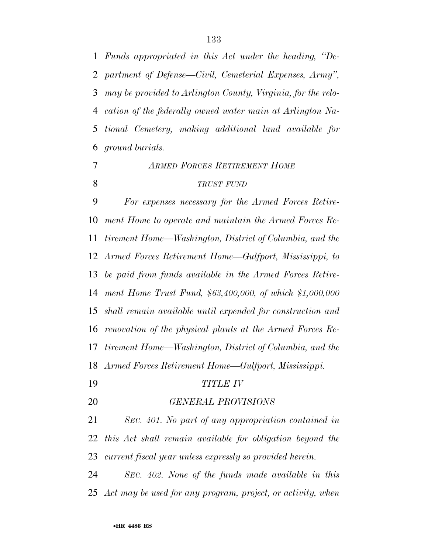*Funds appropriated in this Act under the heading, ''De- partment of Defense—Civil, Cemeterial Expenses, Army'', may be provided to Arlington County, Virginia, for the relo- cation of the federally owned water main at Arlington Na- tional Cemetery, making additional land available for ground burials. ARMED FORCES RETIREMENT HOME*

#### *TRUST FUND*

 *For expenses necessary for the Armed Forces Retire- ment Home to operate and maintain the Armed Forces Re- tirement Home—Washington, District of Columbia, and the Armed Forces Retirement Home—Gulfport, Mississippi, to be paid from funds available in the Armed Forces Retire- ment Home Trust Fund, \$63,400,000, of which \$1,000,000 shall remain available until expended for construction and renovation of the physical plants at the Armed Forces Re- tirement Home—Washington, District of Columbia, and the Armed Forces Retirement Home—Gulfport, Mississippi. TITLE IV* 

*GENERAL PROVISIONS* 

 *SEC. 401. No part of any appropriation contained in this Act shall remain available for obligation beyond the current fiscal year unless expressly so provided herein.* 

 *SEC. 402. None of the funds made available in this Act may be used for any program, project, or activity, when*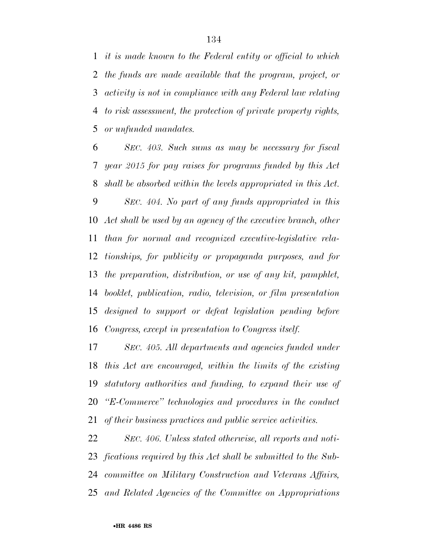*it is made known to the Federal entity or official to which the funds are made available that the program, project, or activity is not in compliance with any Federal law relating to risk assessment, the protection of private property rights, or unfunded mandates.* 

 *SEC. 403. Such sums as may be necessary for fiscal year 2015 for pay raises for programs funded by this Act shall be absorbed within the levels appropriated in this Act. SEC. 404. No part of any funds appropriated in this Act shall be used by an agency of the executive branch, other than for normal and recognized executive-legislative rela- tionships, for publicity or propaganda purposes, and for the preparation, distribution, or use of any kit, pamphlet, booklet, publication, radio, television, or film presentation designed to support or defeat legislation pending before Congress, except in presentation to Congress itself.* 

 *SEC. 405. All departments and agencies funded under this Act are encouraged, within the limits of the existing statutory authorities and funding, to expand their use of ''E-Commerce'' technologies and procedures in the conduct of their business practices and public service activities.* 

 *SEC. 406. Unless stated otherwise, all reports and noti- fications required by this Act shall be submitted to the Sub- committee on Military Construction and Veterans Affairs, and Related Agencies of the Committee on Appropriations*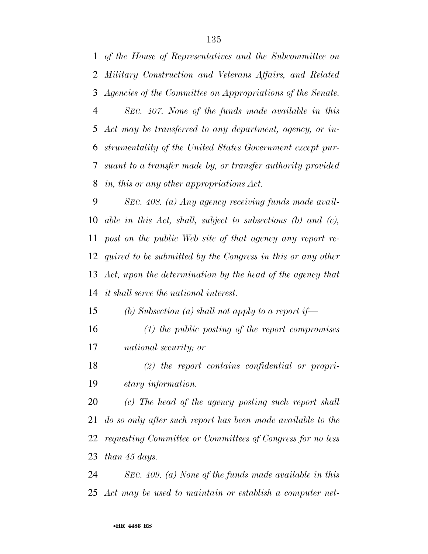*of the House of Representatives and the Subcommittee on Military Construction and Veterans Affairs, and Related Agencies of the Committee on Appropriations of the Senate. SEC. 407. None of the funds made available in this Act may be transferred to any department, agency, or in- strumentality of the United States Government except pur- suant to a transfer made by, or transfer authority provided in, this or any other appropriations Act.* 

 *SEC. 408. (a) Any agency receiving funds made avail- able in this Act, shall, subject to subsections (b) and (c), post on the public Web site of that agency any report re- quired to be submitted by the Congress in this or any other Act, upon the determination by the head of the agency that it shall serve the national interest.* 

*(b) Subsection (a) shall not apply to a report if—* 

 *(1) the public posting of the report compromises national security; or* 

 *(2) the report contains confidential or propri-etary information.* 

 *(c) The head of the agency posting such report shall do so only after such report has been made available to the requesting Committee or Committees of Congress for no less than 45 days.* 

 *SEC. 409. (a) None of the funds made available in this Act may be used to maintain or establish a computer net-*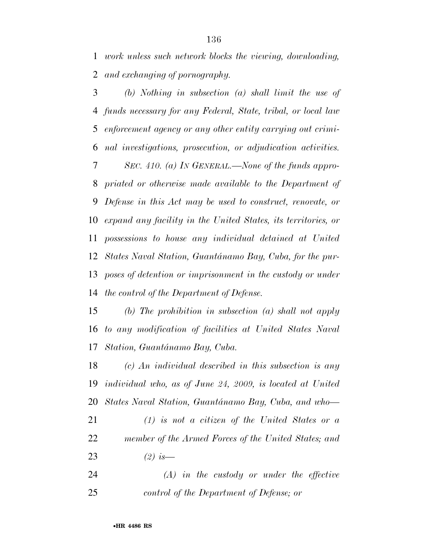*work unless such network blocks the viewing, downloading, and exchanging of pornography.* 

 *(b) Nothing in subsection (a) shall limit the use of funds necessary for any Federal, State, tribal, or local law enforcement agency or any other entity carrying out crimi- nal investigations, prosecution, or adjudication activities. SEC. 410. (a) IN GENERAL.—None of the funds appro- priated or otherwise made available to the Department of Defense in this Act may be used to construct, renovate, or expand any facility in the United States, its territories, or possessions to house any individual detained at United States Naval Station, Guantánamo Bay, Cuba, for the pur- poses of detention or imprisonment in the custody or under the control of the Department of Defense.* 

 *(b) The prohibition in subsection (a) shall not apply to any modification of facilities at United States Naval Station, Guanta´namo Bay, Cuba.* 

 *(c) An individual described in this subsection is any individual who, as of June 24, 2009, is located at United States Naval Station, Guanta´namo Bay, Cuba, and who— (1) is not a citizen of the United States or a* 

 *member of the Armed Forces of the United States; and (2) is—* 

 *(A) in the custody or under the effective control of the Department of Defense; or*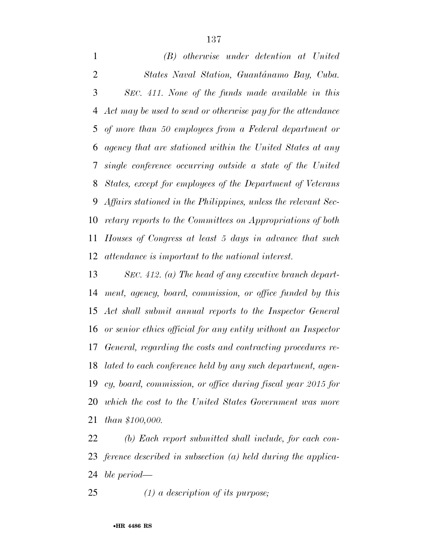*(B) otherwise under detention at United States Naval Station, Guanta´namo Bay, Cuba. SEC. 411. None of the funds made available in this Act may be used to send or otherwise pay for the attendance of more than 50 employees from a Federal department or agency that are stationed within the United States at any single conference occurring outside a state of the United States, except for employees of the Department of Veterans Affairs stationed in the Philippines, unless the relevant Sec- retary reports to the Committees on Appropriations of both Houses of Congress at least 5 days in advance that such attendance is important to the national interest.* 

 *SEC. 412. (a) The head of any executive branch depart- ment, agency, board, commission, or office funded by this Act shall submit annual reports to the Inspector General or senior ethics official for any entity without an Inspector General, regarding the costs and contracting procedures re- lated to each conference held by any such department, agen- cy, board, commission, or office during fiscal year 2015 for which the cost to the United States Government was more than \$100,000.* 

 *(b) Each report submitted shall include, for each con- ference described in subsection (a) held during the applica-ble period—* 

*(1) a description of its purpose;*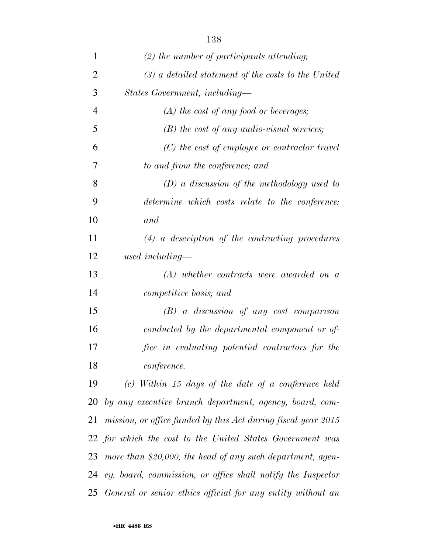| $\mathbf{1}$   | $(2)$ the number of participants attending;                    |
|----------------|----------------------------------------------------------------|
| $\overline{2}$ | $(3)$ a detailed statement of the costs to the United          |
| 3              | States Government, including-                                  |
| 4              | $(A)$ the cost of any food or beverages;                       |
| 5              | $(B)$ the cost of any audio-visual services;                   |
| 6              | $(C)$ the cost of employee or contractor travel                |
| 7              | to and from the conference; and                                |
| 8              | $(D)$ a discussion of the methodology used to                  |
| 9              | determine which costs relate to the conference;                |
| 10             | and                                                            |
| 11             | $(4)$ a description of the contracting procedures              |
| 12             | used including—                                                |
| 13             | $(A)$ whether contracts were awarded on a                      |
| 14             | <i>competitive basis; and</i>                                  |
| 15             | $(B)$ a discussion of any cost comparison                      |
| 16             | conducted by the departmental component or of-                 |
| 17             | fice in evaluating potential contractors for the               |
| 18             | conference.                                                    |
| 19             | $(c)$ Within 15 days of the date of a conference held          |
| 20             | by any executive branch department, agency, board, com-        |
| 21             | mission, or office funded by this Act during fiscal year 2015  |
|                | 22 for which the cost to the United States Government was      |
|                | 23 more than \$20,000, the head of any such department, agen-  |
|                | 24 cy, board, commission, or office shall notify the Inspector |
| 25             | General or senior ethics official for any entity without an    |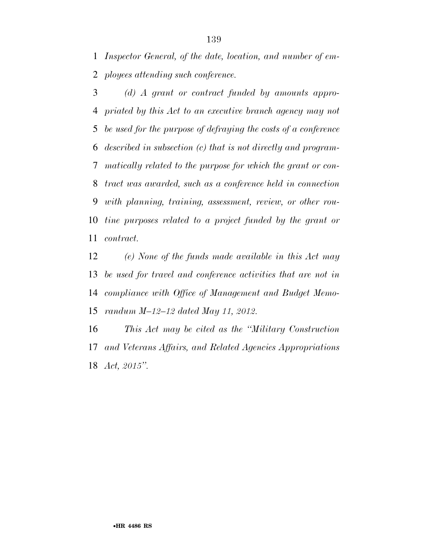*Inspector General, of the date, location, and number of em-ployees attending such conference.* 

 *(d) A grant or contract funded by amounts appro- priated by this Act to an executive branch agency may not be used for the purpose of defraying the costs of a conference described in subsection (c) that is not directly and program- matically related to the purpose for which the grant or con- tract was awarded, such as a conference held in connection with planning, training, assessment, review, or other rou- tine purposes related to a project funded by the grant or contract.* 

 *(e) None of the funds made available in this Act may be used for travel and conference activities that are not in compliance with Office of Management and Budget Memo-randum M–12–12 dated May 11, 2012.* 

 *This Act may be cited as the ''Military Construction and Veterans Affairs, and Related Agencies Appropriations Act, 2015''.*